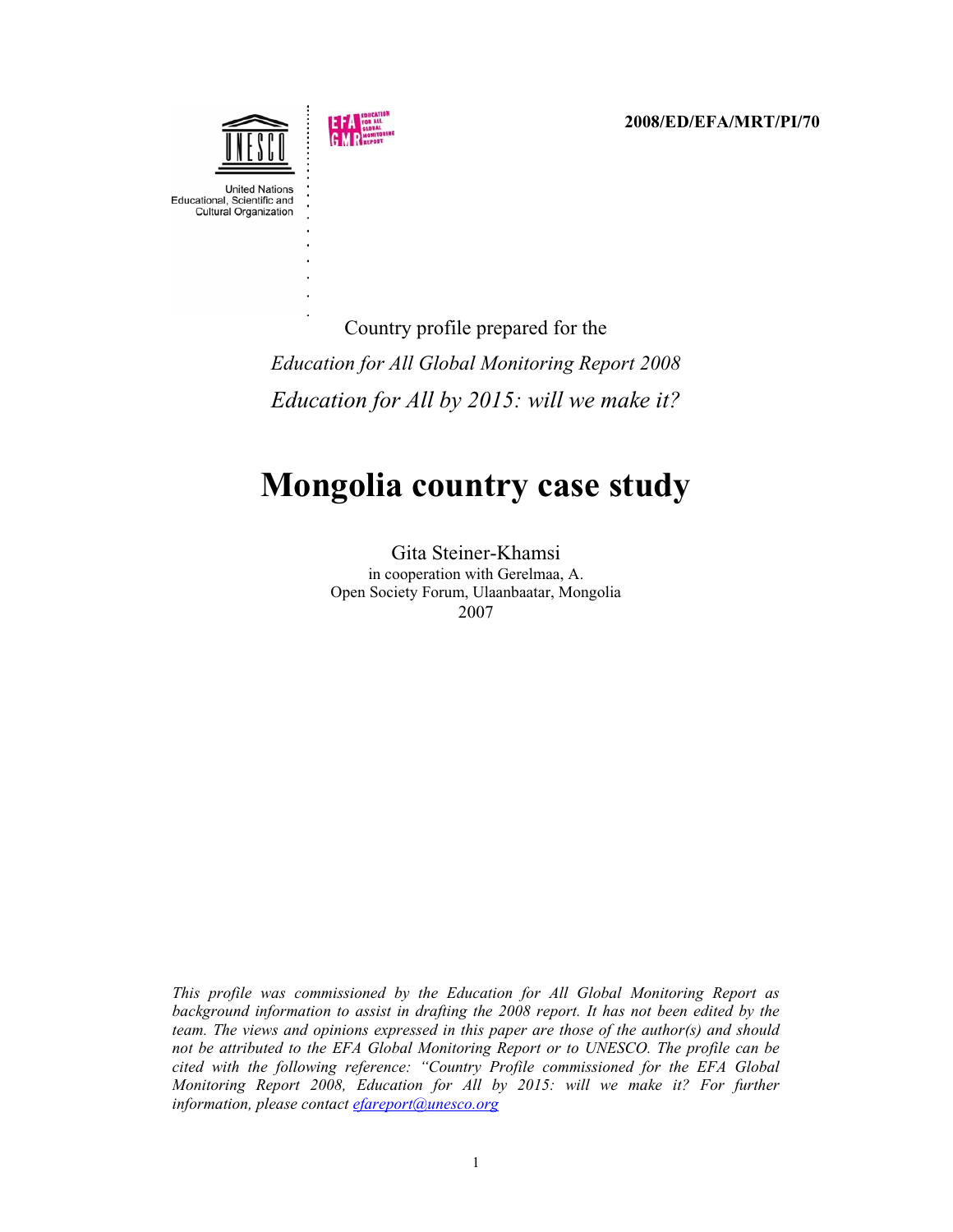**2008/ED/EFA/MRT/PI/70**



Country profile prepared for the *Education for All Global Monitoring Report 2008 Education for All by 2015: will we make it?*

# **Mongolia country case study**

Gita Steiner-Khamsi in cooperation with Gerelmaa, A. Open Society Forum, Ulaanbaatar, Mongolia 2007

*This profile was commissioned by the Education for All Global Monitoring Report as background information to assist in drafting the 2008 report. It has not been edited by the team. The views and opinions expressed in this paper are those of the author(s) and should not be attributed to the EFA Global Monitoring Report or to UNESCO. The profile can be cited with the following reference: "Country Profile commissioned for the EFA Global Monitoring Report 2008, Education for All by 2015: will we make it? For further information, please contact [efareport@unesco.org](mailto:efareport@unesco.org)*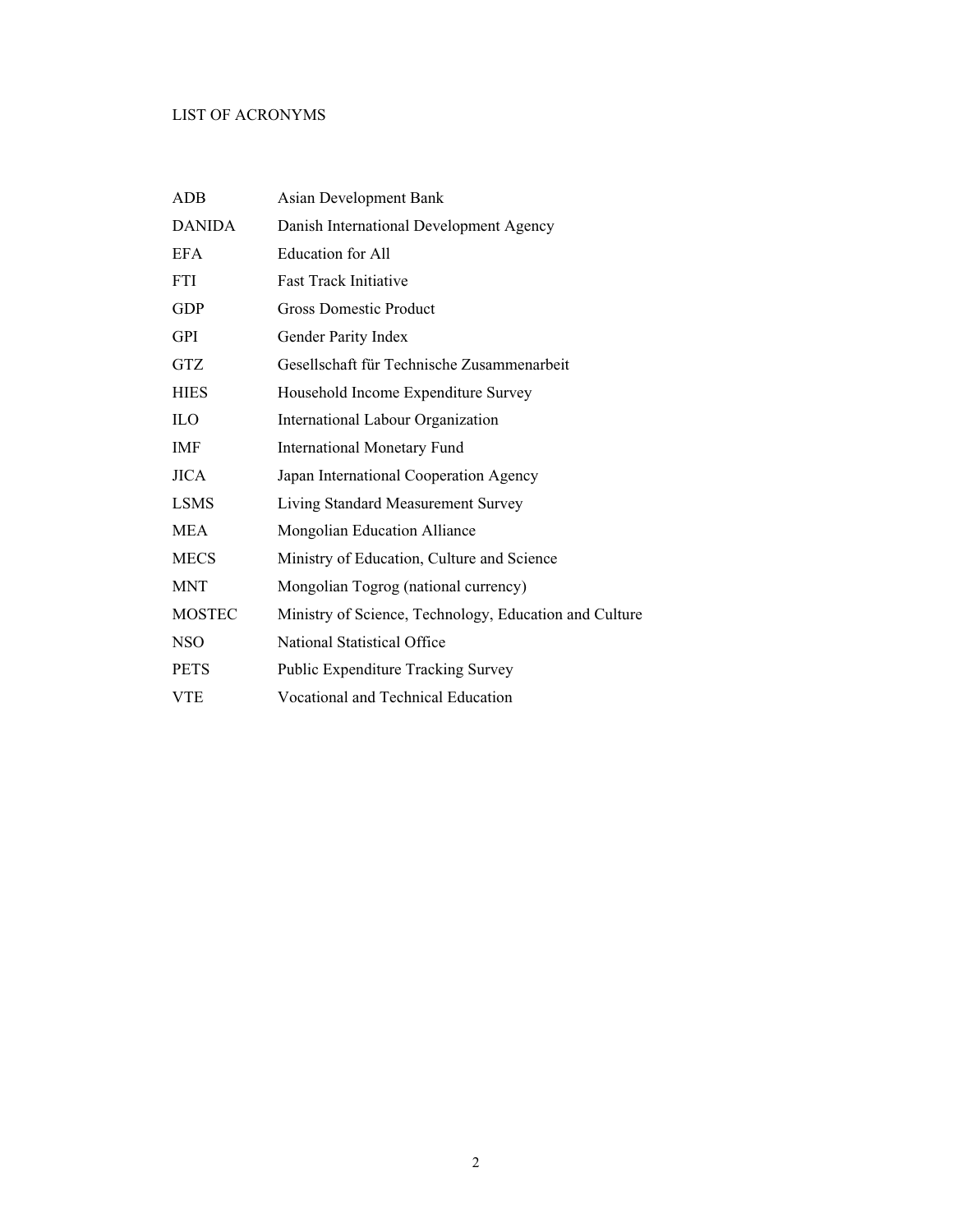# LIST OF ACRONYMS

| ADB           | Asian Development Bank                                 |
|---------------|--------------------------------------------------------|
| <b>DANIDA</b> | Danish International Development Agency                |
| <b>EFA</b>    | <b>Education</b> for All                               |
| <b>FTI</b>    | <b>Fast Track Initiative</b>                           |
| GDP           | <b>Gross Domestic Product</b>                          |
| GPI           | Gender Parity Index                                    |
| <b>GTZ</b>    | Gesellschaft für Technische Zusammenarbeit             |
| <b>HIES</b>   | Household Income Expenditure Survey                    |
| ILO           | International Labour Organization                      |
| IMF           | <b>International Monetary Fund</b>                     |
| <b>JICA</b>   | Japan International Cooperation Agency                 |
| <b>LSMS</b>   | Living Standard Measurement Survey                     |
| <b>MEA</b>    | Mongolian Education Alliance                           |
| <b>MECS</b>   | Ministry of Education, Culture and Science             |
| <b>MNT</b>    | Mongolian Togrog (national currency)                   |
| <b>MOSTEC</b> | Ministry of Science, Technology, Education and Culture |
| <b>NSO</b>    | National Statistical Office                            |
| <b>PETS</b>   | Public Expenditure Tracking Survey                     |
| VTE           | <b>Vocational and Technical Education</b>              |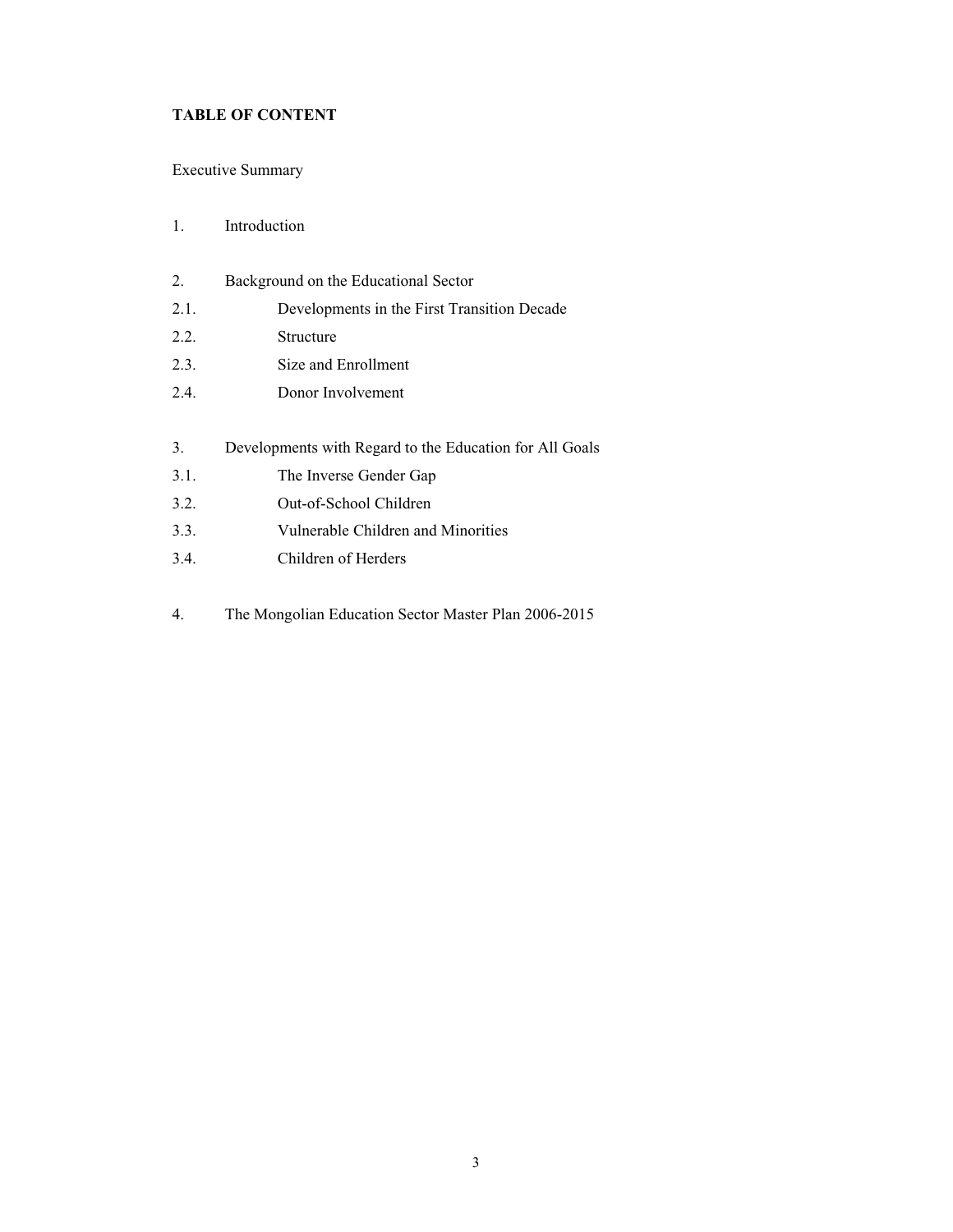# **TABLE OF CONTENT**

# [Executive Summary](#page-4-0)

## [1. Introduction](#page-8-0)

- 2. Background on the Educational Sector
- [2.1. Developments in the First Transition Decade](#page-12-0)
- [2.2. Structure](#page-14-0)
- [2.3. Size and Enrollment](#page-16-0)
- [2.4. Donor Involvement](#page-18-0)
- [3. Developments with Regard to the Education for All Goals](#page-20-0)
- [3.1. The Inverse Gender Gap](#page-22-0)
- [3.2. Out-of-School Children](#page-24-0)
- [3.3. Vulnerable Children and Minorities](#page-28-0)
- [3.4. Children of Herders](#page-32-0)
- [4. The Mongolian Education Sector Master Plan 2006-2015](#page-34-0)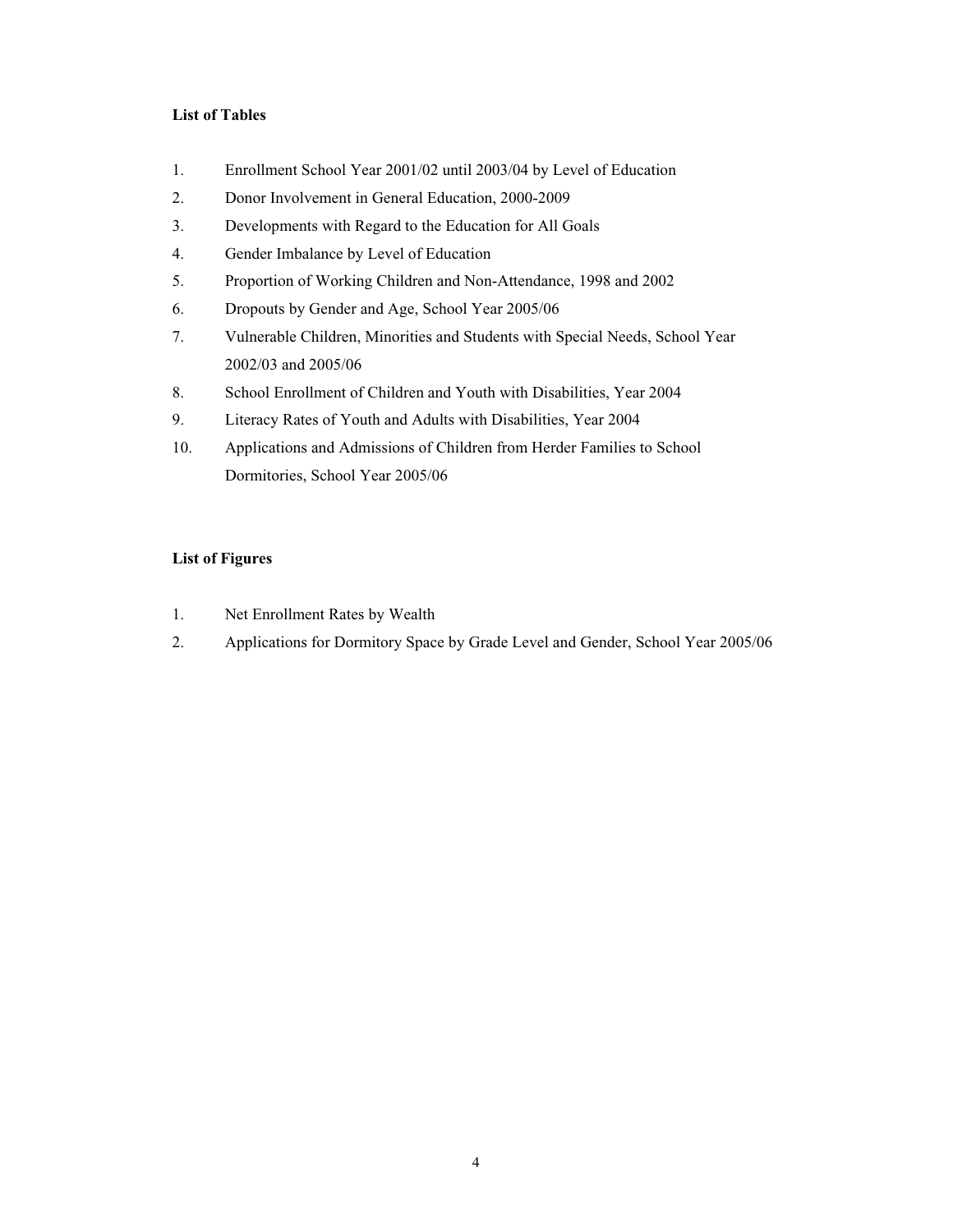# **List of Tables**

- [1. Enrollment School Year 2001/02 until 2003/04 by Level of Education](#page-18-0)
- [2. Donor Involvement in General Education, 2000-2009](#page-19-0)
- [3. Developments with Regard to the Education for All Goals](#page-20-0)
- [4. Gender Imbalance by Level of Education](#page-23-0)
- [5. Proportion of Working Children and Non-Attendance, 1998 and 2002](#page-24-0)
- 6. Dropouts by Gender and Age, School Year 2005/06
- [7. Vulnerable Children, Minorities and Students with Special Needs, School Year](#page-28-0)  2002/03 and 2005/06
- [8. School Enrollment of Children and Youth with Disabilities, Year 2004](#page-29-0)
- [9. Literacy Rates of Youth and Adults with Disabilities, Year 2004](#page-30-0)
- [10. Applications and Admissions of Children from Herder Families to School](#page-32-0)  Dormitories, School Year 2005/06

# **List of Figures**

- [1. Net Enrollment Rates by Wealth](#page-27-0)
- [2. Applications for Dormitory Space by Grade Level and Gender, School Year 2005/06](#page-33-0)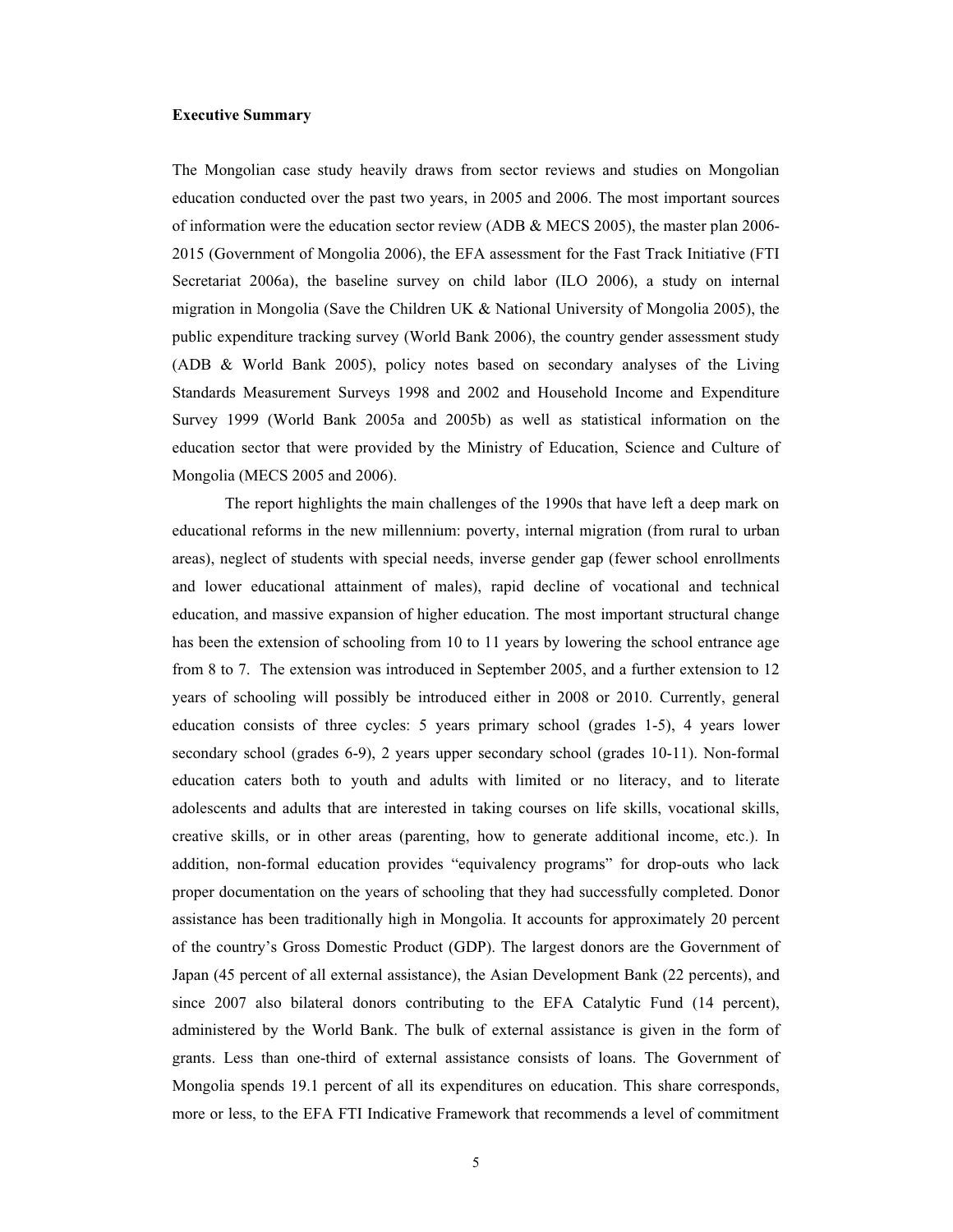#### **Executive Summary**

The Mongolian case study heavily draws from sector reviews and studies on Mongolian education conducted over the past two years, in 2005 and 2006. The most important sources of information were the education sector review (ADB & MECS 2005), the master plan 2006- 2015 (Government of Mongolia 2006), the EFA assessment for the Fast Track Initiative (FTI Secretariat 2006a), the baseline survey on child labor (ILO 2006), a study on internal migration in Mongolia (Save the Children UK & National University of Mongolia 2005), the public expenditure tracking survey (World Bank 2006), the country gender assessment study (ADB & World Bank 2005), policy notes based on secondary analyses of the Living Standards Measurement Surveys 1998 and 2002 and Household Income and Expenditure Survey 1999 (World Bank 2005a and 2005b) as well as statistical information on the education sector that were provided by the Ministry of Education, Science and Culture of Mongolia (MECS 2005 and 2006).

<span id="page-4-0"></span> The report highlights the main challenges of the 1990s that have left a deep mark on educational reforms in the new millennium: poverty, internal migration (from rural to urban areas), neglect of students with special needs, inverse gender gap (fewer school enrollments and lower educational attainment of males), rapid decline of vocational and technical education, and massive expansion of higher education. The most important structural change has been the extension of schooling from 10 to 11 years by lowering the school entrance age from 8 to 7. The extension was introduced in September 2005, and a further extension to 12 years of schooling will possibly be introduced either in 2008 or 2010. Currently, general education consists of three cycles: 5 years primary school (grades 1-5), 4 years lower secondary school (grades 6-9), 2 years upper secondary school (grades 10-11). Non-formal education caters both to youth and adults with limited or no literacy, and to literate adolescents and adults that are interested in taking courses on life skills, vocational skills, creative skills, or in other areas (parenting, how to generate additional income, etc.). In addition, non-formal education provides "equivalency programs" for drop-outs who lack proper documentation on the years of schooling that they had successfully completed. Donor assistance has been traditionally high in Mongolia. It accounts for approximately 20 percent of the country's Gross Domestic Product (GDP). The largest donors are the Government of Japan (45 percent of all external assistance), the Asian Development Bank (22 percents), and since 2007 also bilateral donors contributing to the EFA Catalytic Fund (14 percent), administered by the World Bank. The bulk of external assistance is given in the form of grants. Less than one-third of external assistance consists of loans. The Government of Mongolia spends 19.1 percent of all its expenditures on education. This share corresponds, more or less, to the EFA FTI Indicative Framework that recommends a level of commitment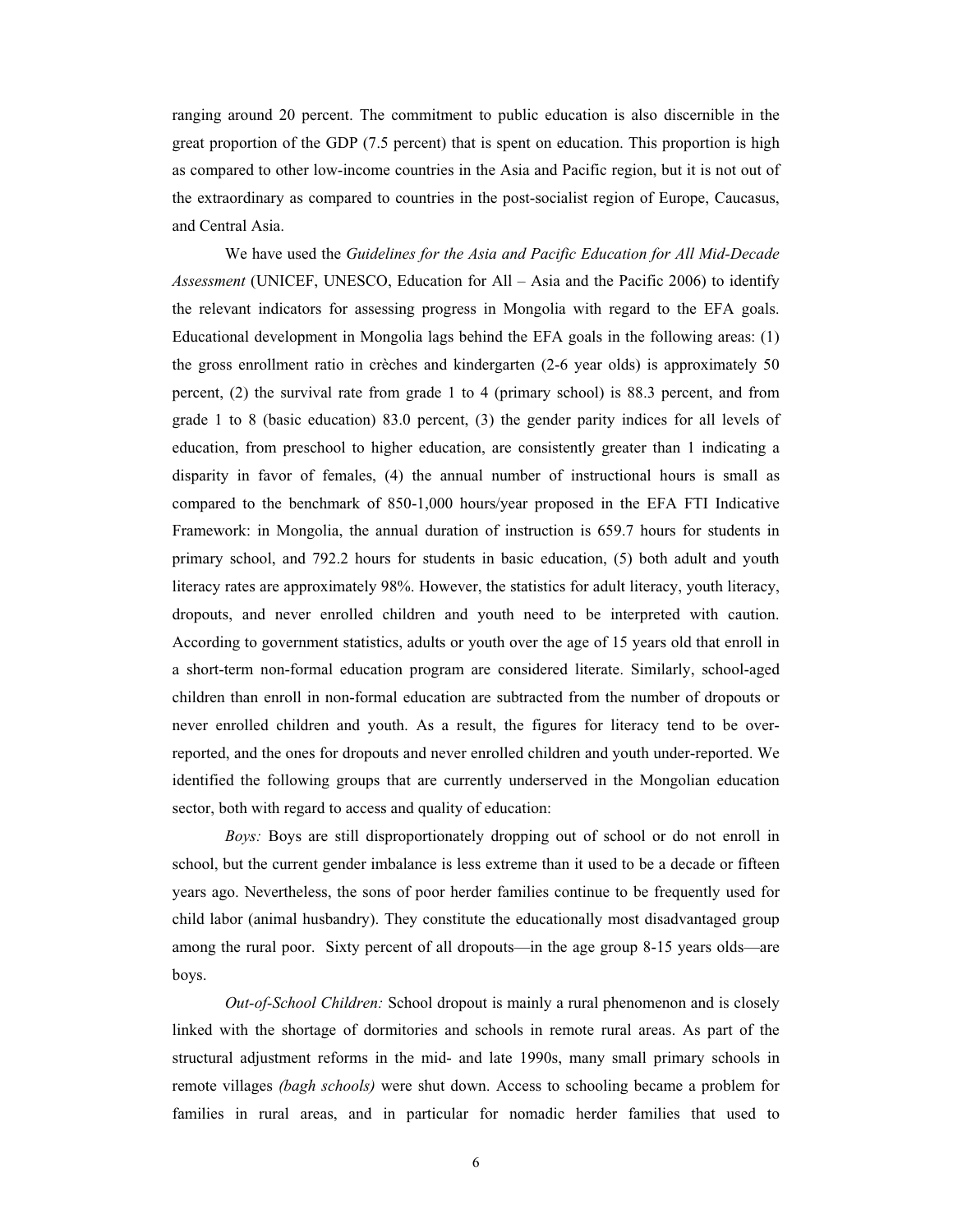ranging around 20 percent. The commitment to public education is also discernible in the great proportion of the GDP (7.5 percent) that is spent on education. This proportion is high as compared to other low-income countries in the Asia and Pacific region, but it is not out of the extraordinary as compared to countries in the post-socialist region of Europe, Caucasus, and Central Asia.

 We have used the *Guidelines for the Asia and Pacific Education for All Mid-Decade Assessment* (UNICEF, UNESCO, Education for All – Asia and the Pacific 2006) to identify the relevant indicators for assessing progress in Mongolia with regard to the EFA goals. Educational development in Mongolia lags behind the EFA goals in the following areas: (1) the gross enrollment ratio in crèches and kindergarten (2-6 year olds) is approximately 50 percent, (2) the survival rate from grade 1 to 4 (primary school) is 88.3 percent, and from grade 1 to 8 (basic education) 83.0 percent, (3) the gender parity indices for all levels of education, from preschool to higher education, are consistently greater than 1 indicating a disparity in favor of females, (4) the annual number of instructional hours is small as compared to the benchmark of 850-1,000 hours/year proposed in the EFA FTI Indicative Framework: in Mongolia, the annual duration of instruction is 659.7 hours for students in primary school, and 792.2 hours for students in basic education, (5) both adult and youth literacy rates are approximately 98%. However, the statistics for adult literacy, youth literacy, dropouts, and never enrolled children and youth need to be interpreted with caution. According to government statistics, adults or youth over the age of 15 years old that enroll in a short-term non-formal education program are considered literate. Similarly, school-aged children than enroll in non-formal education are subtracted from the number of dropouts or never enrolled children and youth. As a result, the figures for literacy tend to be overreported, and the ones for dropouts and never enrolled children and youth under-reported. We identified the following groups that are currently underserved in the Mongolian education sector, both with regard to access and quality of education:

*Boys:* Boys are still disproportionately dropping out of school or do not enroll in school, but the current gender imbalance is less extreme than it used to be a decade or fifteen years ago. Nevertheless, the sons of poor herder families continue to be frequently used for child labor (animal husbandry). They constitute the educationally most disadvantaged group among the rural poor. Sixty percent of all dropouts—in the age group 8-15 years olds—are boys.

*Out-of-School Children:* School dropout is mainly a rural phenomenon and is closely linked with the shortage of dormitories and schools in remote rural areas. As part of the structural adjustment reforms in the mid- and late 1990s, many small primary schools in remote villages *(bagh schools)* were shut down. Access to schooling became a problem for families in rural areas, and in particular for nomadic herder families that used to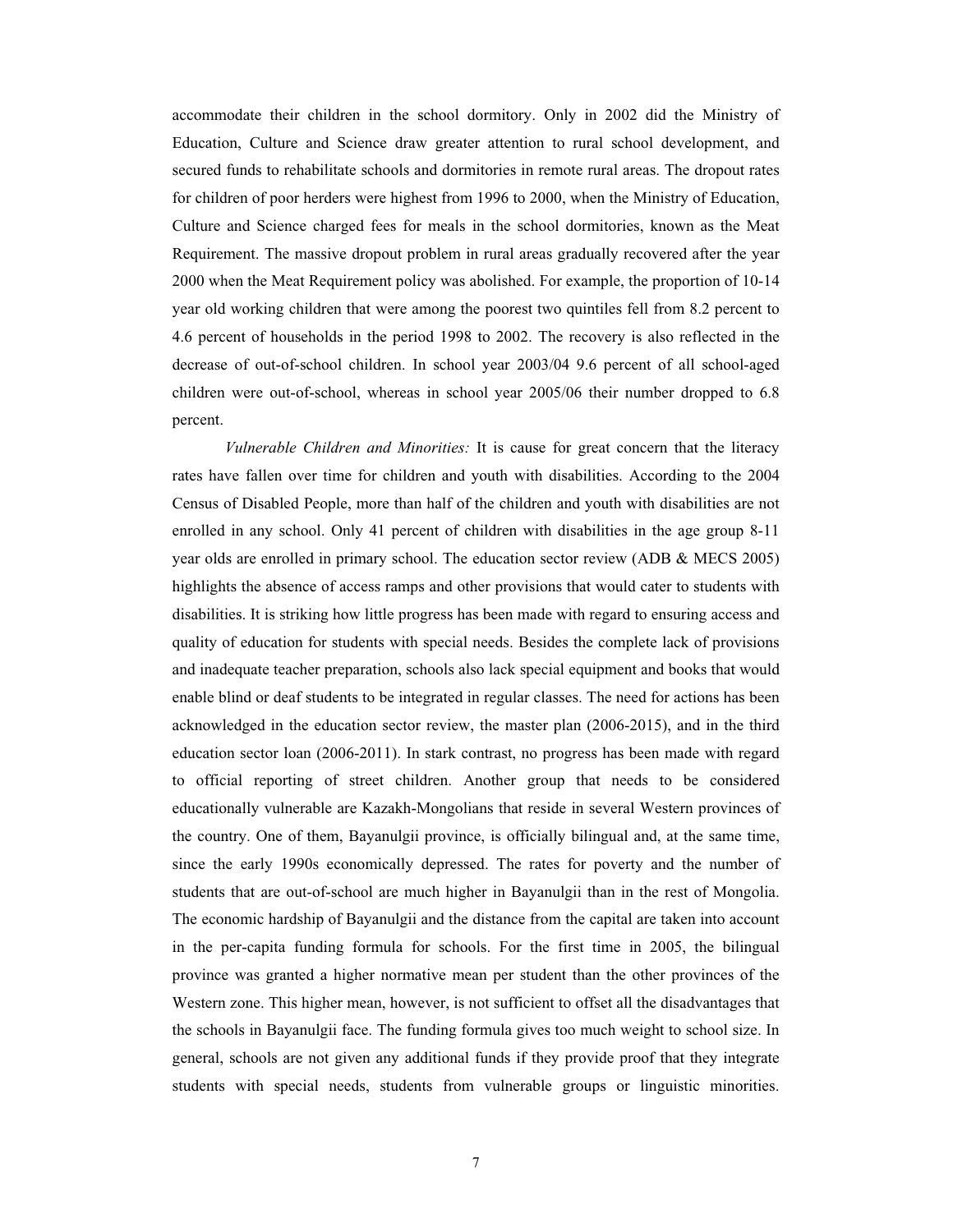accommodate their children in the school dormitory. Only in 2002 did the Ministry of Education, Culture and Science draw greater attention to rural school development, and secured funds to rehabilitate schools and dormitories in remote rural areas. The dropout rates for children of poor herders were highest from 1996 to 2000, when the Ministry of Education, Culture and Science charged fees for meals in the school dormitories, known as the Meat Requirement. The massive dropout problem in rural areas gradually recovered after the year 2000 when the Meat Requirement policy was abolished. For example, the proportion of 10-14 year old working children that were among the poorest two quintiles fell from 8.2 percent to 4.6 percent of households in the period 1998 to 2002. The recovery is also reflected in the decrease of out-of-school children. In school year 2003/04 9.6 percent of all school-aged children were out-of-school, whereas in school year 2005/06 their number dropped to 6.8 percent.

*Vulnerable Children and Minorities:* It is cause for great concern that the literacy rates have fallen over time for children and youth with disabilities. According to the 2004 Census of Disabled People, more than half of the children and youth with disabilities are not enrolled in any school. Only 41 percent of children with disabilities in the age group 8-11 year olds are enrolled in primary school. The education sector review (ADB & MECS 2005) highlights the absence of access ramps and other provisions that would cater to students with disabilities. It is striking how little progress has been made with regard to ensuring access and quality of education for students with special needs. Besides the complete lack of provisions and inadequate teacher preparation, schools also lack special equipment and books that would enable blind or deaf students to be integrated in regular classes. The need for actions has been acknowledged in the education sector review, the master plan (2006-2015), and in the third education sector loan (2006-2011). In stark contrast, no progress has been made with regard to official reporting of street children. Another group that needs to be considered educationally vulnerable are Kazakh-Mongolians that reside in several Western provinces of the country. One of them, Bayanulgii province, is officially bilingual and, at the same time, since the early 1990s economically depressed. The rates for poverty and the number of students that are out-of-school are much higher in Bayanulgii than in the rest of Mongolia. The economic hardship of Bayanulgii and the distance from the capital are taken into account in the per-capita funding formula for schools. For the first time in 2005, the bilingual province was granted a higher normative mean per student than the other provinces of the Western zone. This higher mean, however, is not sufficient to offset all the disadvantages that the schools in Bayanulgii face. The funding formula gives too much weight to school size. In general, schools are not given any additional funds if they provide proof that they integrate students with special needs, students from vulnerable groups or linguistic minorities.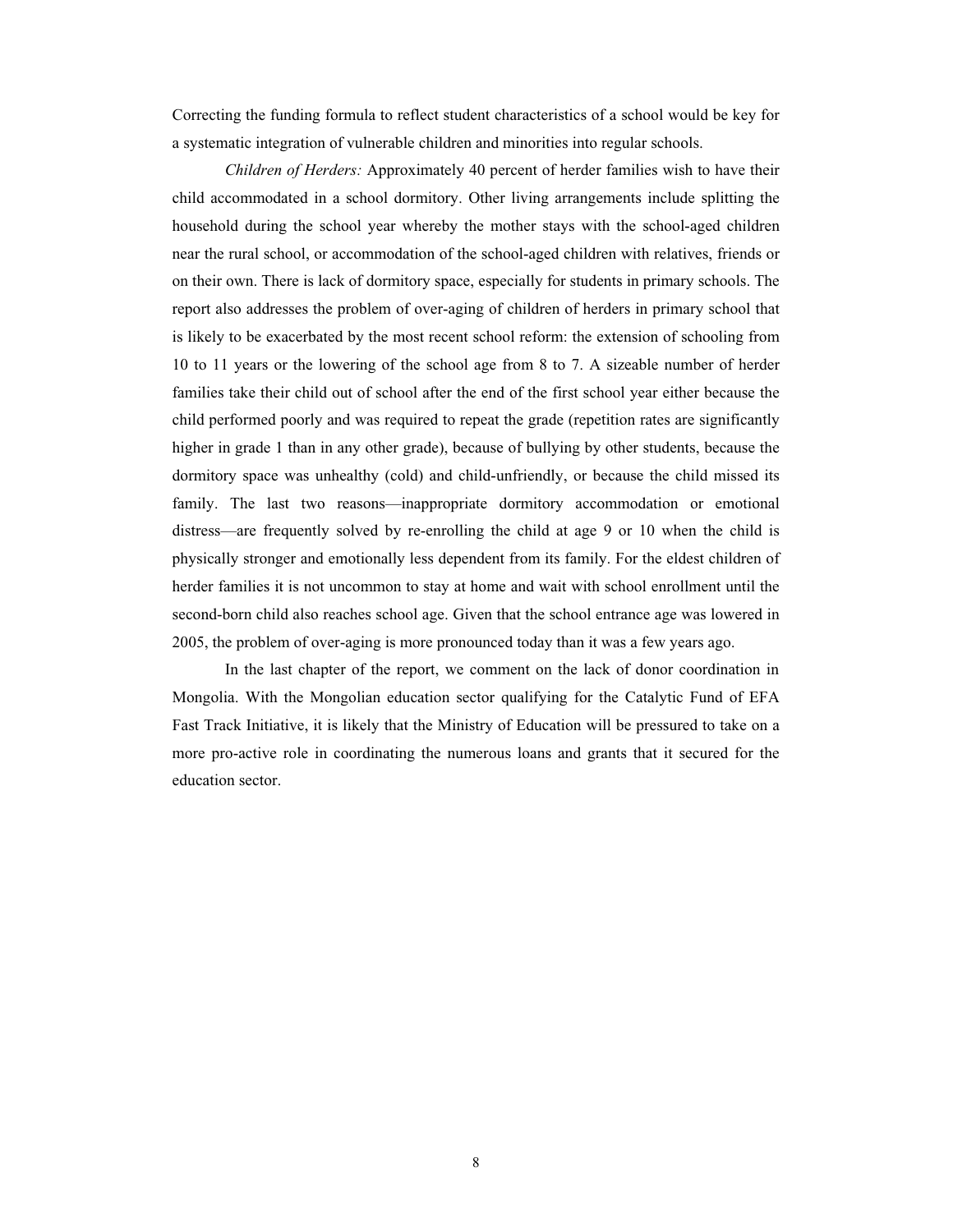Correcting the funding formula to reflect student characteristics of a school would be key for a systematic integration of vulnerable children and minorities into regular schools.

*Children of Herders:* Approximately 40 percent of herder families wish to have their child accommodated in a school dormitory. Other living arrangements include splitting the household during the school year whereby the mother stays with the school-aged children near the rural school, or accommodation of the school-aged children with relatives, friends or on their own. There is lack of dormitory space, especially for students in primary schools. The report also addresses the problem of over-aging of children of herders in primary school that is likely to be exacerbated by the most recent school reform: the extension of schooling from 10 to 11 years or the lowering of the school age from 8 to 7. A sizeable number of herder families take their child out of school after the end of the first school year either because the child performed poorly and was required to repeat the grade (repetition rates are significantly higher in grade 1 than in any other grade), because of bullying by other students, because the dormitory space was unhealthy (cold) and child-unfriendly, or because the child missed its family. The last two reasons—inappropriate dormitory accommodation or emotional distress—are frequently solved by re-enrolling the child at age 9 or 10 when the child is physically stronger and emotionally less dependent from its family. For the eldest children of herder families it is not uncommon to stay at home and wait with school enrollment until the second-born child also reaches school age. Given that the school entrance age was lowered in 2005, the problem of over-aging is more pronounced today than it was a few years ago.

 In the last chapter of the report, we comment on the lack of donor coordination in Mongolia. With the Mongolian education sector qualifying for the Catalytic Fund of EFA Fast Track Initiative, it is likely that the Ministry of Education will be pressured to take on a more pro-active role in coordinating the numerous loans and grants that it secured for the education sector.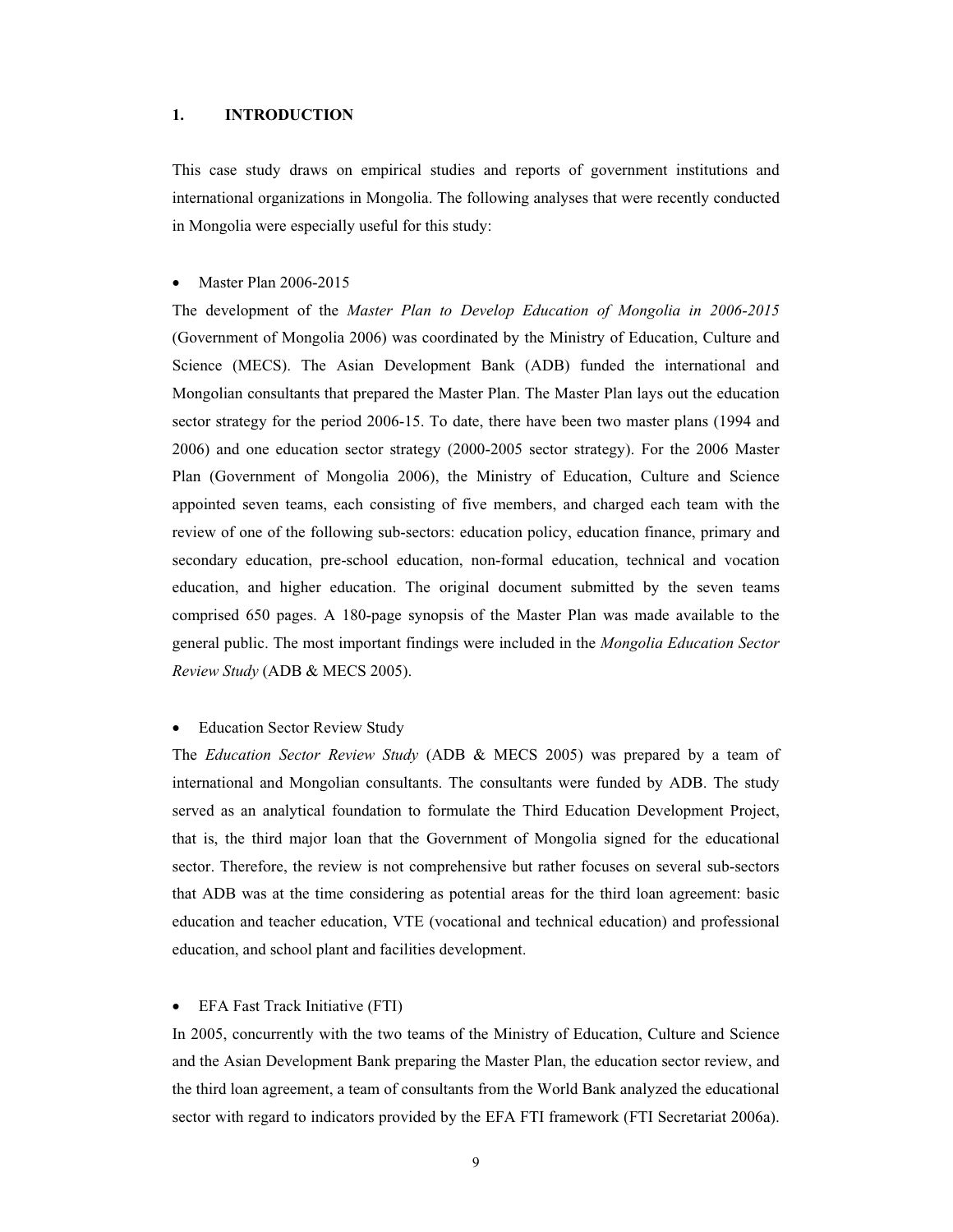#### **1. INTRODUCTION**

This case study draws on empirical studies and reports of government institutions and international organizations in Mongolia. The following analyses that were recently conducted in Mongolia were especially useful for this study:

## Master Plan 2006-2015

The development of the *Master Plan to Develop Education of Mongolia in 2006-2015*  (Government of Mongolia 2006) was coordinated by the Ministry of Education, Culture and Science (MECS). The Asian Development Bank (ADB) funded the international and Mongolian consultants that prepared the Master Plan. The Master Plan lays out the education sector strategy for the period 2006-15. To date, there have been two master plans (1994 and 2006) and one education sector strategy (2000-2005 sector strategy). For the 2006 Master Plan (Government of Mongolia 2006), the Ministry of Education, Culture and Science appointed seven teams, each consisting of five members, and charged each team with the review of one of the following sub-sectors: education policy, education finance, primary and secondary education, pre-school education, non-formal education, technical and vocation education, and higher education. The original document submitted by the seven teams comprised 650 pages. A 180-page synopsis of the Master Plan was made available to the general public. The most important findings were included in the *Mongolia Education Sector Review Study* (ADB & MECS 2005).

## • Education Sector Review Study

The *Education Sector Review Study* (ADB & MECS 2005) was prepared by a team of international and Mongolian consultants. The consultants were funded by ADB. The study served as an analytical foundation to formulate the Third Education Development Project, that is, the third major loan that the Government of Mongolia signed for the educational sector. Therefore, the review is not comprehensive but rather focuses on several sub-sectors that ADB was at the time considering as potential areas for the third loan agreement: basic education and teacher education, VTE (vocational and technical education) and professional education, and school plant and facilities development.

## • EFA Fast Track Initiative (FTI)

<span id="page-8-0"></span>In 2005, concurrently with the two teams of the Ministry of Education, Culture and Science and the Asian Development Bank preparing the Master Plan, the education sector review, and the third loan agreement, a team of consultants from the World Bank analyzed the educational sector with regard to indicators provided by the EFA FTI framework (FTI Secretariat 2006a).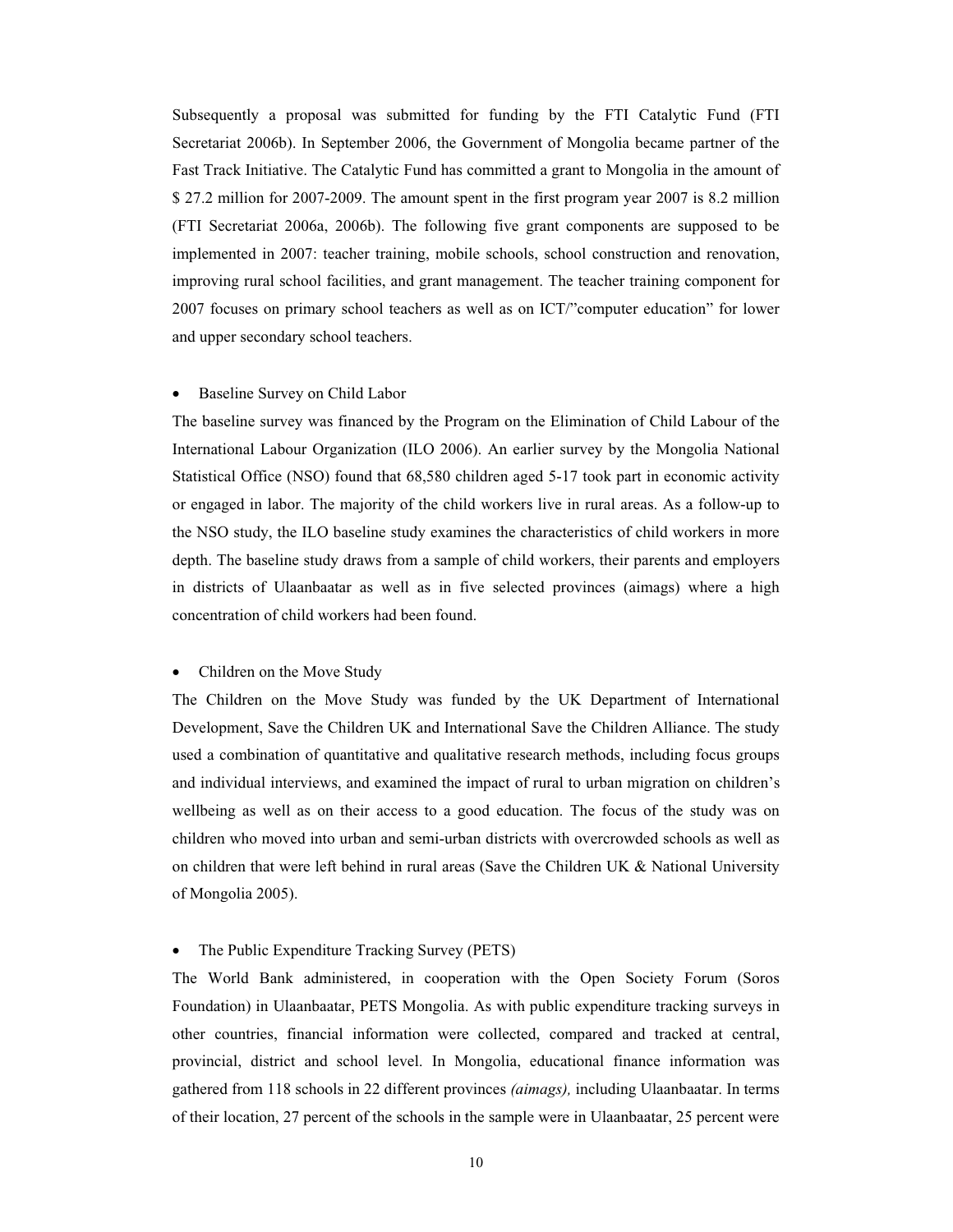Subsequently a proposal was submitted for funding by the FTI Catalytic Fund (FTI Secretariat 2006b). In September 2006, the Government of Mongolia became partner of the Fast Track Initiative. The Catalytic Fund has committed a grant to Mongolia in the amount of \$ 27.2 million for 2007-2009. The amount spent in the first program year 2007 is 8.2 million (FTI Secretariat 2006a, 2006b). The following five grant components are supposed to be implemented in 2007: teacher training, mobile schools, school construction and renovation, improving rural school facilities, and grant management. The teacher training component for 2007 focuses on primary school teachers as well as on ICT/"computer education" for lower and upper secondary school teachers.

#### Baseline Survey on Child Labor

The baseline survey was financed by the Program on the Elimination of Child Labour of the International Labour Organization (ILO 2006). An earlier survey by the Mongolia National Statistical Office (NSO) found that 68,580 children aged 5-17 took part in economic activity or engaged in labor. The majority of the child workers live in rural areas. As a follow-up to the NSO study, the ILO baseline study examines the characteristics of child workers in more depth. The baseline study draws from a sample of child workers, their parents and employers in districts of Ulaanbaatar as well as in five selected provinces (aimags) where a high concentration of child workers had been found.

## • Children on the Move Study

The Children on the Move Study was funded by the UK Department of International Development, Save the Children UK and International Save the Children Alliance. The study used a combination of quantitative and qualitative research methods, including focus groups and individual interviews, and examined the impact of rural to urban migration on children's wellbeing as well as on their access to a good education. The focus of the study was on children who moved into urban and semi-urban districts with overcrowded schools as well as on children that were left behind in rural areas (Save the Children UK & National University of Mongolia 2005).

#### • The Public Expenditure Tracking Survey (PETS)

The World Bank administered, in cooperation with the Open Society Forum (Soros Foundation) in Ulaanbaatar, PETS Mongolia. As with public expenditure tracking surveys in other countries, financial information were collected, compared and tracked at central, provincial, district and school level. In Mongolia, educational finance information was gathered from 118 schools in 22 different provinces *(aimags),* including Ulaanbaatar. In terms of their location, 27 percent of the schools in the sample were in Ulaanbaatar, 25 percent were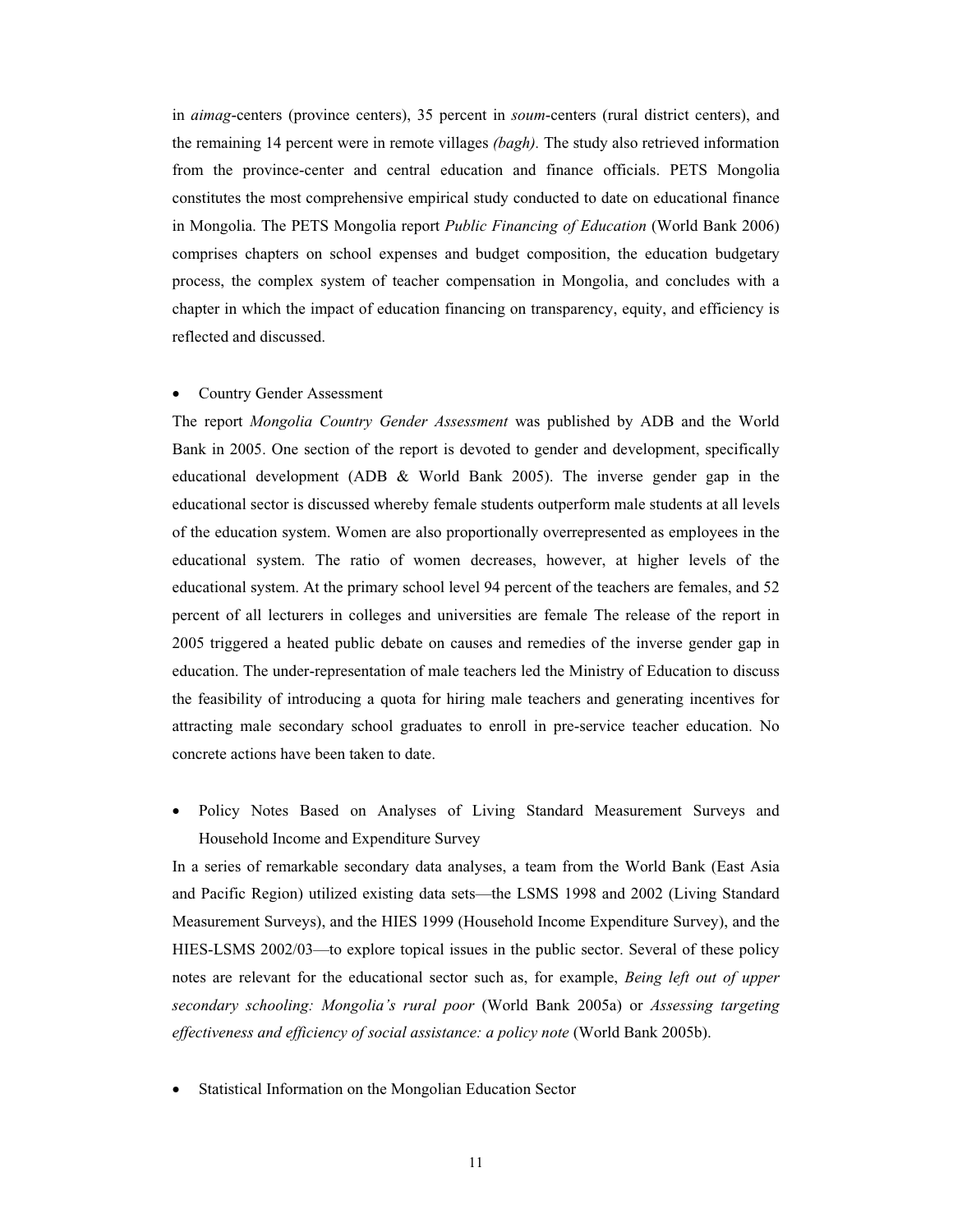in *aimag*-centers (province centers), 35 percent in *soum*-centers (rural district centers), and the remaining 14 percent were in remote villages *(bagh).* The study also retrieved information from the province-center and central education and finance officials. PETS Mongolia constitutes the most comprehensive empirical study conducted to date on educational finance in Mongolia. The PETS Mongolia report *Public Financing of Education* (World Bank 2006) comprises chapters on school expenses and budget composition, the education budgetary process, the complex system of teacher compensation in Mongolia, and concludes with a chapter in which the impact of education financing on transparency, equity, and efficiency is reflected and discussed.

## • Country Gender Assessment

The report *Mongolia Country Gender Assessment* was published by ADB and the World Bank in 2005. One section of the report is devoted to gender and development, specifically educational development (ADB & World Bank 2005). The inverse gender gap in the educational sector is discussed whereby female students outperform male students at all levels of the education system. Women are also proportionally overrepresented as employees in the educational system. The ratio of women decreases, however, at higher levels of the educational system. At the primary school level 94 percent of the teachers are females, and 52 percent of all lecturers in colleges and universities are female The release of the report in 2005 triggered a heated public debate on causes and remedies of the inverse gender gap in education. The under-representation of male teachers led the Ministry of Education to discuss the feasibility of introducing a quota for hiring male teachers and generating incentives for attracting male secondary school graduates to enroll in pre-service teacher education. No concrete actions have been taken to date.

x Policy Notes Based on Analyses of Living Standard Measurement Surveys and Household Income and Expenditure Survey

In a series of remarkable secondary data analyses, a team from the World Bank (East Asia and Pacific Region) utilized existing data sets—the LSMS 1998 and 2002 (Living Standard Measurement Surveys), and the HIES 1999 (Household Income Expenditure Survey), and the HIES-LSMS 2002/03—to explore topical issues in the public sector. Several of these policy notes are relevant for the educational sector such as, for example, *Being left out of upper secondary schooling: Mongolia's rural poor* (World Bank 2005a) or *Assessing targeting effectiveness and efficiency of social assistance: a policy note* (World Bank 2005b).

Statistical Information on the Mongolian Education Sector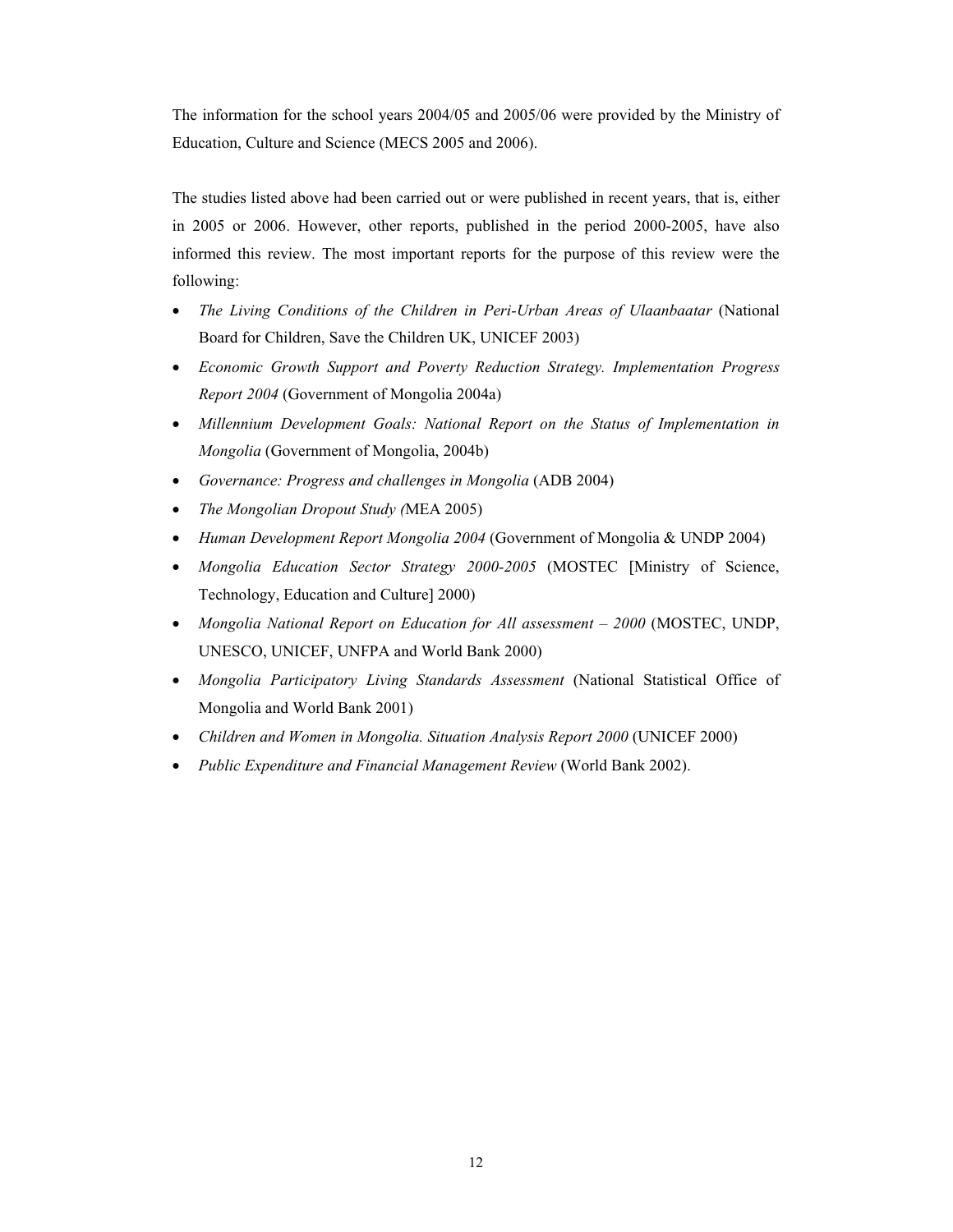The information for the school years 2004/05 and 2005/06 were provided by the Ministry of Education, Culture and Science (MECS 2005 and 2006).

The studies listed above had been carried out or were published in recent years, that is, either in 2005 or 2006. However, other reports, published in the period 2000-2005, have also informed this review. The most important reports for the purpose of this review were the following:

- x *The Living Conditions of the Children in Peri-Urban Areas of Ulaanbaatar* (National Board for Children, Save the Children UK, UNICEF 2003)
- x *Economic Growth Support and Poverty Reduction Strategy. Implementation Progress Report 2004* (Government of Mongolia 2004a)
- Millennium Development Goals: National Report on the Status of Implementation in *Mongolia* (Government of Mongolia, 2004b)
- x *Governance: Progress and challenges in Mongolia* (ADB 2004)
- x *The Mongolian Dropout Study (*MEA 2005)
- x *Human Development Report Mongolia 2004* (Government of Mongolia & UNDP 2004)
- x *Mongolia Education Sector Strategy 2000-2005* (MOSTEC [Ministry of Science, Technology, Education and Culture] 2000)
- Mongolia National Report on Education for All assessment 2000 (MOSTEC, UNDP, UNESCO, UNICEF, UNFPA and World Bank 2000)
- x *Mongolia Participatory Living Standards Assessment* (National Statistical Office of Mongolia and World Bank 2001)
- x *Children and Women in Mongolia. Situation Analysis Report 2000* (UNICEF 2000)
- x *Public Expenditure and Financial Management Review* (World Bank 2002).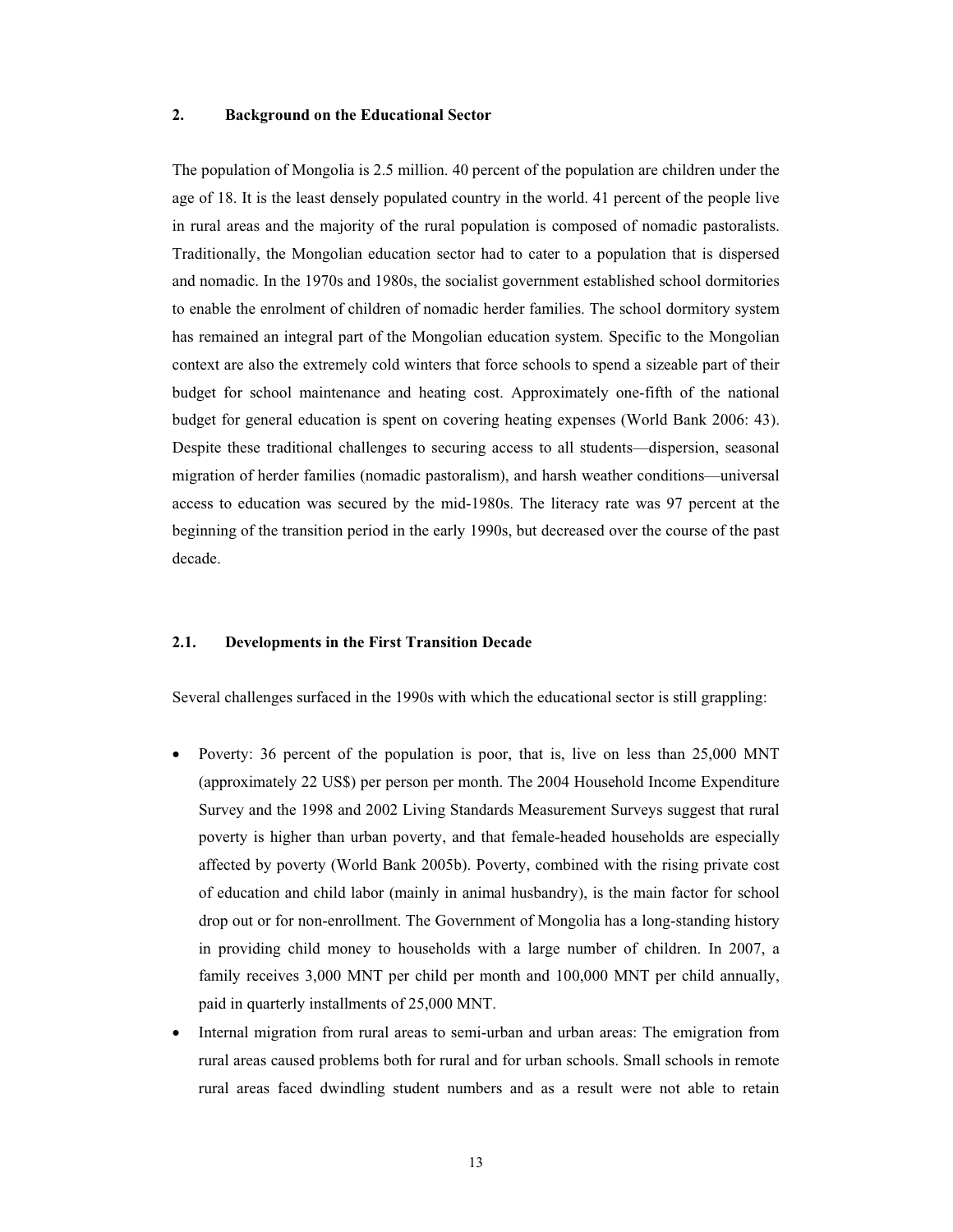## **2. Background on the Educational Sector**

The population of Mongolia is 2.5 million. 40 percent of the population are children under the age of 18. It is the least densely populated country in the world. 41 percent of the people live in rural areas and the majority of the rural population is composed of nomadic pastoralists. Traditionally, the Mongolian education sector had to cater to a population that is dispersed and nomadic. In the 1970s and 1980s, the socialist government established school dormitories to enable the enrolment of children of nomadic herder families. The school dormitory system has remained an integral part of the Mongolian education system. Specific to the Mongolian context are also the extremely cold winters that force schools to spend a sizeable part of their budget for school maintenance and heating cost. Approximately one-fifth of the national budget for general education is spent on covering heating expenses (World Bank 2006: 43). Despite these traditional challenges to securing access to all students—dispersion, seasonal migration of herder families (nomadic pastoralism), and harsh weather conditions—universal access to education was secured by the mid-1980s. The literacy rate was 97 percent at the beginning of the transition period in the early 1990s, but decreased over the course of the past decade.

## **2.1. Developments in the First Transition Decade**

Several challenges surfaced in the 1990s with which the educational sector is still grappling:

- Poverty: 36 percent of the population is poor, that is, live on less than 25,000 MNT (approximately 22 US\$) per person per month. The 2004 Household Income Expenditure Survey and the 1998 and 2002 Living Standards Measurement Surveys suggest that rural poverty is higher than urban poverty, and that female-headed households are especially affected by poverty (World Bank 2005b). Poverty, combined with the rising private cost of education and child labor (mainly in animal husbandry), is the main factor for school drop out or for non-enrollment. The Government of Mongolia has a long-standing history in providing child money to households with a large number of children. In 2007, a family receives 3,000 MNT per child per month and 100,000 MNT per child annually, paid in quarterly installments of 25,000 MNT.
- <span id="page-12-0"></span>Internal migration from rural areas to semi-urban and urban areas: The emigration from rural areas caused problems both for rural and for urban schools. Small schools in remote rural areas faced dwindling student numbers and as a result were not able to retain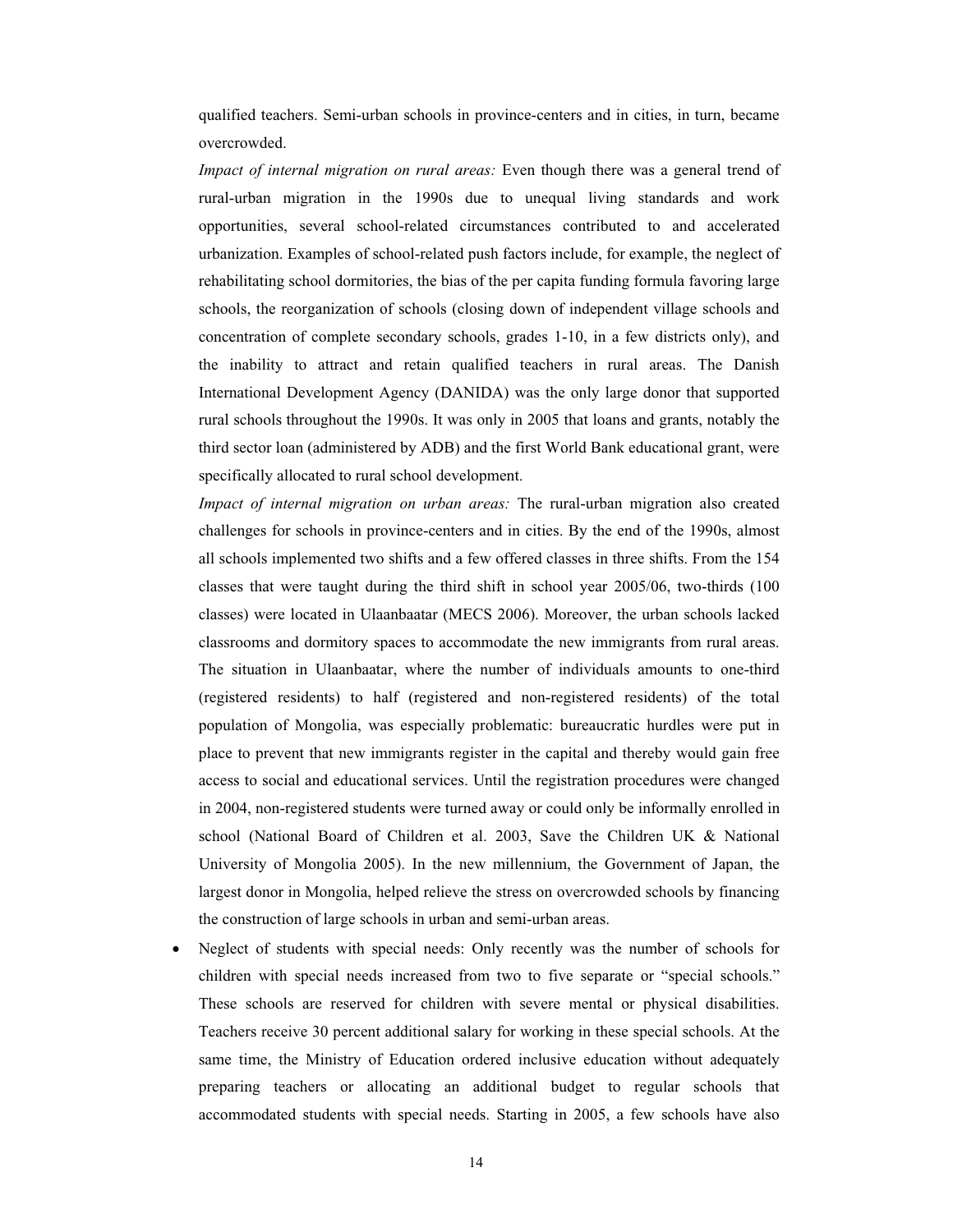qualified teachers. Semi-urban schools in province-centers and in cities, in turn, became overcrowded.

*Impact of internal migration on rural areas:* Even though there was a general trend of rural-urban migration in the 1990s due to unequal living standards and work opportunities, several school-related circumstances contributed to and accelerated urbanization. Examples of school-related push factors include, for example, the neglect of rehabilitating school dormitories, the bias of the per capita funding formula favoring large schools, the reorganization of schools (closing down of independent village schools and concentration of complete secondary schools, grades 1-10, in a few districts only), and the inability to attract and retain qualified teachers in rural areas. The Danish International Development Agency (DANIDA) was the only large donor that supported rural schools throughout the 1990s. It was only in 2005 that loans and grants, notably the third sector loan (administered by ADB) and the first World Bank educational grant, were specifically allocated to rural school development.

*Impact of internal migration on urban areas:* The rural-urban migration also created challenges for schools in province-centers and in cities. By the end of the 1990s, almost all schools implemented two shifts and a few offered classes in three shifts. From the 154 classes that were taught during the third shift in school year 2005/06, two-thirds (100 classes) were located in Ulaanbaatar (MECS 2006). Moreover, the urban schools lacked classrooms and dormitory spaces to accommodate the new immigrants from rural areas. The situation in Ulaanbaatar, where the number of individuals amounts to one-third (registered residents) to half (registered and non-registered residents) of the total population of Mongolia, was especially problematic: bureaucratic hurdles were put in place to prevent that new immigrants register in the capital and thereby would gain free access to social and educational services. Until the registration procedures were changed in 2004, non-registered students were turned away or could only be informally enrolled in school (National Board of Children et al. 2003, Save the Children UK & National University of Mongolia 2005). In the new millennium, the Government of Japan, the largest donor in Mongolia, helped relieve the stress on overcrowded schools by financing the construction of large schools in urban and semi-urban areas.

Neglect of students with special needs: Only recently was the number of schools for children with special needs increased from two to five separate or "special schools." These schools are reserved for children with severe mental or physical disabilities. Teachers receive 30 percent additional salary for working in these special schools. At the same time, the Ministry of Education ordered inclusive education without adequately preparing teachers or allocating an additional budget to regular schools that accommodated students with special needs. Starting in 2005, a few schools have also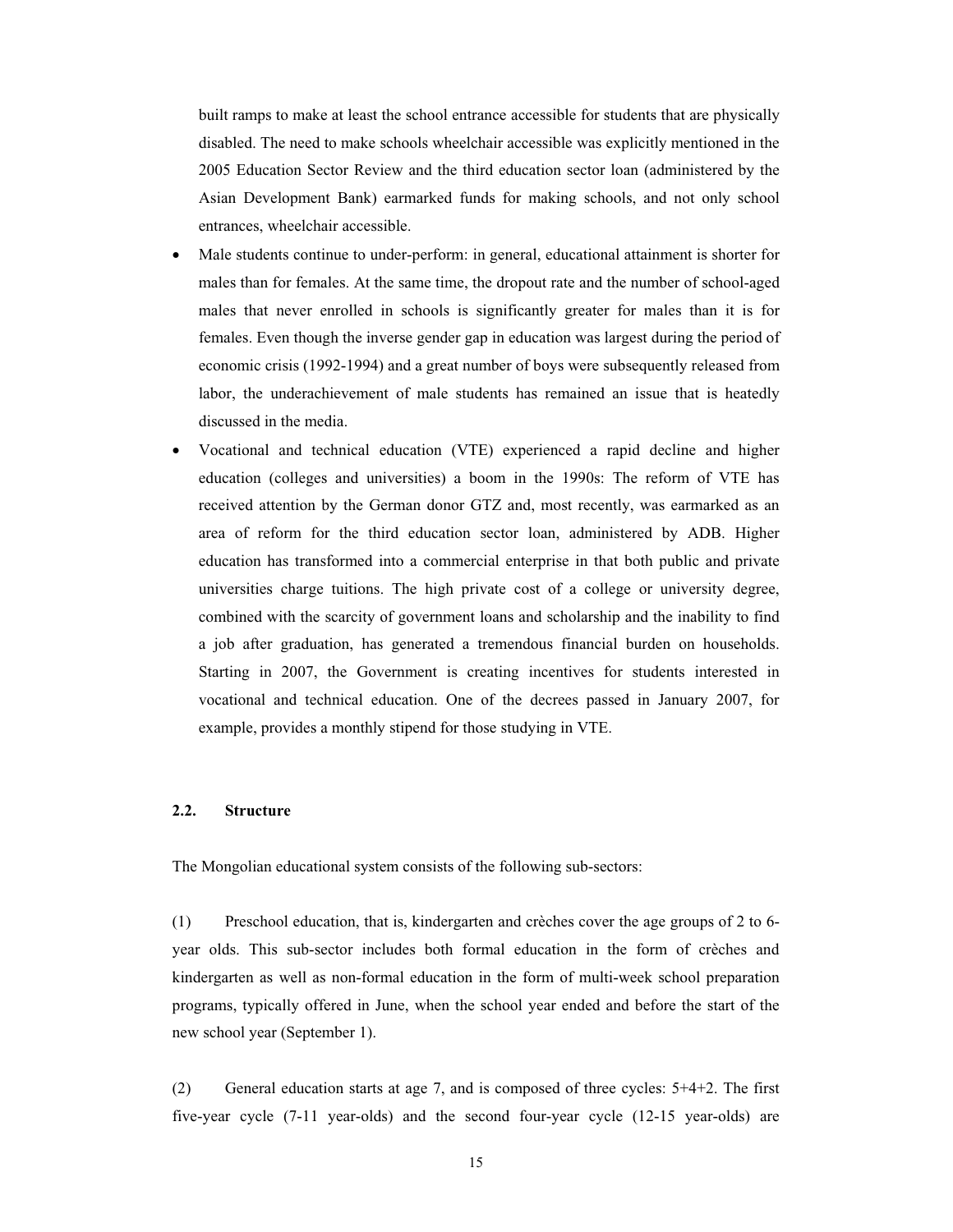built ramps to make at least the school entrance accessible for students that are physically disabled. The need to make schools wheelchair accessible was explicitly mentioned in the 2005 Education Sector Review and the third education sector loan (administered by the Asian Development Bank) earmarked funds for making schools, and not only school entrances, wheelchair accessible.

- Male students continue to under-perform: in general, educational attainment is shorter for males than for females. At the same time, the dropout rate and the number of school-aged males that never enrolled in schools is significantly greater for males than it is for females. Even though the inverse gender gap in education was largest during the period of economic crisis (1992-1994) and a great number of boys were subsequently released from labor, the underachievement of male students has remained an issue that is heatedly discussed in the media.
- Vocational and technical education (VTE) experienced a rapid decline and higher education (colleges and universities) a boom in the 1990s: The reform of VTE has received attention by the German donor GTZ and, most recently, was earmarked as an area of reform for the third education sector loan, administered by ADB. Higher education has transformed into a commercial enterprise in that both public and private universities charge tuitions. The high private cost of a college or university degree, combined with the scarcity of government loans and scholarship and the inability to find a job after graduation, has generated a tremendous financial burden on households. Starting in 2007, the Government is creating incentives for students interested in vocational and technical education. One of the decrees passed in January 2007, for example, provides a monthly stipend for those studying in VTE.

## **2.2. Structure**

The Mongolian educational system consists of the following sub-sectors:

(1) Preschool education, that is, kindergarten and crèches cover the age groups of 2 to 6 year olds. This sub-sector includes both formal education in the form of crèches and kindergarten as well as non-formal education in the form of multi-week school preparation programs, typically offered in June, when the school year ended and before the start of the new school year (September 1).

<span id="page-14-0"></span>(2) General education starts at age 7, and is composed of three cycles: 5+4+2. The first five-year cycle (7-11 year-olds) and the second four-year cycle (12-15 year-olds) are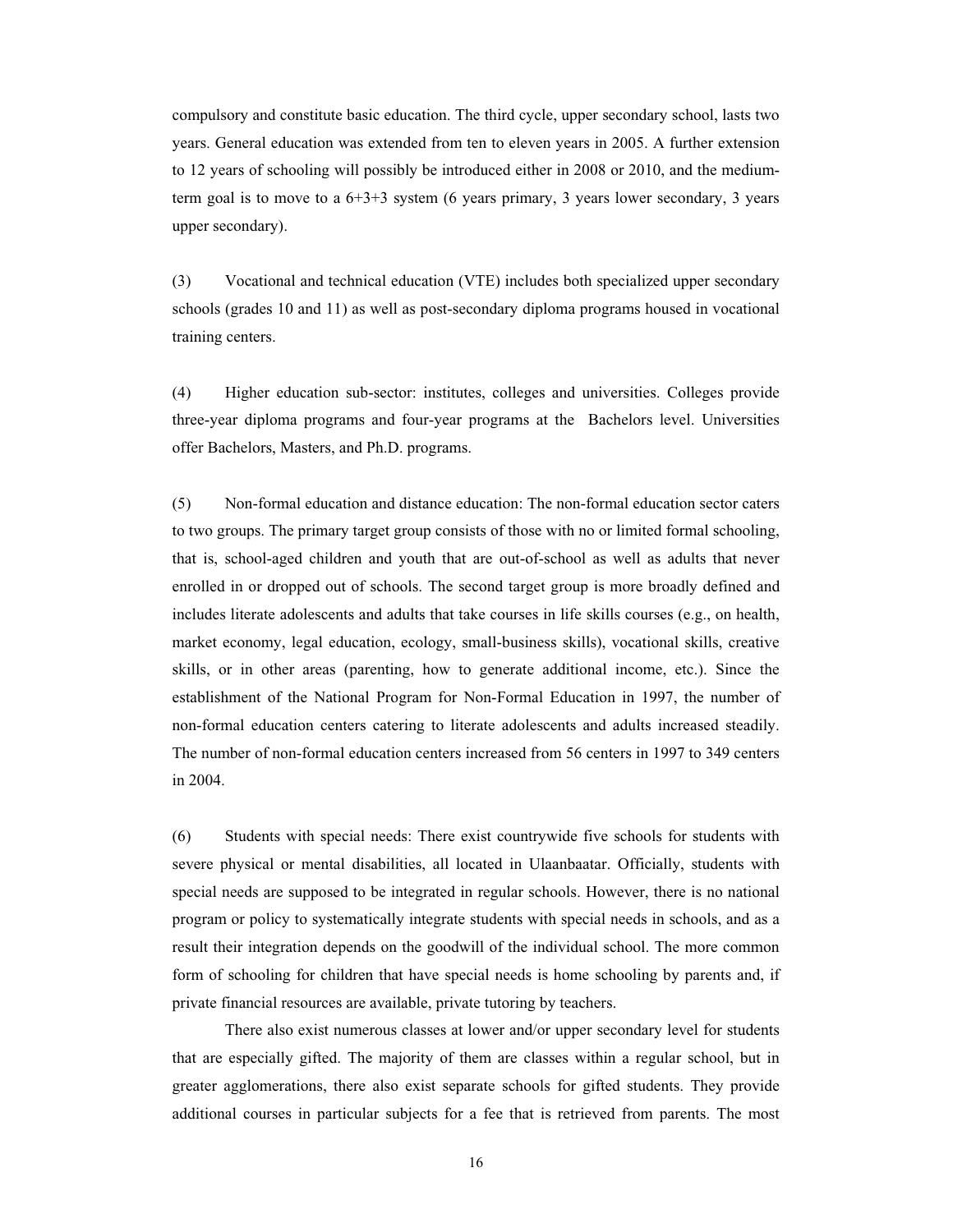compulsory and constitute basic education. The third cycle, upper secondary school, lasts two years. General education was extended from ten to eleven years in 2005. A further extension to 12 years of schooling will possibly be introduced either in 2008 or 2010, and the mediumterm goal is to move to a  $6+3+3$  system (6 years primary, 3 years lower secondary, 3 years upper secondary).

(3) Vocational and technical education (VTE) includes both specialized upper secondary schools (grades 10 and 11) as well as post-secondary diploma programs housed in vocational training centers.

(4) Higher education sub-sector: institutes, colleges and universities. Colleges provide three-year diploma programs and four-year programs at the Bachelors level. Universities offer Bachelors, Masters, and Ph.D. programs.

(5) Non-formal education and distance education: The non-formal education sector caters to two groups. The primary target group consists of those with no or limited formal schooling, that is, school-aged children and youth that are out-of-school as well as adults that never enrolled in or dropped out of schools. The second target group is more broadly defined and includes literate adolescents and adults that take courses in life skills courses (e.g., on health, market economy, legal education, ecology, small-business skills), vocational skills, creative skills, or in other areas (parenting, how to generate additional income, etc.). Since the establishment of the National Program for Non-Formal Education in 1997, the number of non-formal education centers catering to literate adolescents and adults increased steadily. The number of non-formal education centers increased from 56 centers in 1997 to 349 centers in 2004.

(6) Students with special needs: There exist countrywide five schools for students with severe physical or mental disabilities, all located in Ulaanbaatar. Officially, students with special needs are supposed to be integrated in regular schools. However, there is no national program or policy to systematically integrate students with special needs in schools, and as a result their integration depends on the goodwill of the individual school. The more common form of schooling for children that have special needs is home schooling by parents and, if private financial resources are available, private tutoring by teachers.

There also exist numerous classes at lower and/or upper secondary level for students that are especially gifted. The majority of them are classes within a regular school, but in greater agglomerations, there also exist separate schools for gifted students. They provide additional courses in particular subjects for a fee that is retrieved from parents. The most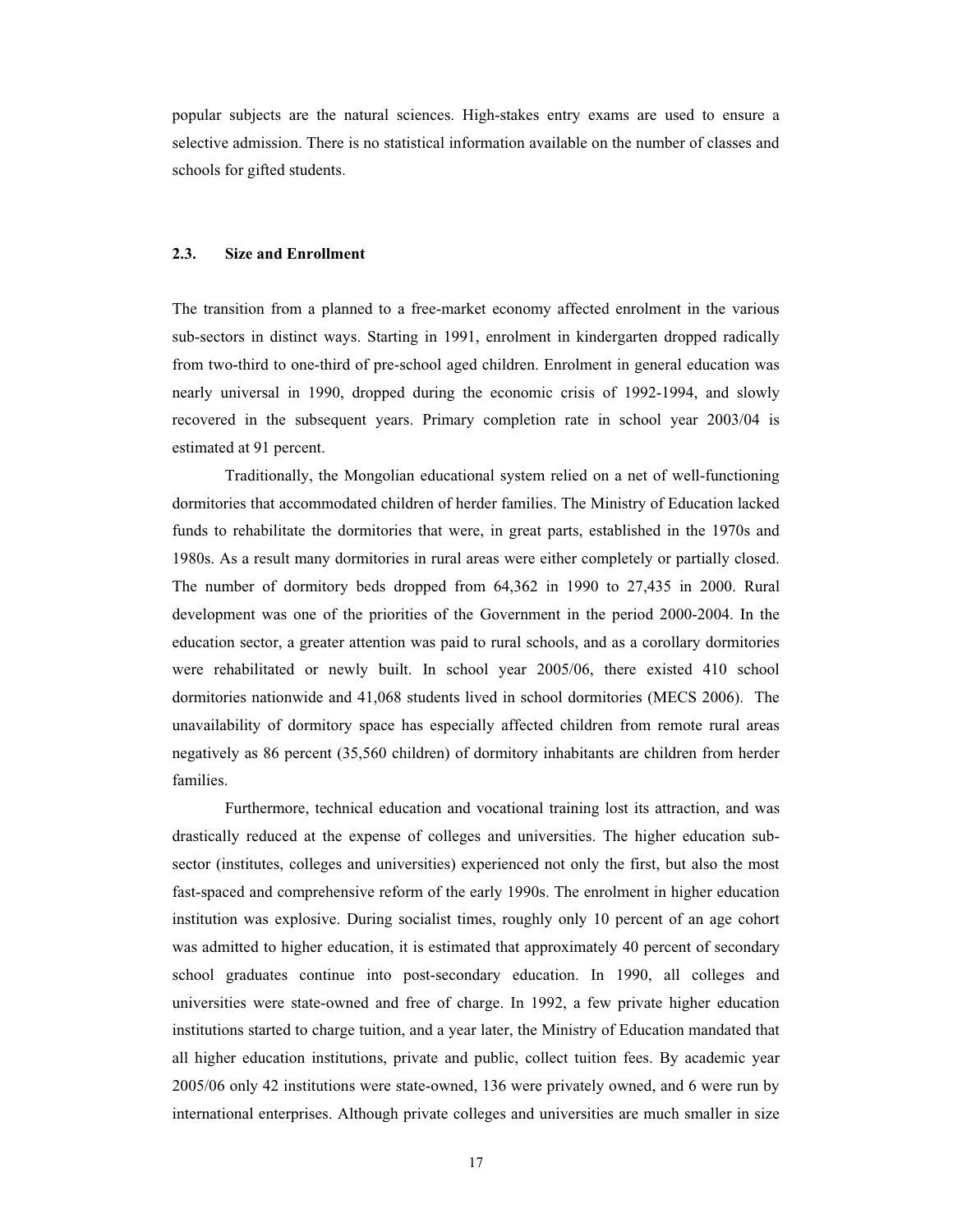popular subjects are the natural sciences. High-stakes entry exams are used to ensure a selective admission. There is no statistical information available on the number of classes and schools for gifted students.

#### **2.3. Size and Enrollment**

The transition from a planned to a free-market economy affected enrolment in the various sub-sectors in distinct ways. Starting in 1991, enrolment in kindergarten dropped radically from two-third to one-third of pre-school aged children. Enrolment in general education was nearly universal in 1990, dropped during the economic crisis of 1992-1994, and slowly recovered in the subsequent years. Primary completion rate in school year 2003/04 is estimated at 91 percent.

Traditionally, the Mongolian educational system relied on a net of well-functioning dormitories that accommodated children of herder families. The Ministry of Education lacked funds to rehabilitate the dormitories that were, in great parts, established in the 1970s and 1980s. As a result many dormitories in rural areas were either completely or partially closed. The number of dormitory beds dropped from 64,362 in 1990 to 27,435 in 2000. Rural development was one of the priorities of the Government in the period 2000-2004. In the education sector, a greater attention was paid to rural schools, and as a corollary dormitories were rehabilitated or newly built. In school year 2005/06, there existed 410 school dormitories nationwide and 41,068 students lived in school dormitories (MECS 2006). The unavailability of dormitory space has especially affected children from remote rural areas negatively as 86 percent (35,560 children) of dormitory inhabitants are children from herder families.

<span id="page-16-0"></span>Furthermore, technical education and vocational training lost its attraction, and was drastically reduced at the expense of colleges and universities. The higher education subsector (institutes, colleges and universities) experienced not only the first, but also the most fast-spaced and comprehensive reform of the early 1990s. The enrolment in higher education institution was explosive. During socialist times, roughly only 10 percent of an age cohort was admitted to higher education, it is estimated that approximately 40 percent of secondary school graduates continue into post-secondary education. In 1990, all colleges and universities were state-owned and free of charge. In 1992, a few private higher education institutions started to charge tuition, and a year later, the Ministry of Education mandated that all higher education institutions, private and public, collect tuition fees. By academic year 2005/06 only 42 institutions were state-owned, 136 were privately owned, and 6 were run by international enterprises. Although private colleges and universities are much smaller in size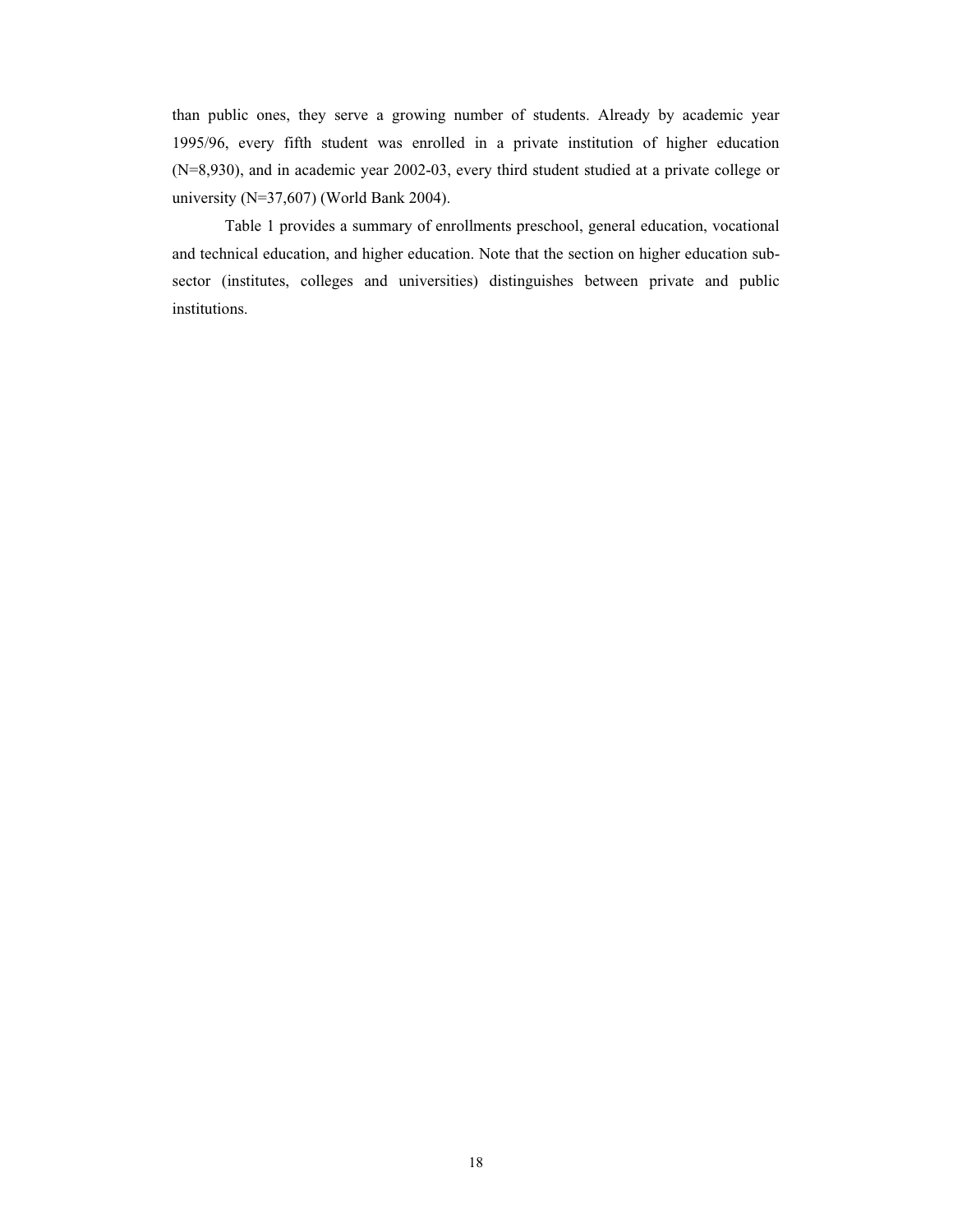than public ones, they serve a growing number of students. Already by academic year 1995/96, every fifth student was enrolled in a private institution of higher education (N=8,930), and in academic year 2002-03, every third student studied at a private college or university (N=37,607) (World Bank 2004).

Table 1 provides a summary of enrollments preschool, general education, vocational and technical education, and higher education. Note that the section on higher education subsector (institutes, colleges and universities) distinguishes between private and public institutions.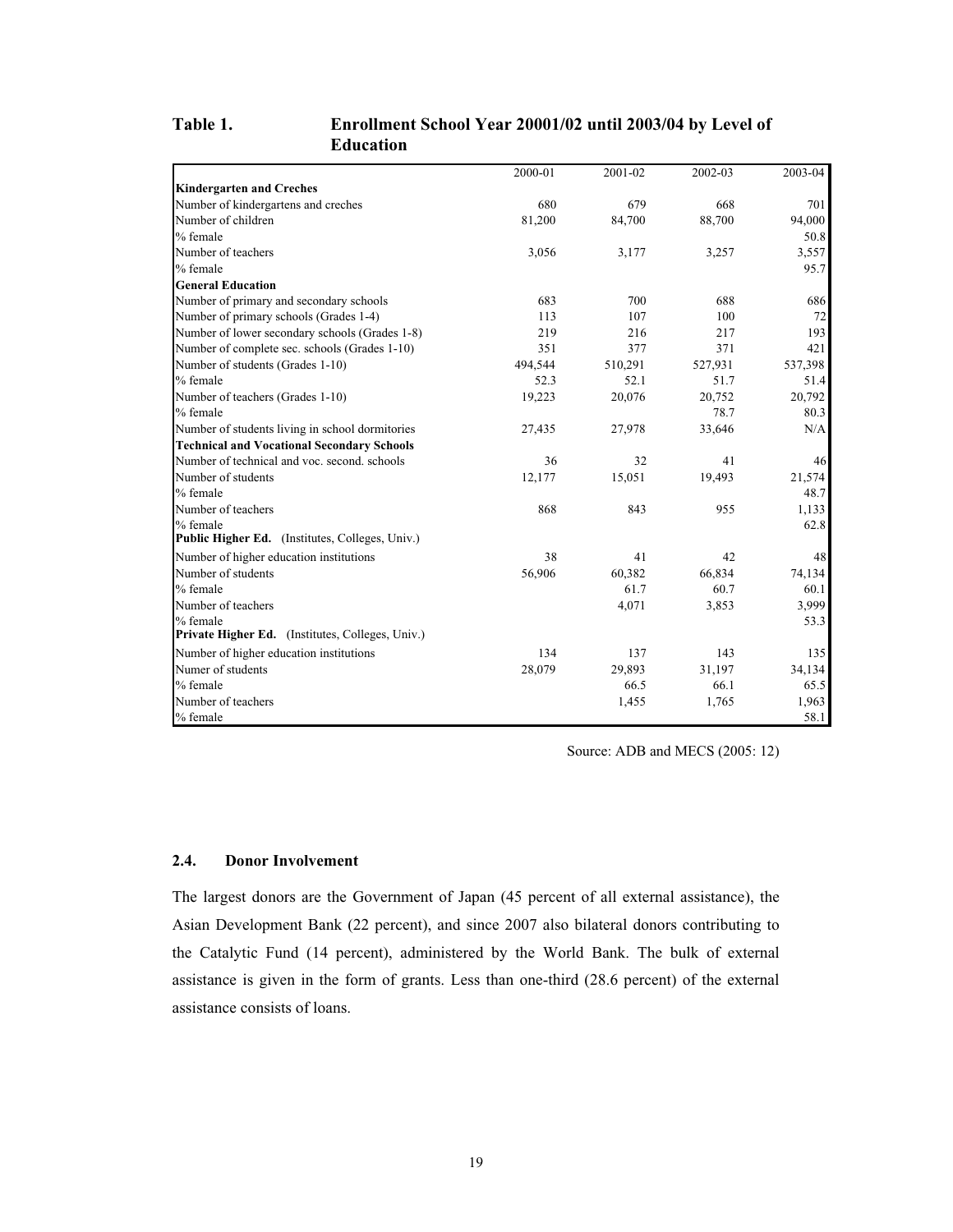## **Table 1. Enrollment School Year 20001/02 until 2003/04 by Level of Education**

|                                                   | 2000-01 | 2001-02 | 2002-03 | 2003-04 |
|---------------------------------------------------|---------|---------|---------|---------|
| <b>Kindergarten and Creches</b>                   |         |         |         |         |
| Number of kindergartens and creches               | 680     | 679     | 668     | 701     |
| Number of children                                | 81,200  | 84,700  | 88,700  | 94,000  |
| % female                                          |         |         |         | 50.8    |
| Number of teachers                                | 3,056   | 3,177   | 3,257   | 3,557   |
| % female                                          |         |         |         | 95.7    |
| <b>General Education</b>                          |         |         |         |         |
| Number of primary and secondary schools           | 683     | 700     | 688     | 686     |
| Number of primary schools (Grades 1-4)            | 113     | 107     | 100     | 72      |
| Number of lower secondary schools (Grades 1-8)    | 219     | 216     | 217     | 193     |
| Number of complete sec. schools (Grades 1-10)     | 351     | 377     | 371     | 421     |
| Number of students (Grades 1-10)                  | 494,544 | 510,291 | 527,931 | 537,398 |
| % female                                          | 52.3    | 52.1    | 51.7    | 51.4    |
| Number of teachers (Grades 1-10)                  | 19,223  | 20,076  | 20,752  | 20,792  |
| % female                                          |         |         | 78.7    | 80.3    |
| Number of students living in school dormitories   | 27,435  | 27,978  | 33,646  | N/A     |
| <b>Technical and Vocational Secondary Schools</b> |         |         |         |         |
| Number of technical and voc. second. schools      | 36      | 32      | 41      | 46      |
| Number of students                                | 12,177  | 15,051  | 19,493  | 21,574  |
| % female                                          |         |         |         | 48.7    |
| Number of teachers                                | 868     | 843     | 955     | 1,133   |
| % female                                          |         |         |         | 62.8    |
| Public Higher Ed. (Institutes, Colleges, Univ.)   |         |         |         |         |
| Number of higher education institutions           | 38      | 41      | 42      | 48      |
| Number of students                                | 56,906  | 60,382  | 66,834  | 74,134  |
| % female                                          |         | 61.7    | 60.7    | 60.1    |
| Number of teachers                                |         | 4,071   | 3,853   | 3,999   |
| % female                                          |         |         |         | 53.3    |
| Private Higher Ed. (Institutes, Colleges, Univ.)  |         |         |         |         |
| Number of higher education institutions           | 134     | 137     | 143     | 135     |
| Numer of students                                 | 28,079  | 29,893  | 31,197  | 34,134  |
| % female                                          |         | 66.5    | 66.1    | 65.5    |
| Number of teachers                                |         | 1,455   | 1,765   | 1,963   |
| % female                                          |         |         |         | 58.1    |

Source: ADB and MECS (2005: 12)

## **2.4. Donor Involvement**

<span id="page-18-0"></span>The largest donors are the Government of Japan (45 percent of all external assistance), the Asian Development Bank (22 percent), and since 2007 also bilateral donors contributing to the Catalytic Fund (14 percent), administered by the World Bank. The bulk of external assistance is given in the form of grants. Less than one-third (28.6 percent) of the external assistance consists of loans.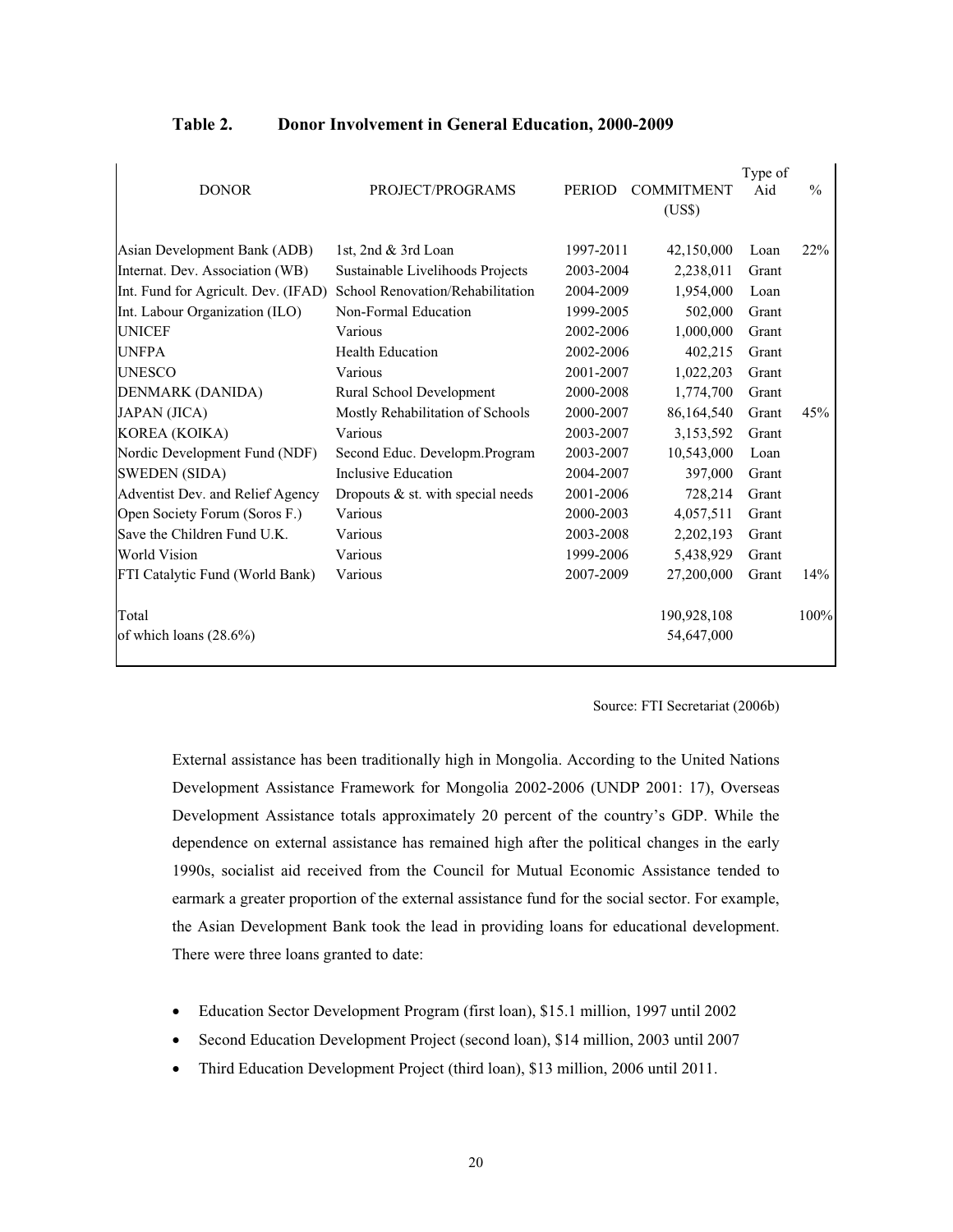|                                     |                                     |               |                   | Type of |               |
|-------------------------------------|-------------------------------------|---------------|-------------------|---------|---------------|
| <b>DONOR</b>                        | PROJECT/PROGRAMS                    | <b>PERIOD</b> | <b>COMMITMENT</b> | Aid     | $\frac{0}{0}$ |
|                                     |                                     |               | (US\$)            |         |               |
|                                     |                                     |               |                   |         |               |
| Asian Development Bank (ADB)        | 1st, 2nd & 3rd Loan                 | 1997-2011     | 42,150,000        | Loan    | 22%           |
| Internat. Dev. Association (WB)     | Sustainable Livelihoods Projects    | 2003-2004     | 2,238,011         | Grant   |               |
| Int. Fund for Agricult. Dev. (IFAD) | School Renovation/Rehabilitation    | 2004-2009     | 1,954,000         | Loan    |               |
| Int. Labour Organization (ILO)      | Non-Formal Education                | 1999-2005     | 502,000           | Grant   |               |
| <b>UNICEF</b>                       | Various                             | 2002-2006     | 1,000,000         | Grant   |               |
| <b>UNFPA</b>                        | <b>Health Education</b>             | 2002-2006     | 402,215           | Grant   |               |
| <b>UNESCO</b>                       | Various                             | 2001-2007     | 1,022,203         | Grant   |               |
| DENMARK (DANIDA)                    | Rural School Development            | 2000-2008     | 1,774,700         | Grant   |               |
| JAPAN (JICA)                        | Mostly Rehabilitation of Schools    | 2000-2007     | 86,164,540        | Grant   | 45%           |
| KOREA (KOIKA)                       | Various                             | 2003-2007     | 3,153,592         | Grant   |               |
| Nordic Development Fund (NDF)       | Second Educ. Developm.Program       | 2003-2007     | 10,543,000        | Loan    |               |
| <b>SWEDEN</b> (SIDA)                | Inclusive Education                 | 2004-2007     | 397,000           | Grant   |               |
| Adventist Dev. and Relief Agency    | Dropouts $&$ st. with special needs | 2001-2006     | 728,214           | Grant   |               |
| Open Society Forum (Soros F.)       | Various                             | 2000-2003     | 4,057,511         | Grant   |               |
| Save the Children Fund U.K.         | Various                             | 2003-2008     | 2,202,193         | Grant   |               |
| <b>World Vision</b>                 | Various                             | 1999-2006     | 5,438,929         | Grant   |               |
| FTI Catalytic Fund (World Bank)     | Various                             | 2007-2009     | 27,200,000        | Grant   | 14%           |
| Total                               |                                     |               | 190,928,108       |         | 100%          |
| of which loans $(28.6\%)$           |                                     |               | 54,647,000        |         |               |

## **Table 2. Donor Involvement in General Education, 2000-2009**

#### Source: FTI Secretariat (2006b)

External assistance has been traditionally high in Mongolia. According to the United Nations Development Assistance Framework for Mongolia 2002-2006 (UNDP 2001: 17), Overseas Development Assistance totals approximately 20 percent of the country's GDP. While the dependence on external assistance has remained high after the political changes in the early 1990s, socialist aid received from the Council for Mutual Economic Assistance tended to earmark a greater proportion of the external assistance fund for the social sector. For example, the Asian Development Bank took the lead in providing loans for educational development. There were three loans granted to date:

- Education Sector Development Program (first loan), \$15.1 million, 1997 until 2002
- x Second Education Development Project (second loan), \$14 million, 2003 until 2007
- <span id="page-19-0"></span>• Third Education Development Project (third loan), \$13 million, 2006 until 2011.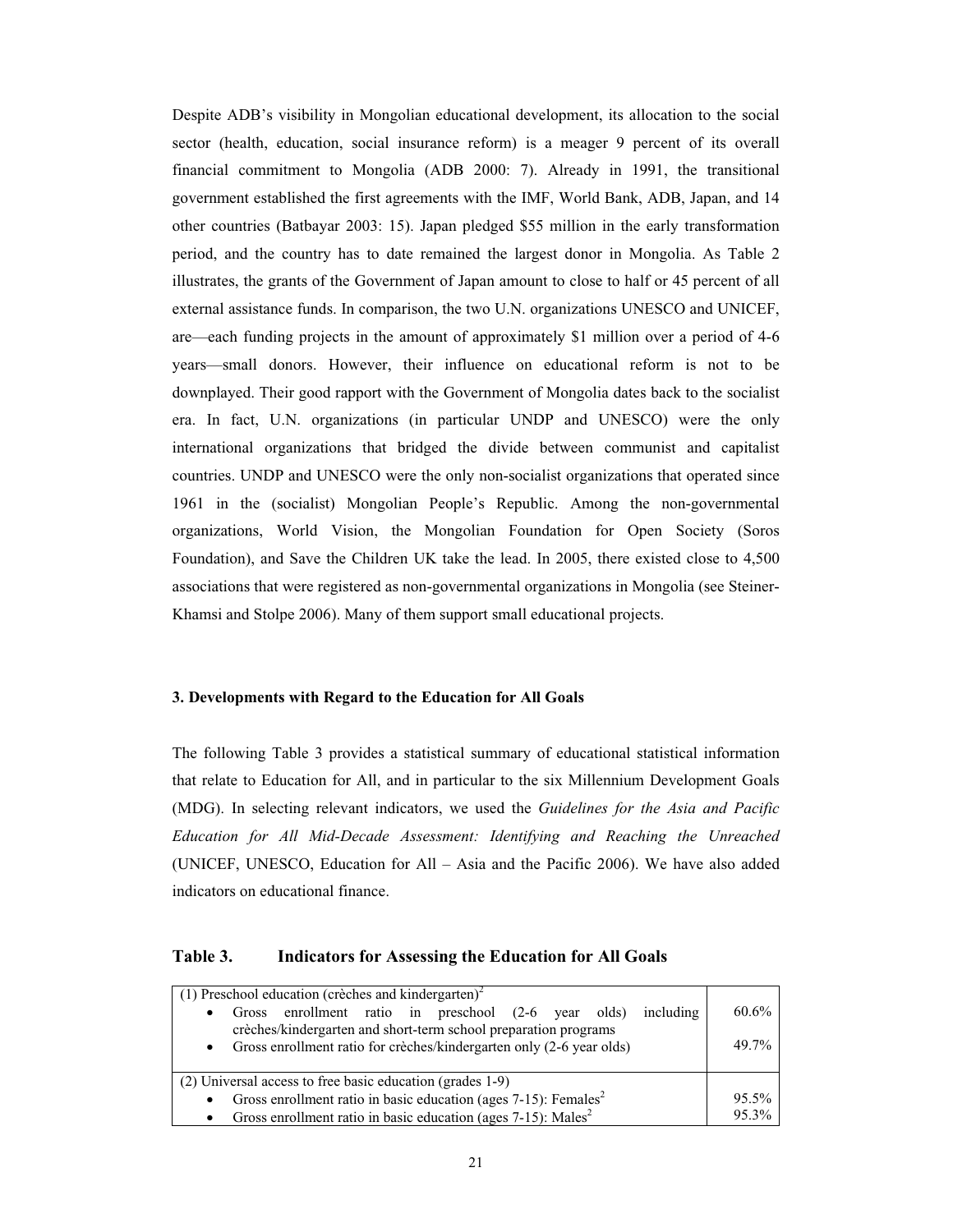Despite ADB's visibility in Mongolian educational development, its allocation to the social sector (health, education, social insurance reform) is a meager 9 percent of its overall financial commitment to Mongolia (ADB 2000: 7). Already in 1991, the transitional government established the first agreements with the IMF, World Bank, ADB, Japan, and 14 other countries (Batbayar 2003: 15). Japan pledged \$55 million in the early transformation period, and the country has to date remained the largest donor in Mongolia. As Table 2 illustrates, the grants of the Government of Japan amount to close to half or 45 percent of all external assistance funds. In comparison, the two U.N. organizations UNESCO and UNICEF, are—each funding projects in the amount of approximately \$1 million over a period of 4-6 years—small donors. However, their influence on educational reform is not to be downplayed. Their good rapport with the Government of Mongolia dates back to the socialist era. In fact, U.N. organizations (in particular UNDP and UNESCO) were the only international organizations that bridged the divide between communist and capitalist countries. UNDP and UNESCO were the only non-socialist organizations that operated since 1961 in the (socialist) Mongolian People's Republic. Among the non-governmental organizations, World Vision, the Mongolian Foundation for Open Society (Soros Foundation), and Save the Children UK take the lead. In 2005, there existed close to 4,500 associations that were registered as non-governmental organizations in Mongolia (see Steiner-Khamsi and Stolpe 2006). Many of them support small educational projects.

#### **3. Developments with Regard to the Education for All Goals**

The following Table 3 provides a statistical summary of educational statistical information that relate to Education for All, and in particular to the six Millennium Development Goals (MDG). In selecting relevant indicators, we used the *Guidelines for the Asia and Pacific Education for All Mid-Decade Assessment: Identifying and Reaching the Unreached*  (UNICEF, UNESCO, Education for All – Asia and the Pacific 2006). We have also added indicators on educational finance.

## **Table 3. Indicators for Assessing the Education for All Goals**

<span id="page-20-0"></span>

| $(1)$ Preschool education (crèches and kindergarten) <sup>2</sup>                                                                                    |       |
|------------------------------------------------------------------------------------------------------------------------------------------------------|-------|
| Gross enrollment ratio in preschool (2-6 year olds)<br>including<br>$\bullet$                                                                        | 60.6% |
| crèches/kindergarten and short-term school preparation programs<br>Gross enrollment ratio for crèches/kindergarten only (2-6 year olds)<br>$\bullet$ | 49.7% |
| (2) Universal access to free basic education (grades 1-9)                                                                                            |       |
| Gross enrollment ratio in basic education (ages $7-15$ ): Females <sup>2</sup><br>$\bullet$                                                          | 95.5% |
| Gross enrollment ratio in basic education (ages $7-15$ ): Males <sup>2</sup>                                                                         | 95.3% |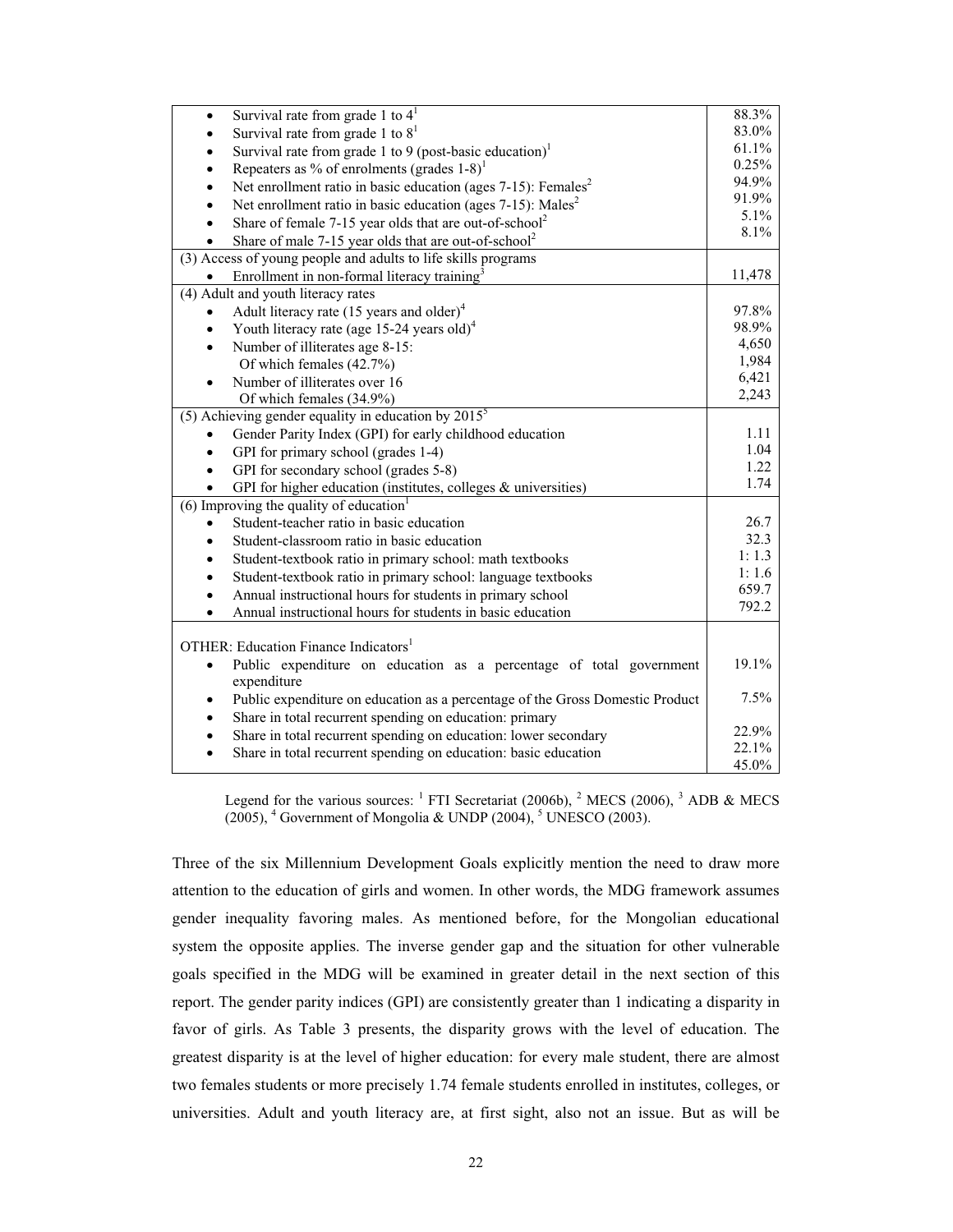| Survival rate from grade 1 to $41$<br>$\bullet$                                            | 88.3%  |
|--------------------------------------------------------------------------------------------|--------|
| Survival rate from grade 1 to $81$                                                         | 83.0%  |
| Survival rate from grade 1 to 9 (post-basic education) <sup>1</sup>                        | 61.1%  |
| Repeaters as % of enrolments (grades $1-8$ ) <sup>1</sup>                                  | 0.25%  |
| Net enrollment ratio in basic education (ages $7-15$ ): Females <sup>2</sup>               | 94.9%  |
| Net enrollment ratio in basic education (ages 7-15): Males <sup>2</sup>                    | 91.9%  |
| Share of female 7-15 year olds that are out-of-school <sup>2</sup>                         | 5.1%   |
| Share of male 7-15 year olds that are out-of-school <sup>2</sup>                           | 8.1%   |
| (3) Access of young people and adults to life skills programs                              |        |
| Enrollment in non-formal literacy training <sup>3</sup>                                    | 11,478 |
| (4) Adult and youth literacy rates                                                         |        |
| Adult literacy rate (15 years and older) <sup>4</sup>                                      | 97.8%  |
| Youth literacy rate (age 15-24 years old) <sup>4</sup><br>$\bullet$                        | 98.9%  |
| Number of illiterates age 8-15:                                                            | 4,650  |
| Of which females (42.7%)                                                                   | 1,984  |
| Number of illiterates over 16                                                              | 6,421  |
| Of which females (34.9%)                                                                   | 2,243  |
| (5) Achieving gender equality in education by $\overline{2015^5}$                          |        |
| Gender Parity Index (GPI) for early childhood education                                    | 1.11   |
| GPI for primary school (grades 1-4)                                                        | 1.04   |
| GPI for secondary school (grades 5-8)                                                      | 1.22   |
| GPI for higher education (institutes, colleges $\&$ universities)                          | 1.74   |
| $(6)$ Improving the quality of education <sup>1</sup>                                      |        |
| Student-teacher ratio in basic education                                                   | 26.7   |
| Student-classroom ratio in basic education                                                 | 32.3   |
| Student-textbook ratio in primary school: math textbooks                                   | 1:1.3  |
| Student-textbook ratio in primary school: language textbooks                               | 1:1.6  |
| Annual instructional hours for students in primary school                                  | 659.7  |
| Annual instructional hours for students in basic education                                 | 792.2  |
|                                                                                            |        |
| OTHER: Education Finance Indicators <sup>1</sup>                                           |        |
| Public expenditure on education as a percentage of total government<br>$\bullet$           | 19.1%  |
| expenditure                                                                                |        |
| Public expenditure on education as a percentage of the Gross Domestic Product<br>$\bullet$ | 7.5%   |
| Share in total recurrent spending on education: primary                                    |        |
| Share in total recurrent spending on education: lower secondary<br>$\bullet$               | 22.9%  |
| Share in total recurrent spending on education: basic education<br>$\bullet$               | 22.1%  |
|                                                                                            | 45.0%  |

Legend for the various sources:  $^1$  FTI Secretariat (2006b),  $^2$  MECS (2006),  $^3$  ADB & MECS  $(2005)$ , <sup>4</sup> Government of Mongolia & UNDP  $(2004)$ , <sup>5</sup> UNESCO  $(2003)$ .

Three of the six Millennium Development Goals explicitly mention the need to draw more attention to the education of girls and women. In other words, the MDG framework assumes gender inequality favoring males. As mentioned before, for the Mongolian educational system the opposite applies. The inverse gender gap and the situation for other vulnerable goals specified in the MDG will be examined in greater detail in the next section of this report. The gender parity indices (GPI) are consistently greater than 1 indicating a disparity in favor of girls. As Table 3 presents, the disparity grows with the level of education. The greatest disparity is at the level of higher education: for every male student, there are almost two females students or more precisely 1.74 female students enrolled in institutes, colleges, or universities. Adult and youth literacy are, at first sight, also not an issue. But as will be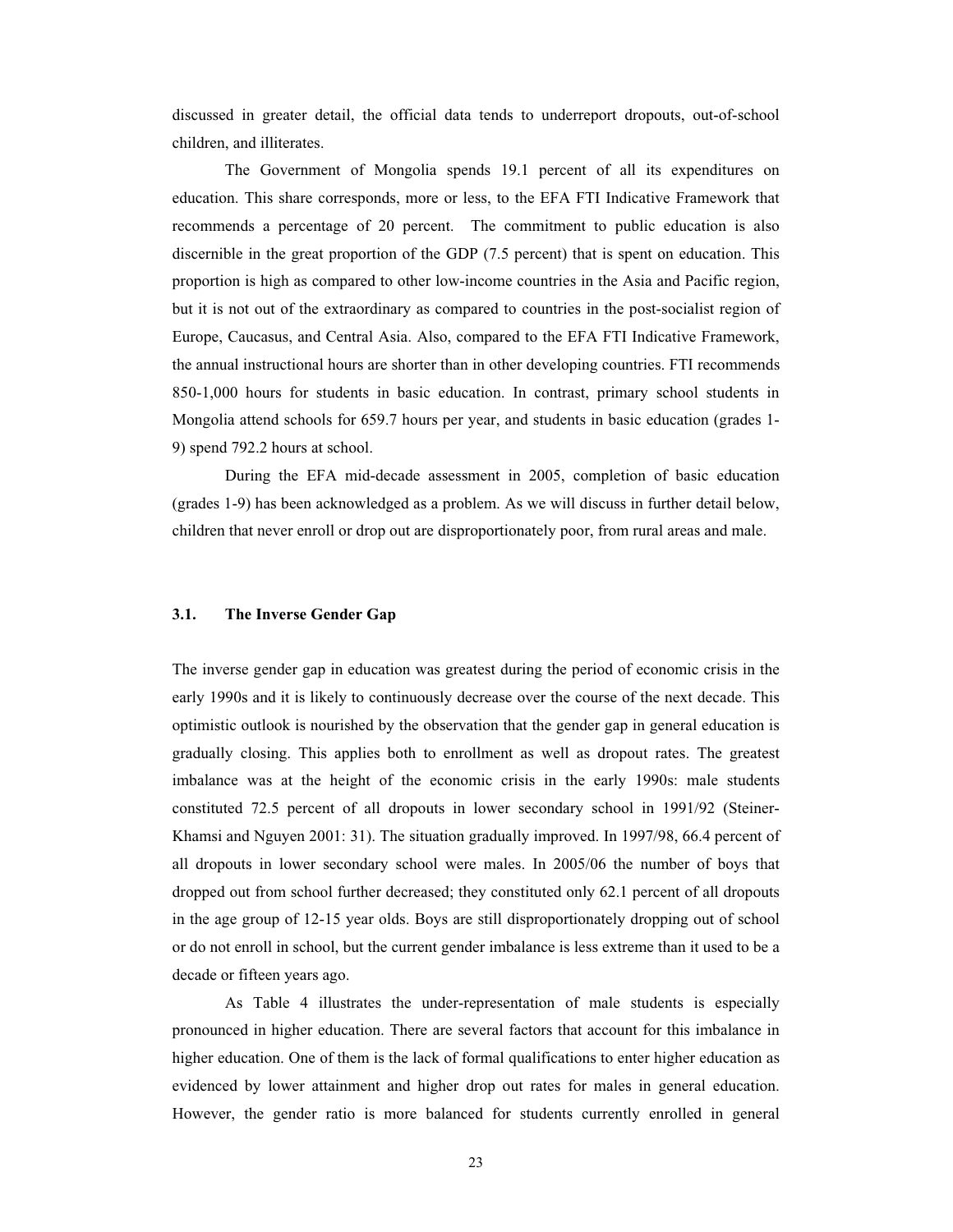discussed in greater detail, the official data tends to underreport dropouts, out-of-school children, and illiterates.

The Government of Mongolia spends 19.1 percent of all its expenditures on education. This share corresponds, more or less, to the EFA FTI Indicative Framework that recommends a percentage of 20 percent. The commitment to public education is also discernible in the great proportion of the GDP (7.5 percent) that is spent on education. This proportion is high as compared to other low-income countries in the Asia and Pacific region, but it is not out of the extraordinary as compared to countries in the post-socialist region of Europe, Caucasus, and Central Asia. Also, compared to the EFA FTI Indicative Framework, the annual instructional hours are shorter than in other developing countries. FTI recommends 850-1,000 hours for students in basic education. In contrast, primary school students in Mongolia attend schools for 659.7 hours per year, and students in basic education (grades 1- 9) spend 792.2 hours at school.

During the EFA mid-decade assessment in 2005, completion of basic education (grades 1-9) has been acknowledged as a problem. As we will discuss in further detail below, children that never enroll or drop out are disproportionately poor, from rural areas and male.

# **3.1. The Inverse Gender Gap**

The inverse gender gap in education was greatest during the period of economic crisis in the early 1990s and it is likely to continuously decrease over the course of the next decade. This optimistic outlook is nourished by the observation that the gender gap in general education is gradually closing. This applies both to enrollment as well as dropout rates. The greatest imbalance was at the height of the economic crisis in the early 1990s: male students constituted 72.5 percent of all dropouts in lower secondary school in 1991/92 (Steiner-Khamsi and Nguyen 2001: 31). The situation gradually improved. In 1997/98, 66.4 percent of all dropouts in lower secondary school were males. In 2005/06 the number of boys that dropped out from school further decreased; they constituted only 62.1 percent of all dropouts in the age group of 12-15 year olds. Boys are still disproportionately dropping out of school or do not enroll in school, but the current gender imbalance is less extreme than it used to be a decade or fifteen years ago.

<span id="page-22-0"></span>As Table 4 illustrates the under-representation of male students is especially pronounced in higher education. There are several factors that account for this imbalance in higher education. One of them is the lack of formal qualifications to enter higher education as evidenced by lower attainment and higher drop out rates for males in general education. However, the gender ratio is more balanced for students currently enrolled in general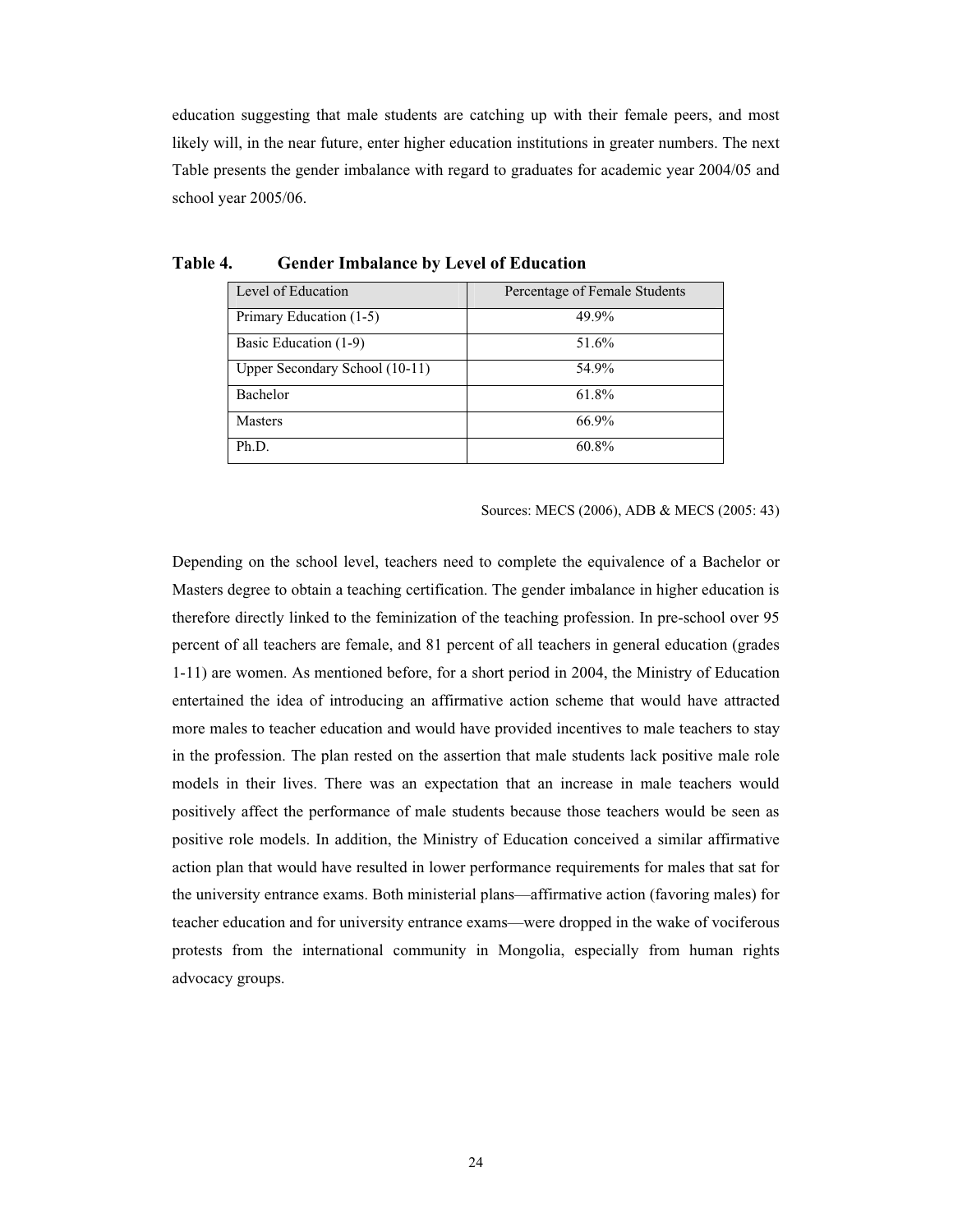education suggesting that male students are catching up with their female peers, and most likely will, in the near future, enter higher education institutions in greater numbers. The next Table presents the gender imbalance with regard to graduates for academic year 2004/05 and school year 2005/06.

| Level of Education             | Percentage of Female Students |
|--------------------------------|-------------------------------|
| Primary Education (1-5)        | 49.9%                         |
| Basic Education (1-9)          | 51.6%                         |
| Upper Secondary School (10-11) | 54.9%                         |
| Bachelor                       | 61.8%                         |
| <b>Masters</b>                 | 66.9%                         |
| Ph.D.                          | 60.8%                         |

Sources: MECS (2006), ADB & MECS (2005: 43)

<span id="page-23-0"></span>Depending on the school level, teachers need to complete the equivalence of a Bachelor or Masters degree to obtain a teaching certification. The gender imbalance in higher education is therefore directly linked to the feminization of the teaching profession. In pre-school over 95 percent of all teachers are female, and 81 percent of all teachers in general education (grades 1-11) are women. As mentioned before, for a short period in 2004, the Ministry of Education entertained the idea of introducing an affirmative action scheme that would have attracted more males to teacher education and would have provided incentives to male teachers to stay in the profession. The plan rested on the assertion that male students lack positive male role models in their lives. There was an expectation that an increase in male teachers would positively affect the performance of male students because those teachers would be seen as positive role models. In addition, the Ministry of Education conceived a similar affirmative action plan that would have resulted in lower performance requirements for males that sat for the university entrance exams. Both ministerial plans—affirmative action (favoring males) for teacher education and for university entrance exams—were dropped in the wake of vociferous protests from the international community in Mongolia, especially from human rights advocacy groups.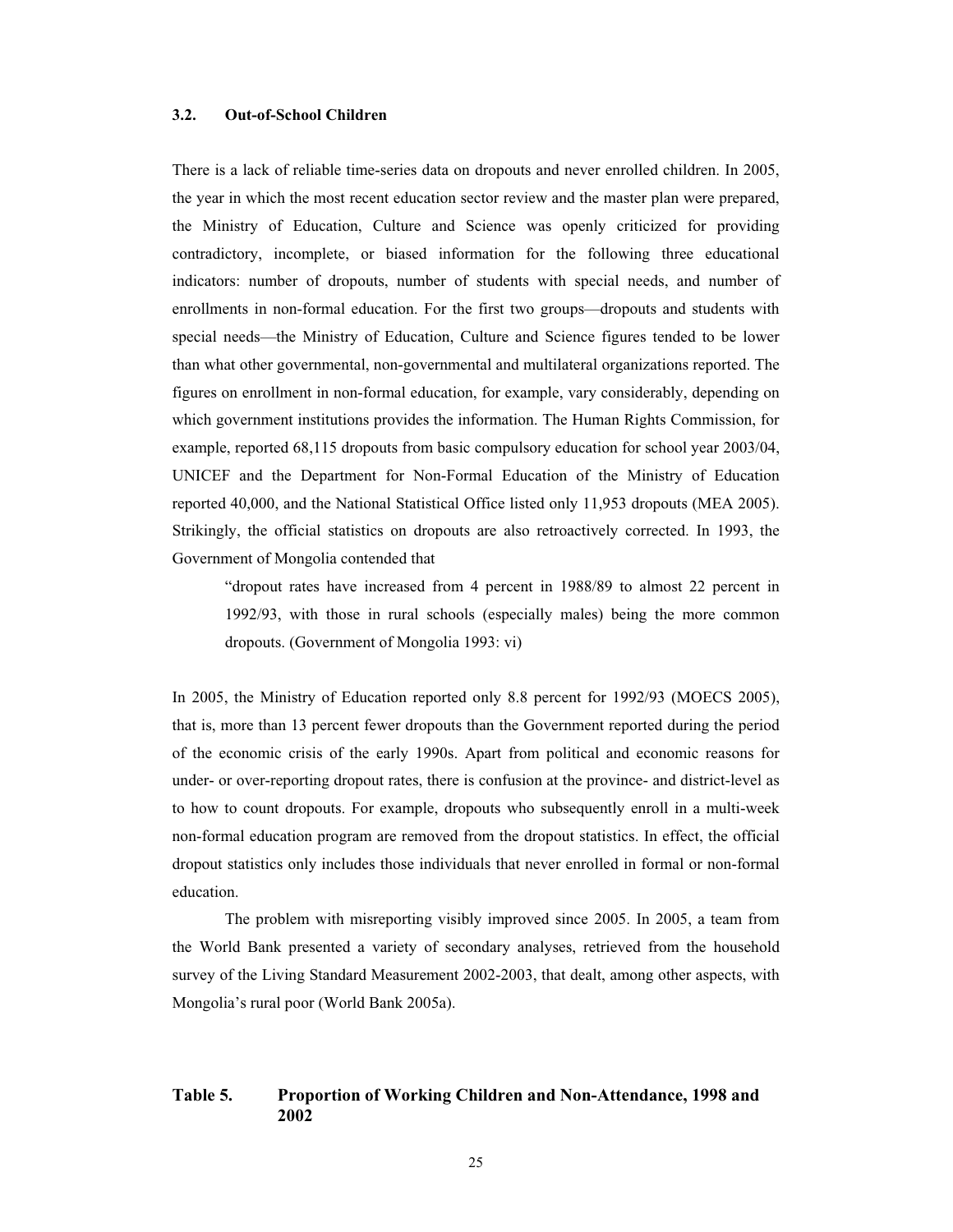## **3.2. Out-of-School Children**

There is a lack of reliable time-series data on dropouts and never enrolled children. In 2005, the year in which the most recent education sector review and the master plan were prepared, the Ministry of Education, Culture and Science was openly criticized for providing contradictory, incomplete, or biased information for the following three educational indicators: number of dropouts, number of students with special needs, and number of enrollments in non-formal education. For the first two groups—dropouts and students with special needs—the Ministry of Education, Culture and Science figures tended to be lower than what other governmental, non-governmental and multilateral organizations reported. The figures on enrollment in non-formal education, for example, vary considerably, depending on which government institutions provides the information. The Human Rights Commission, for example, reported 68,115 dropouts from basic compulsory education for school year 2003/04, UNICEF and the Department for Non-Formal Education of the Ministry of Education reported 40,000, and the National Statistical Office listed only 11,953 dropouts (MEA 2005). Strikingly, the official statistics on dropouts are also retroactively corrected. In 1993, the Government of Mongolia contended that

"dropout rates have increased from 4 percent in 1988/89 to almost 22 percent in 1992/93, with those in rural schools (especially males) being the more common dropouts. (Government of Mongolia 1993: vi)

In 2005, the Ministry of Education reported only 8.8 percent for 1992/93 (MOECS 2005), that is, more than 13 percent fewer dropouts than the Government reported during the period of the economic crisis of the early 1990s. Apart from political and economic reasons for under- or over-reporting dropout rates, there is confusion at the province- and district-level as to how to count dropouts. For example, dropouts who subsequently enroll in a multi-week non-formal education program are removed from the dropout statistics. In effect, the official dropout statistics only includes those individuals that never enrolled in formal or non-formal education.

The problem with misreporting visibly improved since 2005. In 2005, a team from the World Bank presented a variety of secondary analyses, retrieved from the household survey of the Living Standard Measurement 2002-2003, that dealt, among other aspects, with Mongolia's rural poor (World Bank 2005a).

# <span id="page-24-0"></span>**Table 5. Proportion of Working Children and Non-Attendance, 1998 and 2002**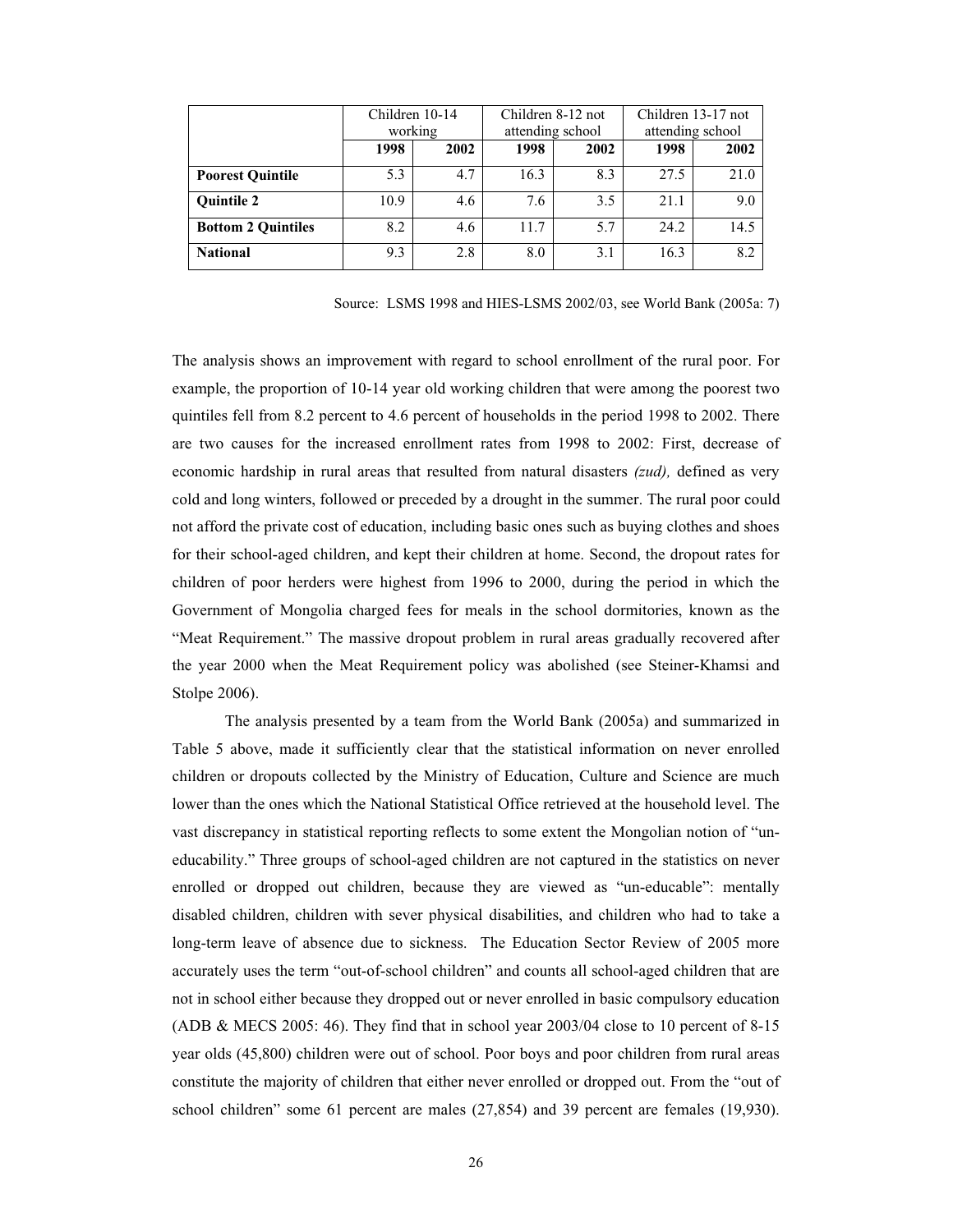|                           | Children 10-14<br>working |      | Children 8-12 not<br>attending school |      | Children 13-17 not<br>attending school |      |
|---------------------------|---------------------------|------|---------------------------------------|------|----------------------------------------|------|
|                           | 1998                      | 2002 | 1998                                  | 2002 | 1998                                   | 2002 |
| <b>Poorest Quintile</b>   | 5.3                       | 4.7  | 16.3                                  | 8.3  | 27.5                                   | 21.0 |
| <b>Ouintile 2</b>         | 10.9                      | 4.6  | 7.6                                   | 3.5  | 21.1                                   | 9.0  |
| <b>Bottom 2 Quintiles</b> | 8.2                       | 4.6  | 11.7                                  | 5.7  | 24.2                                   | 14.5 |
| <b>National</b>           | 9.3                       | 2.8  | 8.0                                   | 3.1  | 16.3                                   | 8.2  |

Source: LSMS 1998 and HIES-LSMS 2002/03, see World Bank (2005a: 7)

The analysis shows an improvement with regard to school enrollment of the rural poor. For example, the proportion of 10-14 year old working children that were among the poorest two quintiles fell from 8.2 percent to 4.6 percent of households in the period 1998 to 2002. There are two causes for the increased enrollment rates from 1998 to 2002: First, decrease of economic hardship in rural areas that resulted from natural disasters *(zud),* defined as very cold and long winters, followed or preceded by a drought in the summer. The rural poor could not afford the private cost of education, including basic ones such as buying clothes and shoes for their school-aged children, and kept their children at home. Second, the dropout rates for children of poor herders were highest from 1996 to 2000, during the period in which the Government of Mongolia charged fees for meals in the school dormitories, known as the "Meat Requirement." The massive dropout problem in rural areas gradually recovered after the year 2000 when the Meat Requirement policy was abolished (see Steiner-Khamsi and Stolpe 2006).

The analysis presented by a team from the World Bank (2005a) and summarized in Table 5 above, made it sufficiently clear that the statistical information on never enrolled children or dropouts collected by the Ministry of Education, Culture and Science are much lower than the ones which the National Statistical Office retrieved at the household level. The vast discrepancy in statistical reporting reflects to some extent the Mongolian notion of "uneducability." Three groups of school-aged children are not captured in the statistics on never enrolled or dropped out children, because they are viewed as "un-educable": mentally disabled children, children with sever physical disabilities, and children who had to take a long-term leave of absence due to sickness. The Education Sector Review of 2005 more accurately uses the term "out-of-school children" and counts all school-aged children that are not in school either because they dropped out or never enrolled in basic compulsory education (ADB & MECS 2005: 46). They find that in school year 2003/04 close to 10 percent of 8-15 year olds (45,800) children were out of school. Poor boys and poor children from rural areas constitute the majority of children that either never enrolled or dropped out. From the "out of school children" some 61 percent are males (27,854) and 39 percent are females (19,930).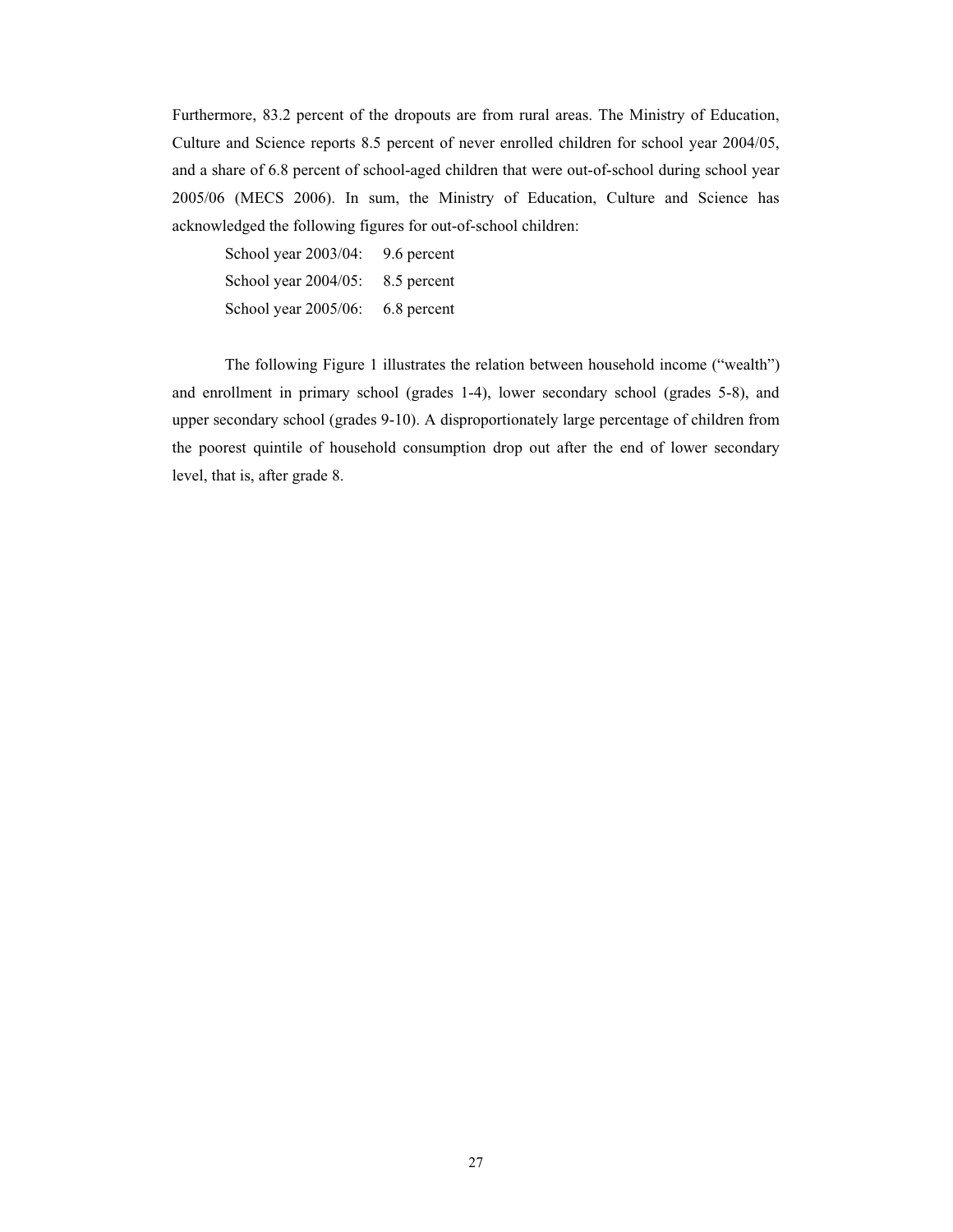Furthermore, 83.2 percent of the dropouts are from rural areas. The Ministry of Education, Culture and Science reports 8.5 percent of never enrolled children for school year 2004/05, and a share of 6.8 percent of school-aged children that were out-of-school during school year 2005/06 (MECS 2006). In sum, the Ministry of Education, Culture and Science has acknowledged the following figures for out-of-school children:

School year 2003/04: 9.6 percent School year 2004/05: 8.5 percent School year 2005/06: 6.8 percent

 The following Figure 1 illustrates the relation between household income ("wealth") and enrollment in primary school (grades 1-4), lower secondary school (grades 5-8), and upper secondary school (grades 9-10). A disproportionately large percentage of children from the poorest quintile of household consumption drop out after the end of lower secondary level, that is, after grade 8.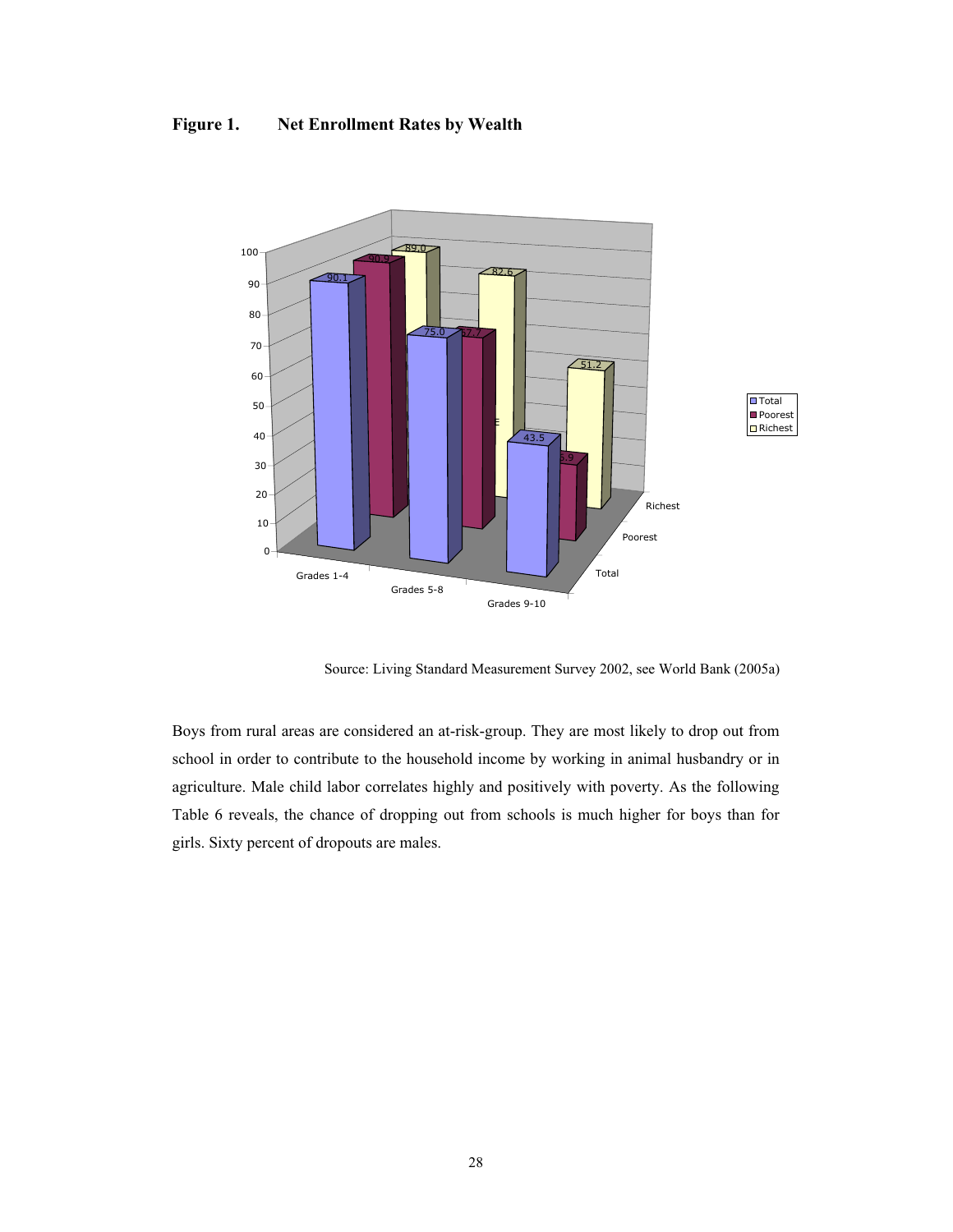# **Figure 1. Net Enrollment Rates by Wealth**



Source: Living Standard Measurement Survey 2002, see World Bank (2005a)

<span id="page-27-0"></span>Boys from rural areas are considered an at-risk-group. They are most likely to drop out from school in order to contribute to the household income by working in animal husbandry or in agriculture. Male child labor correlates highly and positively with poverty. As the following Table 6 reveals, the chance of dropping out from schools is much higher for boys than for girls. Sixty percent of dropouts are males.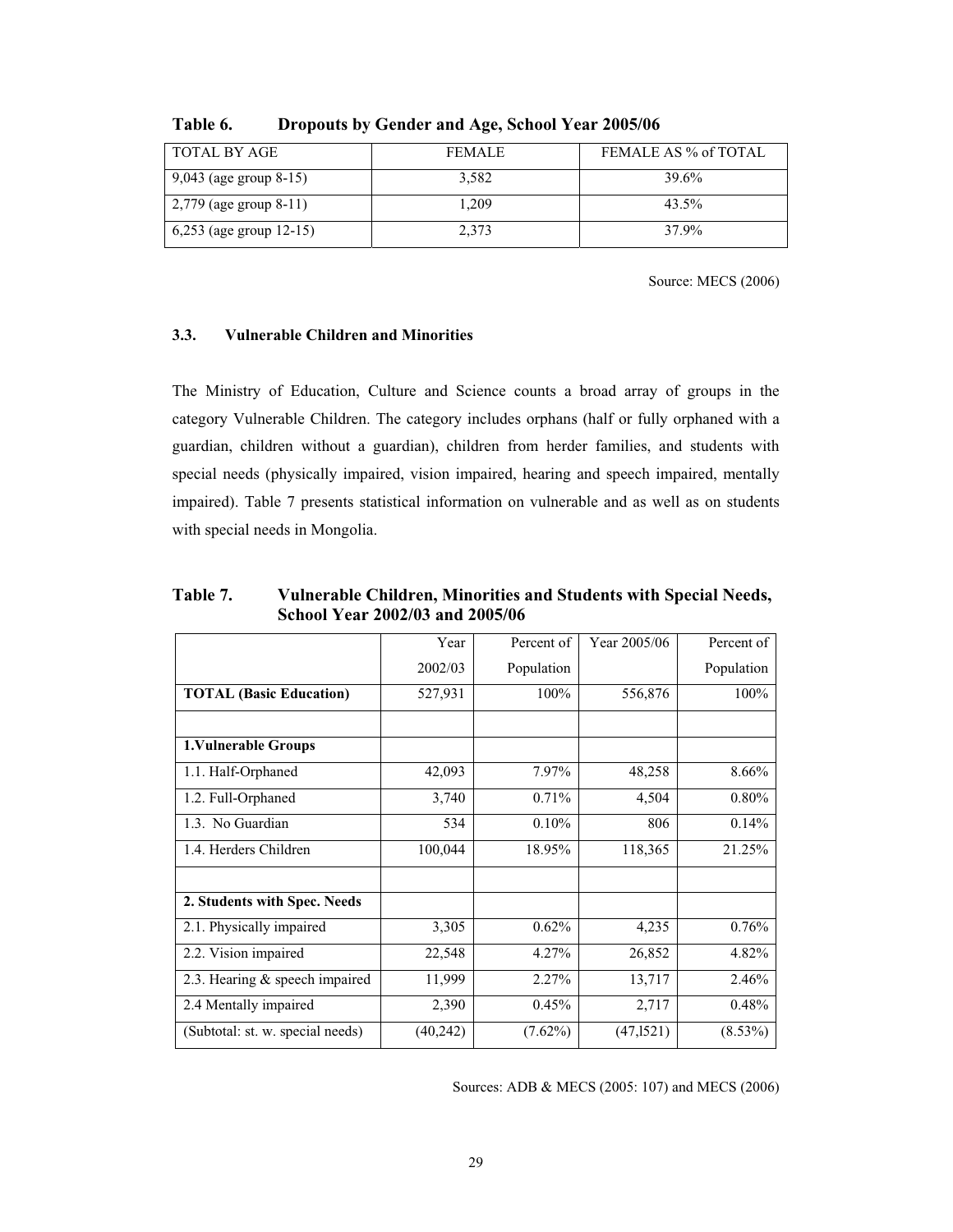| TOTAL BY AGE               | <b>FEMALE</b> | FEMALE AS % of TOTAL |
|----------------------------|---------------|----------------------|
| 9,043 (age group 8-15)     | 3.582         | 39.6%                |
| $2,779$ (age group 8-11)   | 1.209         | 43.5%                |
| 6,253 (age group $12-15$ ) | 2.373         | 37.9%                |

**Table 6. Dropouts by Gender and Age, School Year 2005/06**

Source: MECS (2006)

# **3.3. Vulnerable Children and Minorities**

The Ministry of Education, Culture and Science counts a broad array of groups in the category Vulnerable Children. The category includes orphans (half or fully orphaned with a guardian, children without a guardian), children from herder families, and students with special needs (physically impaired, vision impaired, hearing and speech impaired, mentally impaired). Table 7 presents statistical information on vulnerable and as well as on students with special needs in Mongolia.

|                                  | Year      | Percent of | Year 2005/06 | Percent of |
|----------------------------------|-----------|------------|--------------|------------|
|                                  | 2002/03   | Population |              | Population |
| <b>TOTAL (Basic Education)</b>   | 527,931   | 100%       | 556,876      | 100%       |
|                                  |           |            |              |            |
| 1. Vulnerable Groups             |           |            |              |            |
| 1.1. Half-Orphaned               | 42,093    | 7.97%      | 48,258       | 8.66%      |
| 1.2. Full-Orphaned               | 3,740     | 0.71%      | 4,504        | 0.80%      |
| 1.3. No Guardian                 | 534       | 0.10%      | 806          | 0.14%      |
| 1.4. Herders Children            | 100,044   | 18.95%     | 118,365      | 21.25%     |
|                                  |           |            |              |            |
| 2. Students with Spec. Needs     |           |            |              |            |
| 2.1. Physically impaired         | 3,305     | 0.62%      | 4,235        | 0.76%      |
| 2.2. Vision impaired             | 22,548    | 4.27%      | 26,852       | 4.82%      |
| 2.3. Hearing & speech impaired   | 11,999    | 2.27%      | 13,717       | 2.46%      |
| 2.4 Mentally impaired            | 2,390     | 0.45%      | 2,717        | 0.48%      |
| (Subtotal: st. w. special needs) | (40, 242) | $(7.62\%)$ | (47,1521)    | $(8.53\%)$ |

**Table 7. Vulnerable Children, Minorities and Students with Special Needs, School Year 2002/03 and 2005/06** 

<span id="page-28-0"></span>Sources: ADB & MECS (2005: 107) and MECS (2006)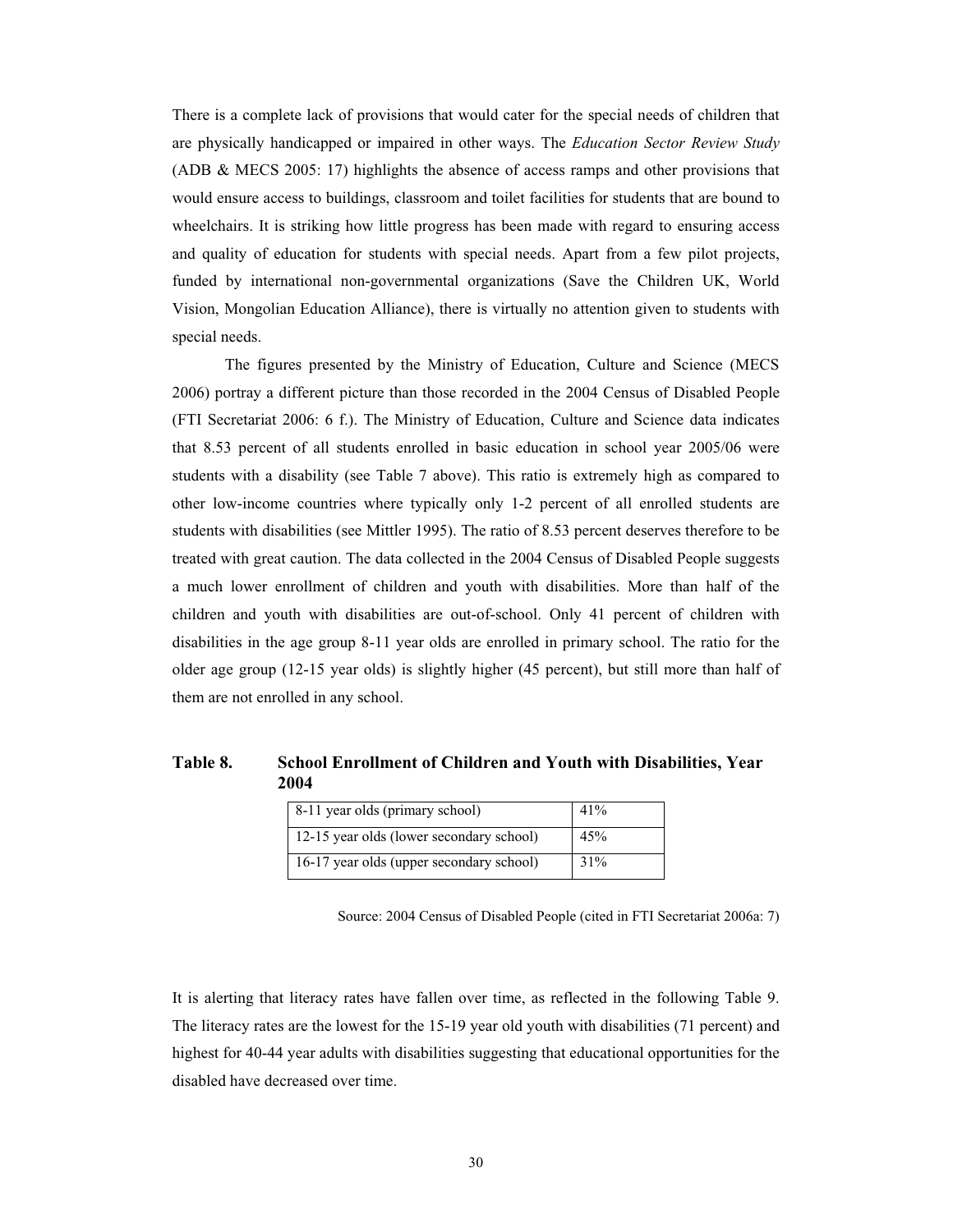There is a complete lack of provisions that would cater for the special needs of children that are physically handicapped or impaired in other ways. The *Education Sector Review Study* (ADB & MECS 2005: 17) highlights the absence of access ramps and other provisions that would ensure access to buildings, classroom and toilet facilities for students that are bound to wheelchairs. It is striking how little progress has been made with regard to ensuring access and quality of education for students with special needs. Apart from a few pilot projects, funded by international non-governmental organizations (Save the Children UK, World Vision, Mongolian Education Alliance), there is virtually no attention given to students with special needs.

 The figures presented by the Ministry of Education, Culture and Science (MECS 2006) portray a different picture than those recorded in the 2004 Census of Disabled People (FTI Secretariat 2006: 6 f.). The Ministry of Education, Culture and Science data indicates that 8.53 percent of all students enrolled in basic education in school year 2005/06 were students with a disability (see Table 7 above). This ratio is extremely high as compared to other low-income countries where typically only 1-2 percent of all enrolled students are students with disabilities (see Mittler 1995). The ratio of 8.53 percent deserves therefore to be treated with great caution. The data collected in the 2004 Census of Disabled People suggests a much lower enrollment of children and youth with disabilities. More than half of the children and youth with disabilities are out-of-school. Only 41 percent of children with disabilities in the age group 8-11 year olds are enrolled in primary school. The ratio for the older age group (12-15 year olds) is slightly higher (45 percent), but still more than half of them are not enrolled in any school.

# **Table 8. School Enrollment of Children and Youth with Disabilities, Year 2004**

| 8-11 year olds (primary school)          | 41% |
|------------------------------------------|-----|
| 12-15 year olds (lower secondary school) | 45% |
| 16-17 year olds (upper secondary school) | 31% |

Source: 2004 Census of Disabled People (cited in FTI Secretariat 2006a: 7)

<span id="page-29-0"></span>It is alerting that literacy rates have fallen over time, as reflected in the following Table 9. The literacy rates are the lowest for the 15-19 year old youth with disabilities (71 percent) and highest for 40-44 year adults with disabilities suggesting that educational opportunities for the disabled have decreased over time.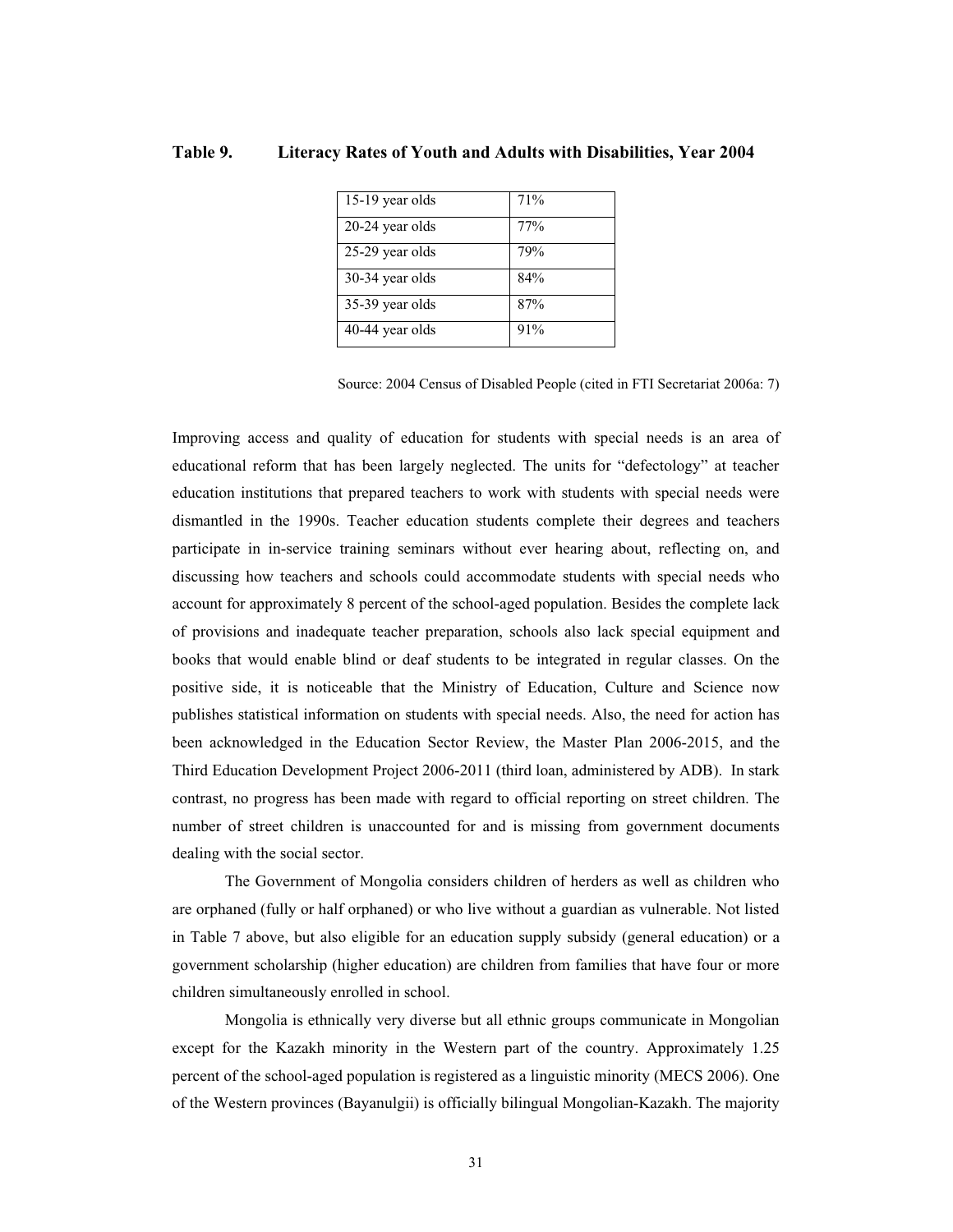| 15-19 year olds | 71% |
|-----------------|-----|
| 20-24 year olds | 77% |
| 25-29 year olds | 79% |
| 30-34 year olds | 84% |
| 35-39 year olds | 87% |
| 40-44 year olds | 91% |

## **Table 9. Literacy Rates of Youth and Adults with Disabilities, Year 2004**

Source: 2004 Census of Disabled People (cited in FTI Secretariat 2006a: 7)

Improving access and quality of education for students with special needs is an area of educational reform that has been largely neglected. The units for "defectology" at teacher education institutions that prepared teachers to work with students with special needs were dismantled in the 1990s. Teacher education students complete their degrees and teachers participate in in-service training seminars without ever hearing about, reflecting on, and discussing how teachers and schools could accommodate students with special needs who account for approximately 8 percent of the school-aged population. Besides the complete lack of provisions and inadequate teacher preparation, schools also lack special equipment and books that would enable blind or deaf students to be integrated in regular classes. On the positive side, it is noticeable that the Ministry of Education, Culture and Science now publishes statistical information on students with special needs. Also, the need for action has been acknowledged in the Education Sector Review, the Master Plan 2006-2015, and the Third Education Development Project 2006-2011 (third loan, administered by ADB). In stark contrast, no progress has been made with regard to official reporting on street children. The number of street children is unaccounted for and is missing from government documents dealing with the social sector.

 The Government of Mongolia considers children of herders as well as children who are orphaned (fully or half orphaned) or who live without a guardian as vulnerable. Not listed in Table 7 above, but also eligible for an education supply subsidy (general education) or a government scholarship (higher education) are children from families that have four or more children simultaneously enrolled in school.

<span id="page-30-0"></span> Mongolia is ethnically very diverse but all ethnic groups communicate in Mongolian except for the Kazakh minority in the Western part of the country. Approximately 1.25 percent of the school-aged population is registered as a linguistic minority (MECS 2006). One of the Western provinces (Bayanulgii) is officially bilingual Mongolian-Kazakh. The majority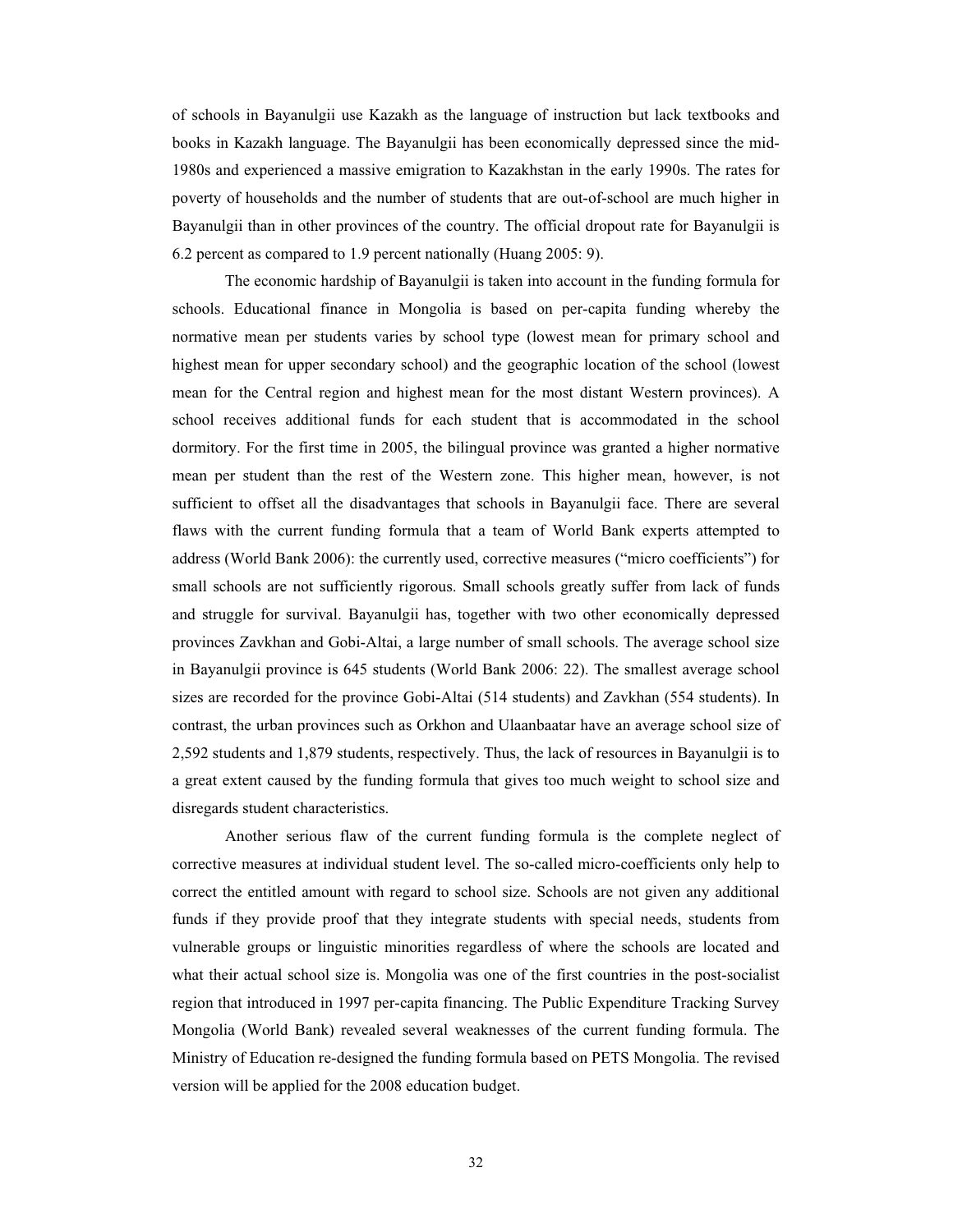of schools in Bayanulgii use Kazakh as the language of instruction but lack textbooks and books in Kazakh language. The Bayanulgii has been economically depressed since the mid-1980s and experienced a massive emigration to Kazakhstan in the early 1990s. The rates for poverty of households and the number of students that are out-of-school are much higher in Bayanulgii than in other provinces of the country. The official dropout rate for Bayanulgii is 6.2 percent as compared to 1.9 percent nationally (Huang 2005: 9).

 The economic hardship of Bayanulgii is taken into account in the funding formula for schools. Educational finance in Mongolia is based on per-capita funding whereby the normative mean per students varies by school type (lowest mean for primary school and highest mean for upper secondary school) and the geographic location of the school (lowest mean for the Central region and highest mean for the most distant Western provinces). A school receives additional funds for each student that is accommodated in the school dormitory. For the first time in 2005, the bilingual province was granted a higher normative mean per student than the rest of the Western zone. This higher mean, however, is not sufficient to offset all the disadvantages that schools in Bayanulgii face. There are several flaws with the current funding formula that a team of World Bank experts attempted to address (World Bank 2006): the currently used, corrective measures ("micro coefficients") for small schools are not sufficiently rigorous. Small schools greatly suffer from lack of funds and struggle for survival. Bayanulgii has, together with two other economically depressed provinces Zavkhan and Gobi-Altai, a large number of small schools. The average school size in Bayanulgii province is 645 students (World Bank 2006: 22). The smallest average school sizes are recorded for the province Gobi-Altai (514 students) and Zavkhan (554 students). In contrast, the urban provinces such as Orkhon and Ulaanbaatar have an average school size of 2,592 students and 1,879 students, respectively. Thus, the lack of resources in Bayanulgii is to a great extent caused by the funding formula that gives too much weight to school size and disregards student characteristics.

 Another serious flaw of the current funding formula is the complete neglect of corrective measures at individual student level. The so-called micro-coefficients only help to correct the entitled amount with regard to school size. Schools are not given any additional funds if they provide proof that they integrate students with special needs, students from vulnerable groups or linguistic minorities regardless of where the schools are located and what their actual school size is. Mongolia was one of the first countries in the post-socialist region that introduced in 1997 per-capita financing. The Public Expenditure Tracking Survey Mongolia (World Bank) revealed several weaknesses of the current funding formula. The Ministry of Education re-designed the funding formula based on PETS Mongolia. The revised version will be applied for the 2008 education budget.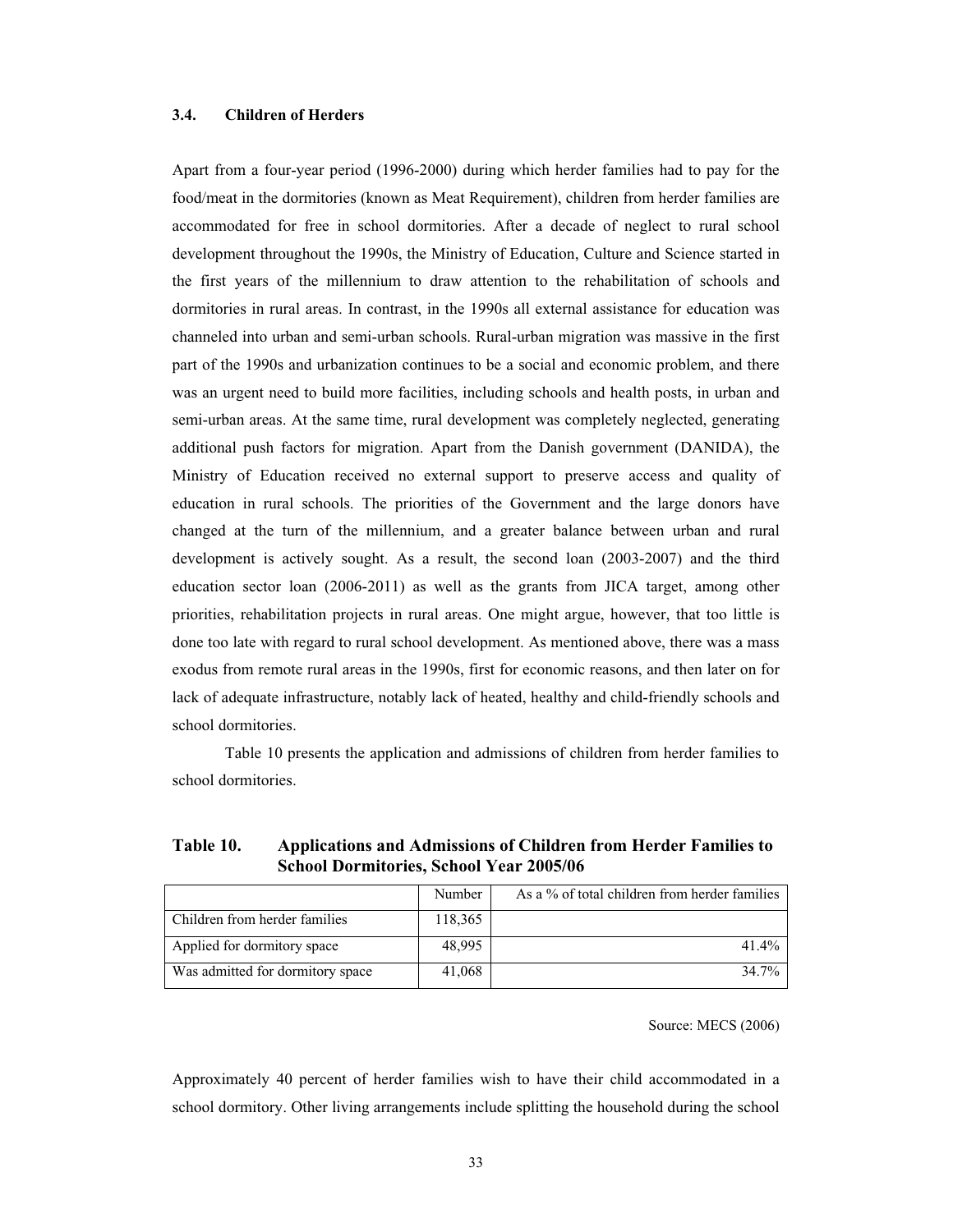## **3.4. Children of Herders**

Apart from a four-year period (1996-2000) during which herder families had to pay for the food/meat in the dormitories (known as Meat Requirement), children from herder families are accommodated for free in school dormitories. After a decade of neglect to rural school development throughout the 1990s, the Ministry of Education, Culture and Science started in the first years of the millennium to draw attention to the rehabilitation of schools and dormitories in rural areas. In contrast, in the 1990s all external assistance for education was channeled into urban and semi-urban schools. Rural-urban migration was massive in the first part of the 1990s and urbanization continues to be a social and economic problem, and there was an urgent need to build more facilities, including schools and health posts, in urban and semi-urban areas. At the same time, rural development was completely neglected, generating additional push factors for migration. Apart from the Danish government (DANIDA), the Ministry of Education received no external support to preserve access and quality of education in rural schools. The priorities of the Government and the large donors have changed at the turn of the millennium, and a greater balance between urban and rural development is actively sought. As a result, the second loan (2003-2007) and the third education sector loan (2006-2011) as well as the grants from JICA target, among other priorities, rehabilitation projects in rural areas. One might argue, however, that too little is done too late with regard to rural school development. As mentioned above, there was a mass exodus from remote rural areas in the 1990s, first for economic reasons, and then later on for lack of adequate infrastructure, notably lack of heated, healthy and child-friendly schools and school dormitories.

 Table 10 presents the application and admissions of children from herder families to school dormitories.

# **Table 10. Applications and Admissions of Children from Herder Families to School Dormitories, School Year 2005/06**

|                                  | Number  | As a % of total children from herder families |
|----------------------------------|---------|-----------------------------------------------|
| Children from herder families    | 118,365 |                                               |
| Applied for dormitory space      | 48,995  | $41.4\%$                                      |
| Was admitted for dormitory space | 41,068  | 34.7%                                         |

Source: MECS (2006)

<span id="page-32-0"></span>Approximately 40 percent of herder families wish to have their child accommodated in a school dormitory. Other living arrangements include splitting the household during the school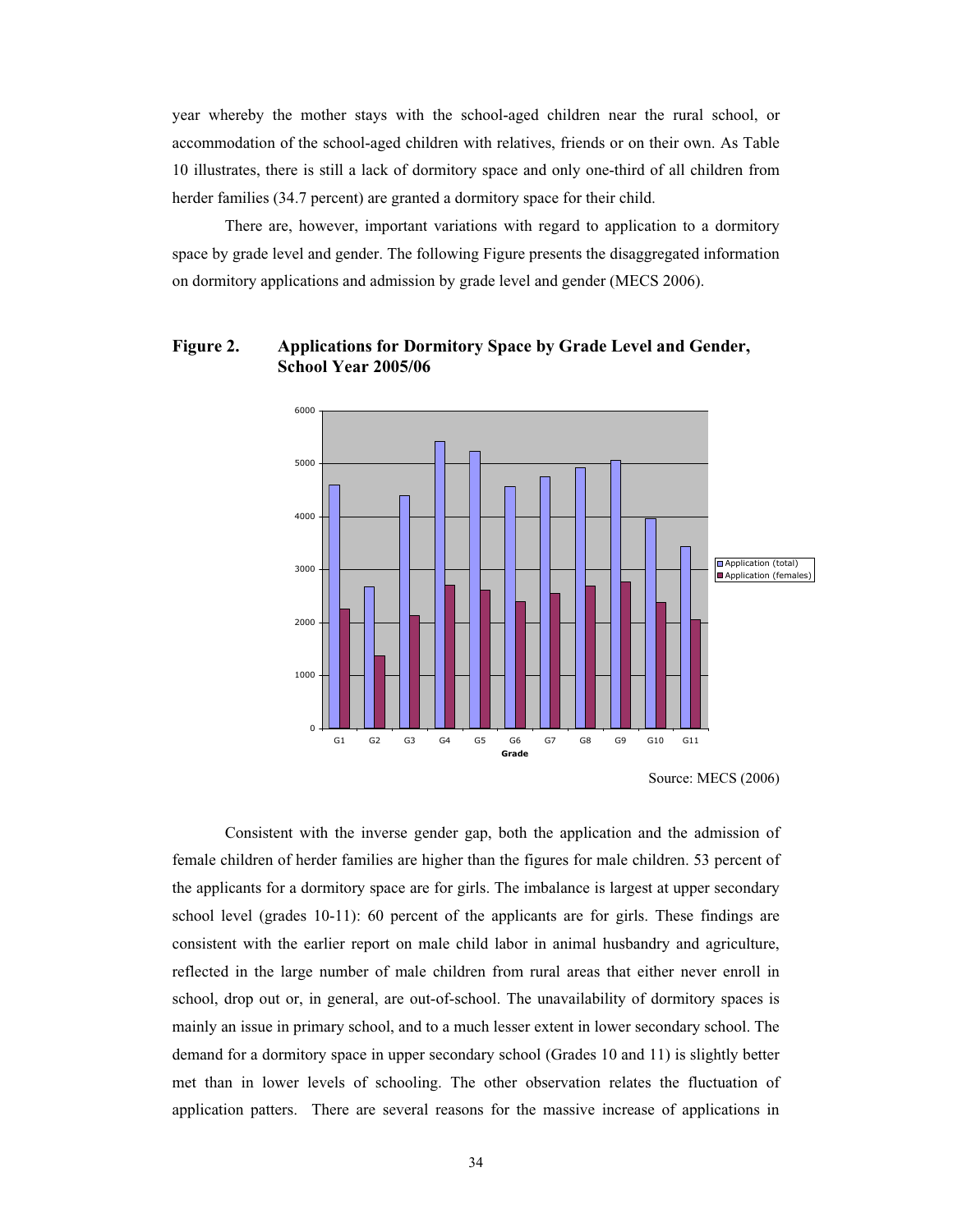year whereby the mother stays with the school-aged children near the rural school, or accommodation of the school-aged children with relatives, friends or on their own. As Table 10 illustrates, there is still a lack of dormitory space and only one-third of all children from herder families (34.7 percent) are granted a dormitory space for their child.

There are, however, important variations with regard to application to a dormitory space by grade level and gender. The following Figure presents the disaggregated information on dormitory applications and admission by grade level and gender (MECS 2006).

## **Figure 2. Applications for Dormitory Space by Grade Level and Gender, School Year 2005/06**



Source: MECS (2006)

<span id="page-33-0"></span>Consistent with the inverse gender gap, both the application and the admission of female children of herder families are higher than the figures for male children. 53 percent of the applicants for a dormitory space are for girls. The imbalance is largest at upper secondary school level (grades 10-11): 60 percent of the applicants are for girls. These findings are consistent with the earlier report on male child labor in animal husbandry and agriculture, reflected in the large number of male children from rural areas that either never enroll in school, drop out or, in general, are out-of-school. The unavailability of dormitory spaces is mainly an issue in primary school, and to a much lesser extent in lower secondary school. The demand for a dormitory space in upper secondary school (Grades 10 and 11) is slightly better met than in lower levels of schooling. The other observation relates the fluctuation of application patters. There are several reasons for the massive increase of applications in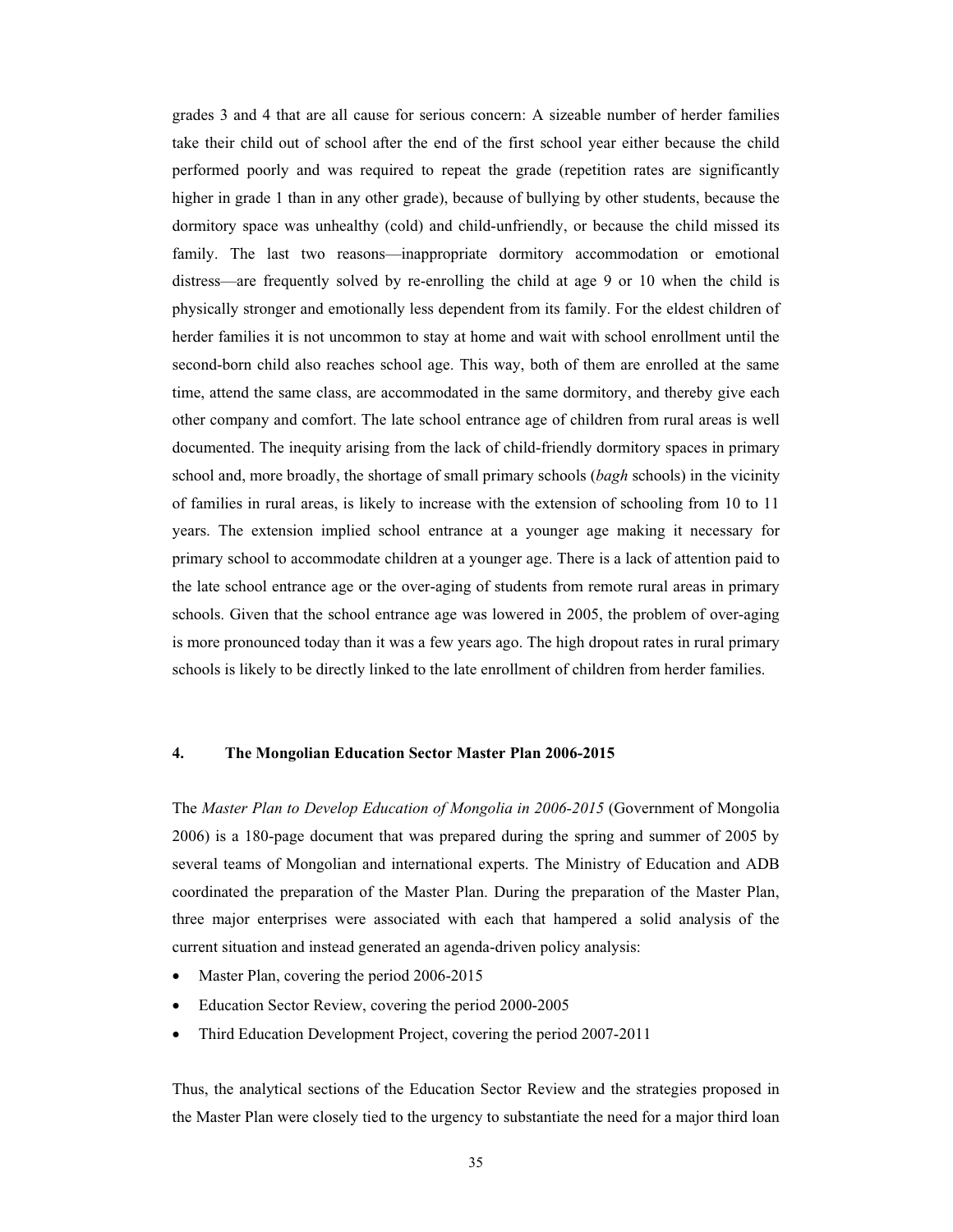grades 3 and 4 that are all cause for serious concern: A sizeable number of herder families take their child out of school after the end of the first school year either because the child performed poorly and was required to repeat the grade (repetition rates are significantly higher in grade 1 than in any other grade), because of bullying by other students, because the dormitory space was unhealthy (cold) and child-unfriendly, or because the child missed its family. The last two reasons—inappropriate dormitory accommodation or emotional distress—are frequently solved by re-enrolling the child at age 9 or 10 when the child is physically stronger and emotionally less dependent from its family. For the eldest children of herder families it is not uncommon to stay at home and wait with school enrollment until the second-born child also reaches school age. This way, both of them are enrolled at the same time, attend the same class, are accommodated in the same dormitory, and thereby give each other company and comfort. The late school entrance age of children from rural areas is well documented. The inequity arising from the lack of child-friendly dormitory spaces in primary school and, more broadly, the shortage of small primary schools (*bagh* schools) in the vicinity of families in rural areas, is likely to increase with the extension of schooling from 10 to 11 years. The extension implied school entrance at a younger age making it necessary for primary school to accommodate children at a younger age. There is a lack of attention paid to the late school entrance age or the over-aging of students from remote rural areas in primary schools. Given that the school entrance age was lowered in 2005, the problem of over-aging is more pronounced today than it was a few years ago. The high dropout rates in rural primary schools is likely to be directly linked to the late enrollment of children from herder families.

## **4. The Mongolian Education Sector Master Plan 2006-2015**

The *Master Plan to Develop Education of Mongolia in 2006-2015* (Government of Mongolia 2006) is a 180-page document that was prepared during the spring and summer of 2005 by several teams of Mongolian and international experts. The Ministry of Education and ADB coordinated the preparation of the Master Plan. During the preparation of the Master Plan, three major enterprises were associated with each that hampered a solid analysis of the current situation and instead generated an agenda-driven policy analysis:

- Master Plan, covering the period 2006-2015
- Education Sector Review, covering the period 2000-2005
- x Third Education Development Project, covering the period 2007-2011

<span id="page-34-0"></span>Thus, the analytical sections of the Education Sector Review and the strategies proposed in the Master Plan were closely tied to the urgency to substantiate the need for a major third loan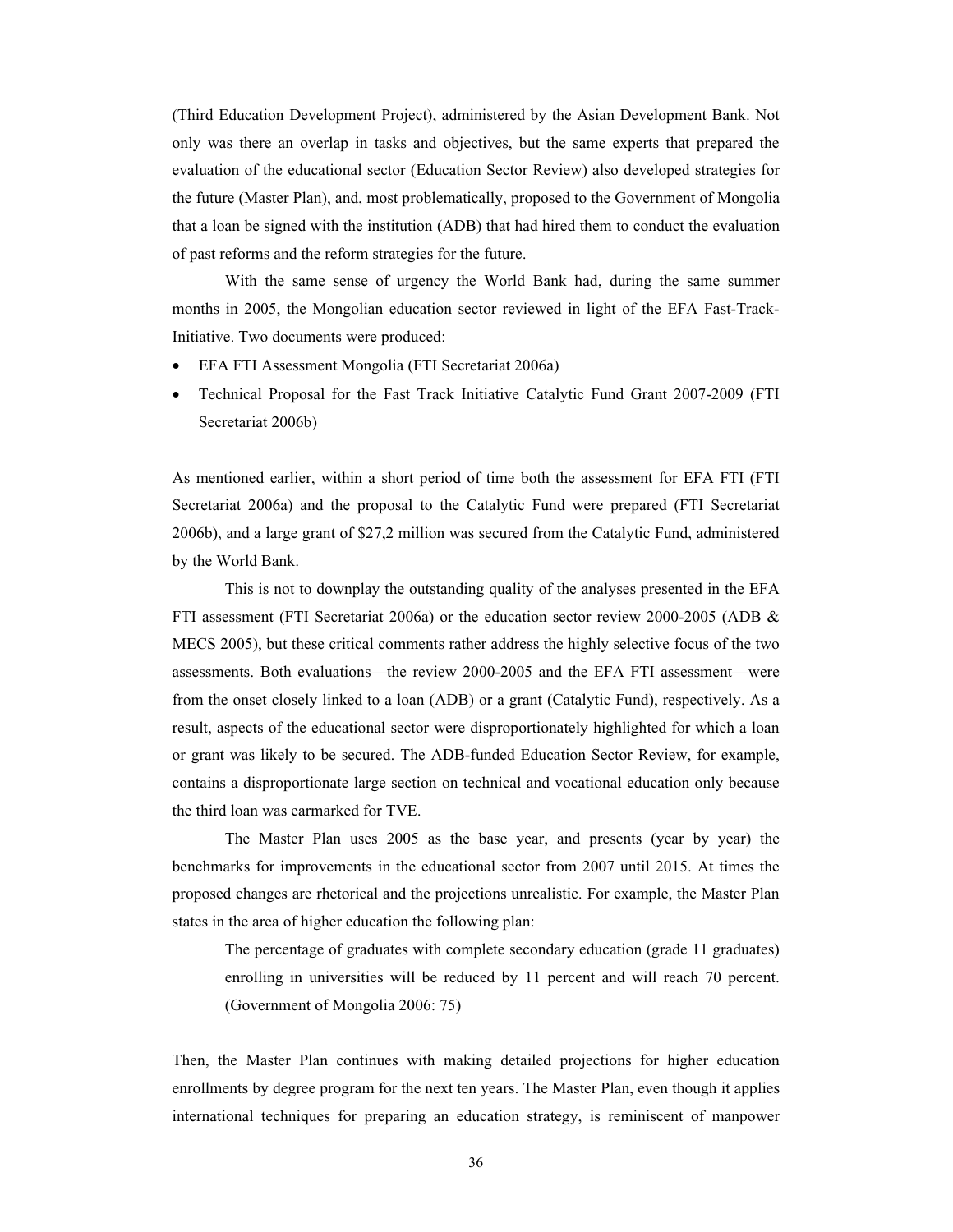(Third Education Development Project), administered by the Asian Development Bank. Not only was there an overlap in tasks and objectives, but the same experts that prepared the evaluation of the educational sector (Education Sector Review) also developed strategies for the future (Master Plan), and, most problematically, proposed to the Government of Mongolia that a loan be signed with the institution (ADB) that had hired them to conduct the evaluation of past reforms and the reform strategies for the future.

With the same sense of urgency the World Bank had, during the same summer months in 2005, the Mongolian education sector reviewed in light of the EFA Fast-Track-Initiative. Two documents were produced:

- x EFA FTI Assessment Mongolia (FTI Secretariat 2006a)
- x Technical Proposal for the Fast Track Initiative Catalytic Fund Grant 2007-2009 (FTI Secretariat 2006b)

As mentioned earlier, within a short period of time both the assessment for EFA FTI (FTI Secretariat 2006a) and the proposal to the Catalytic Fund were prepared (FTI Secretariat 2006b), and a large grant of \$27,2 million was secured from the Catalytic Fund, administered by the World Bank.

 This is not to downplay the outstanding quality of the analyses presented in the EFA FTI assessment (FTI Secretariat 2006a) or the education sector review 2000-2005 (ADB & MECS 2005), but these critical comments rather address the highly selective focus of the two assessments. Both evaluations—the review 2000-2005 and the EFA FTI assessment—were from the onset closely linked to a loan (ADB) or a grant (Catalytic Fund), respectively. As a result, aspects of the educational sector were disproportionately highlighted for which a loan or grant was likely to be secured. The ADB-funded Education Sector Review, for example, contains a disproportionate large section on technical and vocational education only because the third loan was earmarked for TVE.

 The Master Plan uses 2005 as the base year, and presents (year by year) the benchmarks for improvements in the educational sector from 2007 until 2015. At times the proposed changes are rhetorical and the projections unrealistic. For example, the Master Plan states in the area of higher education the following plan:

The percentage of graduates with complete secondary education (grade 11 graduates) enrolling in universities will be reduced by 11 percent and will reach 70 percent. (Government of Mongolia 2006: 75)

Then, the Master Plan continues with making detailed projections for higher education enrollments by degree program for the next ten years. The Master Plan, even though it applies international techniques for preparing an education strategy, is reminiscent of manpower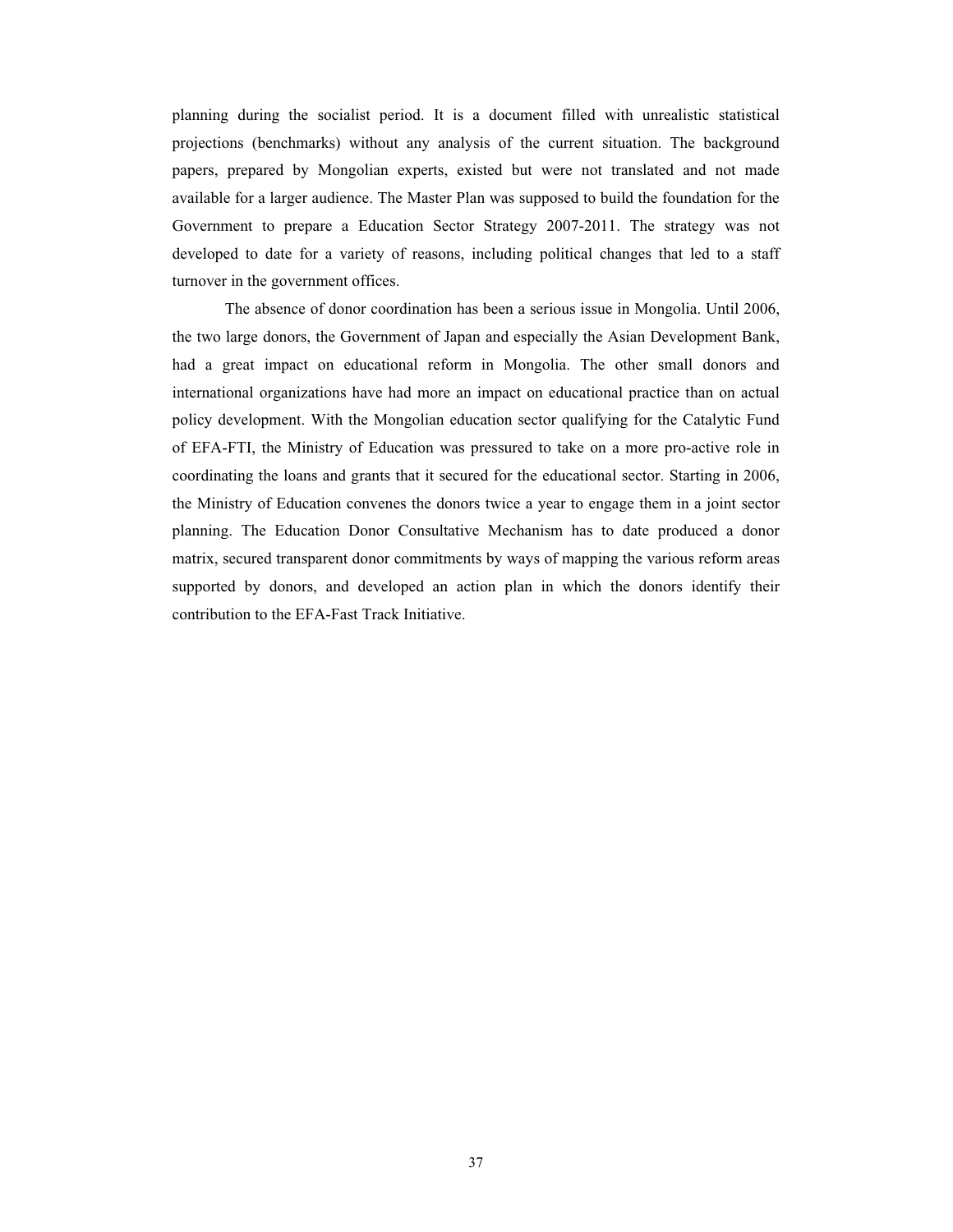planning during the socialist period. It is a document filled with unrealistic statistical projections (benchmarks) without any analysis of the current situation. The background papers, prepared by Mongolian experts, existed but were not translated and not made available for a larger audience. The Master Plan was supposed to build the foundation for the Government to prepare a Education Sector Strategy 2007-2011. The strategy was not developed to date for a variety of reasons, including political changes that led to a staff turnover in the government offices.

 The absence of donor coordination has been a serious issue in Mongolia. Until 2006, the two large donors, the Government of Japan and especially the Asian Development Bank, had a great impact on educational reform in Mongolia. The other small donors and international organizations have had more an impact on educational practice than on actual policy development. With the Mongolian education sector qualifying for the Catalytic Fund of EFA-FTI, the Ministry of Education was pressured to take on a more pro-active role in coordinating the loans and grants that it secured for the educational sector. Starting in 2006, the Ministry of Education convenes the donors twice a year to engage them in a joint sector planning. The Education Donor Consultative Mechanism has to date produced a donor matrix, secured transparent donor commitments by ways of mapping the various reform areas supported by donors, and developed an action plan in which the donors identify their contribution to the EFA-Fast Track Initiative.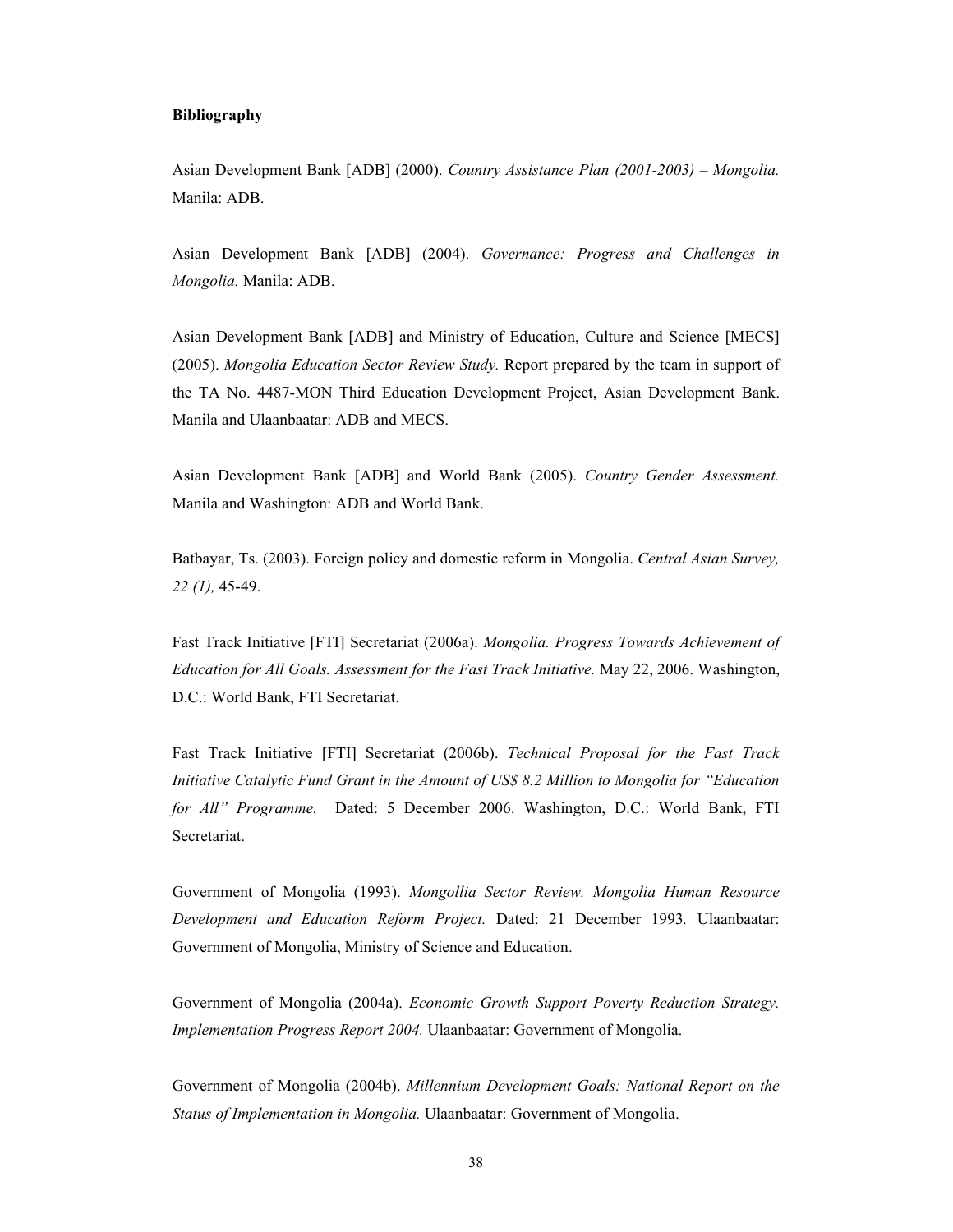#### **Bibliography**

Asian Development Bank [ADB] (2000). *Country Assistance Plan (2001-2003) – Mongolia.*  Manila: ADB.

Asian Development Bank [ADB] (2004). *Governance: Progress and Challenges in Mongolia.* Manila: ADB.

Asian Development Bank [ADB] and Ministry of Education, Culture and Science [MECS] (2005). *Mongolia Education Sector Review Study.* Report prepared by the team in support of the TA No. 4487-MON Third Education Development Project, Asian Development Bank. Manila and Ulaanbaatar: ADB and MECS.

Asian Development Bank [ADB] and World Bank (2005). *Country Gender Assessment.*  Manila and Washington: ADB and World Bank.

Batbayar, Ts. (2003). Foreign policy and domestic reform in Mongolia. *Central Asian Survey, 22 (1),* 45-49.

Fast Track Initiative [FTI] Secretariat (2006a). *Mongolia. Progress Towards Achievement of Education for All Goals. Assessment for the Fast Track Initiative.* May 22, 2006. Washington, D.C.: World Bank, FTI Secretariat.

Fast Track Initiative [FTI] Secretariat (2006b). *Technical Proposal for the Fast Track Initiative Catalytic Fund Grant in the Amount of US\$ 8.2 Million to Mongolia for "Education for All" Programme.* Dated: 5 December 2006. Washington, D.C.: World Bank, FTI Secretariat.

Government of Mongolia (1993). *Mongollia Sector Review. Mongolia Human Resource Development and Education Reform Project.* Dated: 21 December 1993*.* Ulaanbaatar: Government of Mongolia, Ministry of Science and Education.

Government of Mongolia (2004a). *Economic Growth Support Poverty Reduction Strategy. Implementation Progress Report 2004.* Ulaanbaatar: Government of Mongolia.

Government of Mongolia (2004b). *Millennium Development Goals: National Report on the Status of Implementation in Mongolia.* Ulaanbaatar: Government of Mongolia.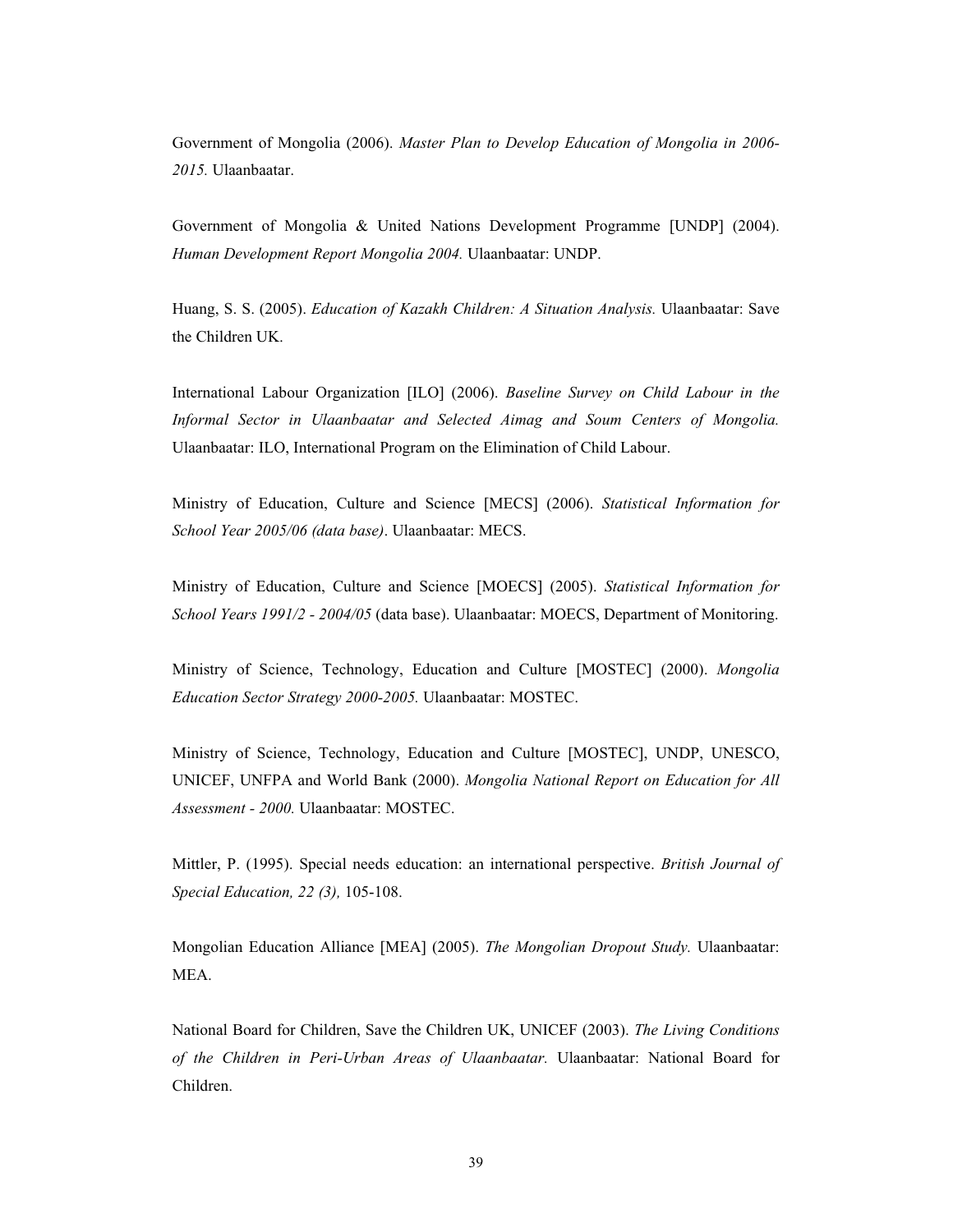Government of Mongolia (2006). *Master Plan to Develop Education of Mongolia in 2006- 2015.* Ulaanbaatar.

Government of Mongolia & United Nations Development Programme [UNDP] (2004). *Human Development Report Mongolia 2004.* Ulaanbaatar: UNDP.

Huang, S. S. (2005). *Education of Kazakh Children: A Situation Analysis.* Ulaanbaatar: Save the Children UK.

International Labour Organization [ILO] (2006). *Baseline Survey on Child Labour in the Informal Sector in Ulaanbaatar and Selected Aimag and Soum Centers of Mongolia.*  Ulaanbaatar: ILO, International Program on the Elimination of Child Labour.

Ministry of Education, Culture and Science [MECS] (2006). *Statistical Information for School Year 2005/06 (data base)*. Ulaanbaatar: MECS.

Ministry of Education, Culture and Science [MOECS] (2005). *Statistical Information for School Years 1991/2 - 2004/05* (data base). Ulaanbaatar: MOECS, Department of Monitoring.

Ministry of Science, Technology, Education and Culture [MOSTEC] (2000). *Mongolia Education Sector Strategy 2000-2005.* Ulaanbaatar: MOSTEC.

Ministry of Science, Technology, Education and Culture [MOSTEC], UNDP, UNESCO, UNICEF, UNFPA and World Bank (2000). *Mongolia National Report on Education for All Assessment - 2000.* Ulaanbaatar: MOSTEC.

Mittler, P. (1995). Special needs education: an international perspective. *British Journal of Special Education, 22 (3),* 105-108.

Mongolian Education Alliance [MEA] (2005). *The Mongolian Dropout Study.* Ulaanbaatar: MEA.

National Board for Children, Save the Children UK, UNICEF (2003). *The Living Conditions of the Children in Peri-Urban Areas of Ulaanbaatar.* Ulaanbaatar: National Board for Children.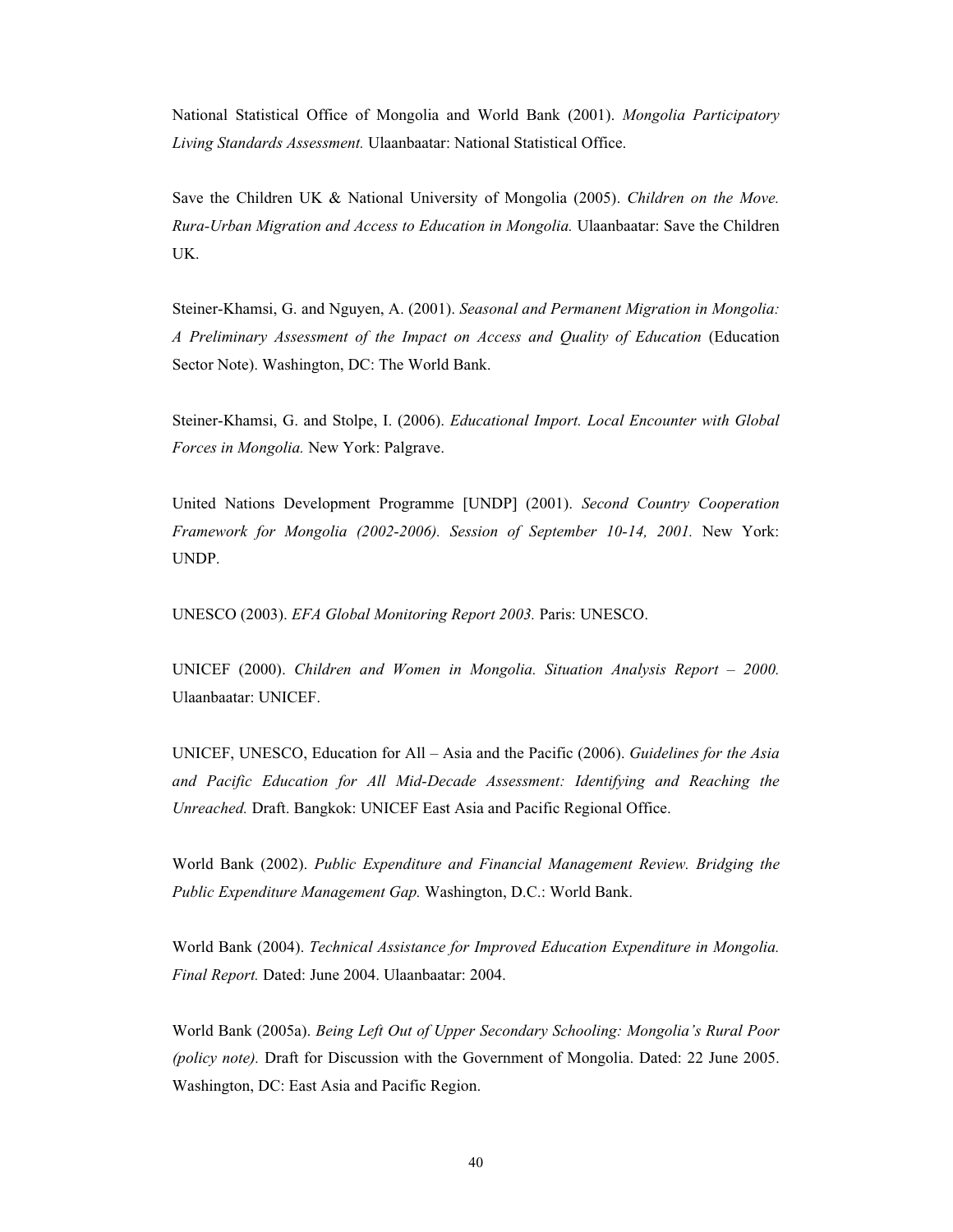National Statistical Office of Mongolia and World Bank (2001). *Mongolia Participatory Living Standards Assessment.* Ulaanbaatar: National Statistical Office.

Save the Children UK & National University of Mongolia (2005). *Children on the Move. Rura-Urban Migration and Access to Education in Mongolia.* Ulaanbaatar: Save the Children UK.

Steiner-Khamsi, G. and Nguyen, A. (2001). *Seasonal and Permanent Migration in Mongolia: A Preliminary Assessment of the Impact on Access and Quality of Education* (Education Sector Note). Washington, DC: The World Bank.

Steiner-Khamsi, G. and Stolpe, I. (2006). *Educational Import. Local Encounter with Global Forces in Mongolia.* New York: Palgrave.

United Nations Development Programme [UNDP] (2001). *Second Country Cooperation Framework for Mongolia (2002-2006). Session of September 10-14, 2001.* New York: UNDP.

UNESCO (2003). *EFA Global Monitoring Report 2003.* Paris: UNESCO.

UNICEF (2000). *Children and Women in Mongolia. Situation Analysis Report – 2000.*  Ulaanbaatar: UNICEF.

UNICEF, UNESCO, Education for All – Asia and the Pacific (2006). *Guidelines for the Asia and Pacific Education for All Mid-Decade Assessment: Identifying and Reaching the Unreached.* Draft. Bangkok: UNICEF East Asia and Pacific Regional Office.

World Bank (2002). *Public Expenditure and Financial Management Review. Bridging the Public Expenditure Management Gap.* Washington, D.C.: World Bank.

World Bank (2004). *Technical Assistance for Improved Education Expenditure in Mongolia. Final Report.* Dated: June 2004. Ulaanbaatar: 2004.

World Bank (2005a). *Being Left Out of Upper Secondary Schooling: Mongolia's Rural Poor (policy note).* Draft for Discussion with the Government of Mongolia. Dated: 22 June 2005. Washington, DC: East Asia and Pacific Region.